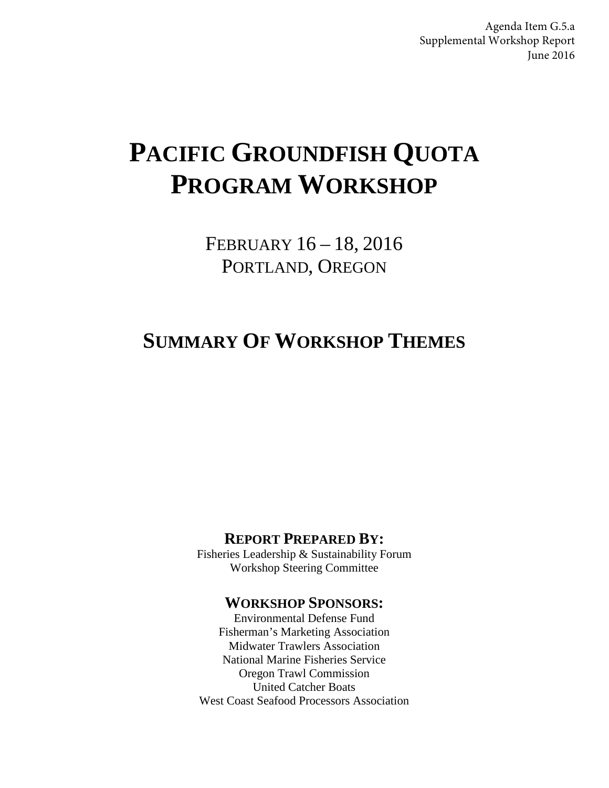Agenda Item G.5.a Supplemental Workshop Report June 2016

# **PACIFIC GROUNDFISH QUOTA PROGRAM WORKSHOP**

FEBRUARY 16 – 18, 2016 PORTLAND, OREGON

# **SUMMARY OF WORKSHOP THEMES**

### **REPORT PREPARED BY:**

Fisheries Leadership & Sustainability Forum Workshop Steering Committee

### **WORKSHOP SPONSORS:**

Environmental Defense Fund Fisherman's Marketing Association Midwater Trawlers Association National Marine Fisheries Service Oregon Trawl Commission United Catcher Boats West Coast Seafood Processors Association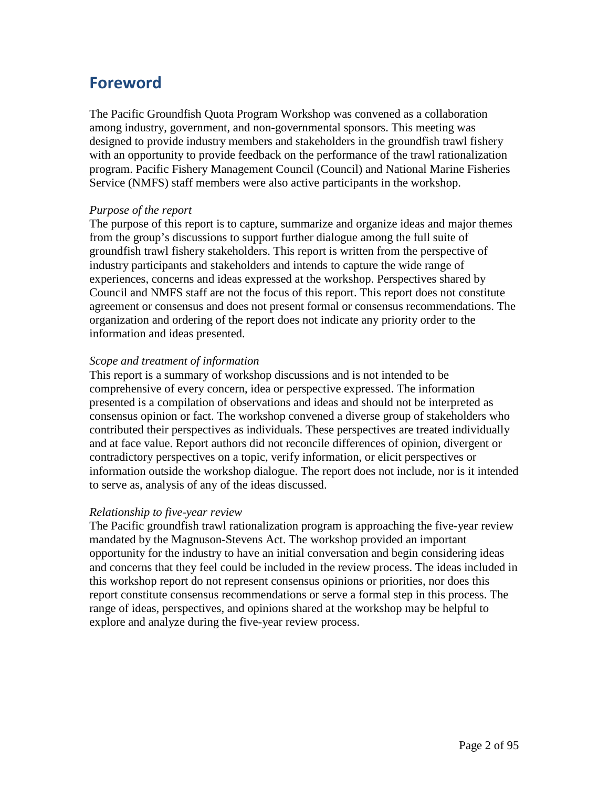# **Foreword**

The Pacific Groundfish Quota Program Workshop was convened as a collaboration among industry, government, and non-governmental sponsors. This meeting was designed to provide industry members and stakeholders in the groundfish trawl fishery with an opportunity to provide feedback on the performance of the trawl rationalization program. Pacific Fishery Management Council (Council) and National Marine Fisheries Service (NMFS) staff members were also active participants in the workshop.

### *Purpose of the report*

The purpose of this report is to capture, summarize and organize ideas and major themes from the group's discussions to support further dialogue among the full suite of groundfish trawl fishery stakeholders. This report is written from the perspective of industry participants and stakeholders and intends to capture the wide range of experiences, concerns and ideas expressed at the workshop. Perspectives shared by Council and NMFS staff are not the focus of this report. This report does not constitute agreement or consensus and does not present formal or consensus recommendations. The organization and ordering of the report does not indicate any priority order to the information and ideas presented.

### *Scope and treatment of information*

This report is a summary of workshop discussions and is not intended to be comprehensive of every concern, idea or perspective expressed. The information presented is a compilation of observations and ideas and should not be interpreted as consensus opinion or fact. The workshop convened a diverse group of stakeholders who contributed their perspectives as individuals. These perspectives are treated individually and at face value. Report authors did not reconcile differences of opinion, divergent or contradictory perspectives on a topic, verify information, or elicit perspectives or information outside the workshop dialogue. The report does not include, nor is it intended to serve as, analysis of any of the ideas discussed.

#### *Relationship to five-year review*

The Pacific groundfish trawl rationalization program is approaching the five-year review mandated by the Magnuson-Stevens Act. The workshop provided an important opportunity for the industry to have an initial conversation and begin considering ideas and concerns that they feel could be included in the review process. The ideas included in this workshop report do not represent consensus opinions or priorities, nor does this report constitute consensus recommendations or serve a formal step in this process. The range of ideas, perspectives, and opinions shared at the workshop may be helpful to explore and analyze during the five-year review process.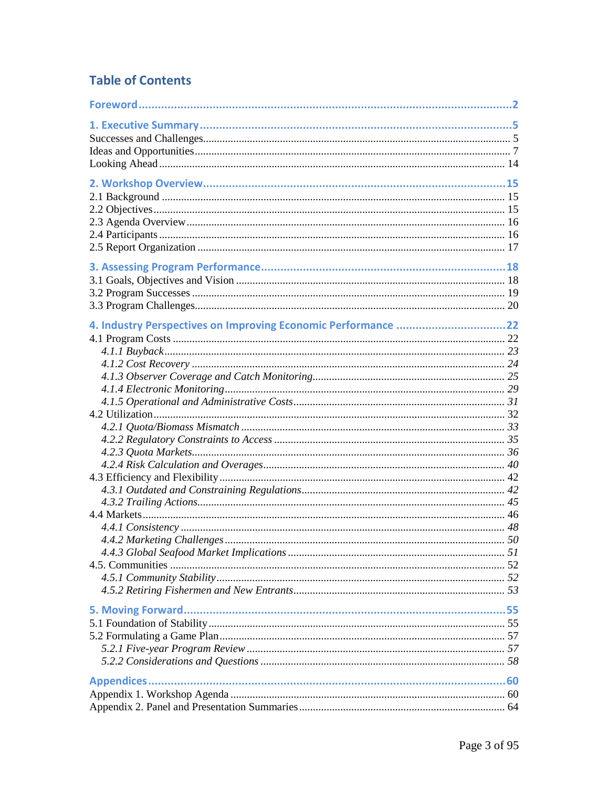# **Table of Contents**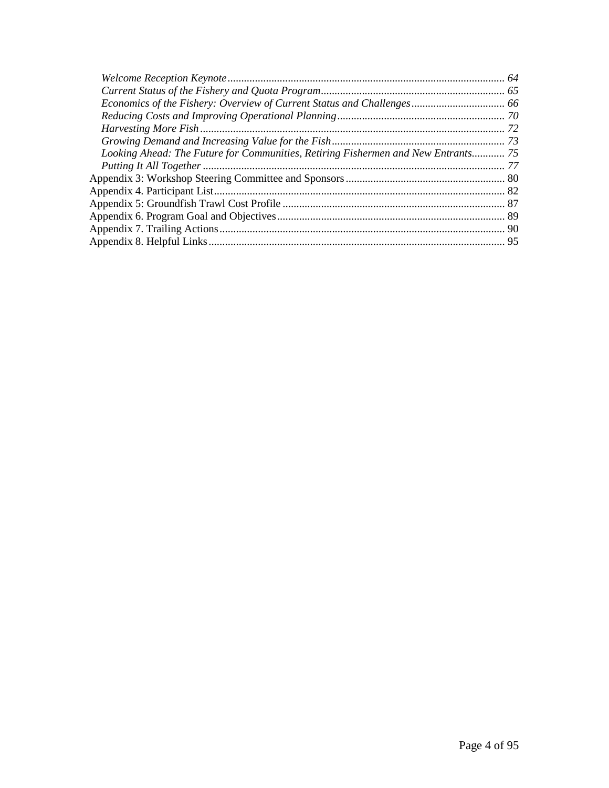| Looking Ahead: The Future for Communities, Retiring Fishermen and New Entrants 75 |  |
|-----------------------------------------------------------------------------------|--|
|                                                                                   |  |
|                                                                                   |  |
|                                                                                   |  |
|                                                                                   |  |
|                                                                                   |  |
|                                                                                   |  |
|                                                                                   |  |
|                                                                                   |  |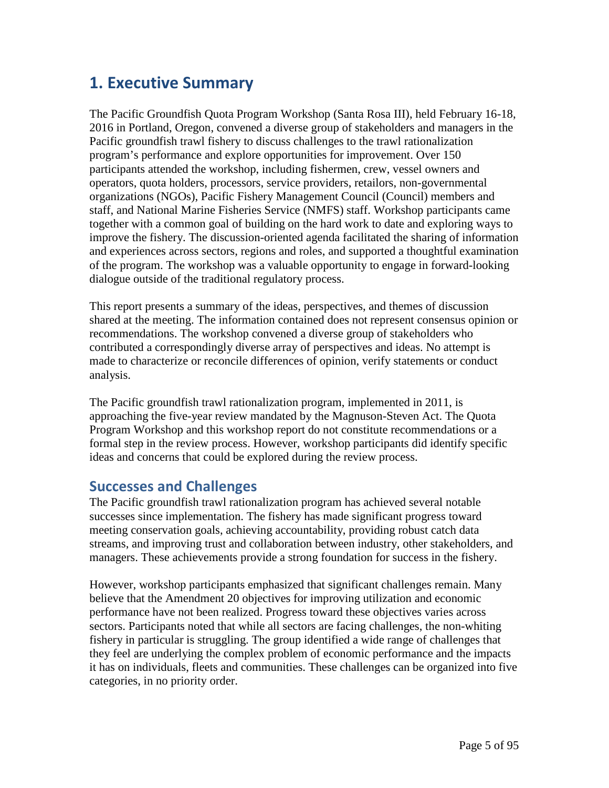# **1. Executive Summary**

The Pacific Groundfish Quota Program Workshop (Santa Rosa III), held February 16-18, 2016 in Portland, Oregon, convened a diverse group of stakeholders and managers in the Pacific groundfish trawl fishery to discuss challenges to the trawl rationalization program's performance and explore opportunities for improvement. Over 150 participants attended the workshop, including fishermen, crew, vessel owners and operators, quota holders, processors, service providers, retailors, non-governmental organizations (NGOs), Pacific Fishery Management Council (Council) members and staff, and National Marine Fisheries Service (NMFS) staff. Workshop participants came together with a common goal of building on the hard work to date and exploring ways to improve the fishery. The discussion-oriented agenda facilitated the sharing of information and experiences across sectors, regions and roles, and supported a thoughtful examination of the program. The workshop was a valuable opportunity to engage in forward-looking dialogue outside of the traditional regulatory process.

This report presents a summary of the ideas, perspectives, and themes of discussion shared at the meeting. The information contained does not represent consensus opinion or recommendations. The workshop convened a diverse group of stakeholders who contributed a correspondingly diverse array of perspectives and ideas. No attempt is made to characterize or reconcile differences of opinion, verify statements or conduct analysis.

The Pacific groundfish trawl rationalization program, implemented in 2011, is approaching the five-year review mandated by the Magnuson-Steven Act. The Quota Program Workshop and this workshop report do not constitute recommendations or a formal step in the review process. However, workshop participants did identify specific ideas and concerns that could be explored during the review process.

# **Successes and Challenges**

The Pacific groundfish trawl rationalization program has achieved several notable successes since implementation. The fishery has made significant progress toward meeting conservation goals, achieving accountability, providing robust catch data streams, and improving trust and collaboration between industry, other stakeholders, and managers. These achievements provide a strong foundation for success in the fishery.

However, workshop participants emphasized that significant challenges remain. Many believe that the Amendment 20 objectives for improving utilization and economic performance have not been realized. Progress toward these objectives varies across sectors. Participants noted that while all sectors are facing challenges, the non-whiting fishery in particular is struggling. The group identified a wide range of challenges that they feel are underlying the complex problem of economic performance and the impacts it has on individuals, fleets and communities. These challenges can be organized into five categories, in no priority order.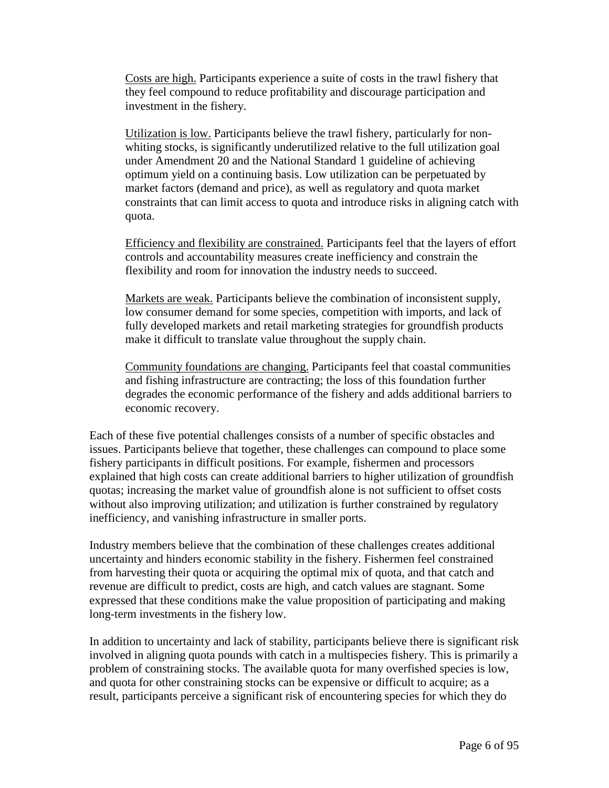Costs are high. Participants experience a suite of costs in the trawl fishery that they feel compound to reduce profitability and discourage participation and investment in the fishery.

Utilization is low. Participants believe the trawl fishery, particularly for nonwhiting stocks, is significantly underutilized relative to the full utilization goal under Amendment 20 and the National Standard 1 guideline of achieving optimum yield on a continuing basis. Low utilization can be perpetuated by market factors (demand and price), as well as regulatory and quota market constraints that can limit access to quota and introduce risks in aligning catch with quota.

Efficiency and flexibility are constrained. Participants feel that the layers of effort controls and accountability measures create inefficiency and constrain the flexibility and room for innovation the industry needs to succeed.

Markets are weak. Participants believe the combination of inconsistent supply, low consumer demand for some species, competition with imports, and lack of fully developed markets and retail marketing strategies for groundfish products make it difficult to translate value throughout the supply chain.

Community foundations are changing. Participants feel that coastal communities and fishing infrastructure are contracting; the loss of this foundation further degrades the economic performance of the fishery and adds additional barriers to economic recovery.

Each of these five potential challenges consists of a number of specific obstacles and issues. Participants believe that together, these challenges can compound to place some fishery participants in difficult positions. For example, fishermen and processors explained that high costs can create additional barriers to higher utilization of groundfish quotas; increasing the market value of groundfish alone is not sufficient to offset costs without also improving utilization; and utilization is further constrained by regulatory inefficiency, and vanishing infrastructure in smaller ports.

Industry members believe that the combination of these challenges creates additional uncertainty and hinders economic stability in the fishery. Fishermen feel constrained from harvesting their quota or acquiring the optimal mix of quota, and that catch and revenue are difficult to predict, costs are high, and catch values are stagnant. Some expressed that these conditions make the value proposition of participating and making long-term investments in the fishery low.

In addition to uncertainty and lack of stability, participants believe there is significant risk involved in aligning quota pounds with catch in a multispecies fishery. This is primarily a problem of constraining stocks. The available quota for many overfished species is low, and quota for other constraining stocks can be expensive or difficult to acquire; as a result, participants perceive a significant risk of encountering species for which they do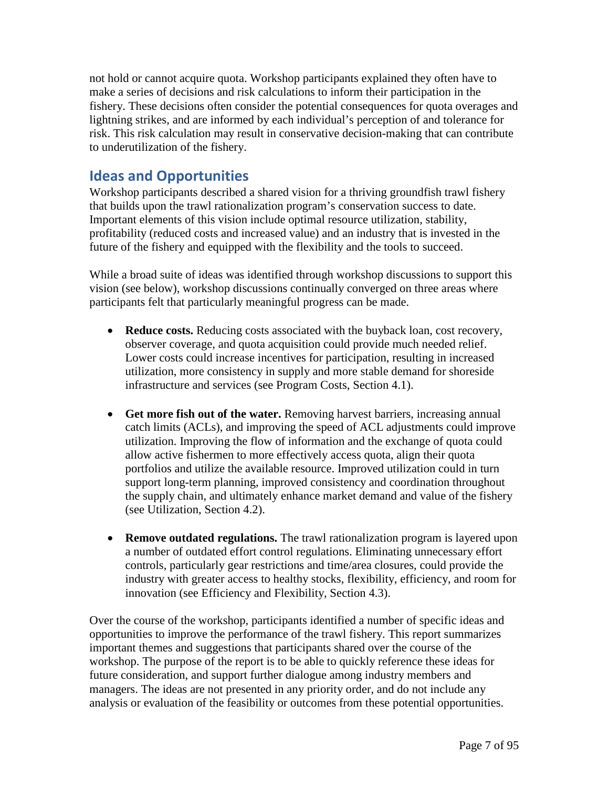not hold or cannot acquire quota. Workshop participants explained they often have to make a series of decisions and risk calculations to inform their participation in the fishery. These decisions often consider the potential consequences for quota overages and lightning strikes, and are informed by each individual's perception of and tolerance for risk. This risk calculation may result in conservative decision-making that can contribute to underutilization of the fishery.

# **Ideas and Opportunities**

Workshop participants described a shared vision for a thriving groundfish trawl fishery that builds upon the trawl rationalization program's conservation success to date. Important elements of this vision include optimal resource utilization, stability, profitability (reduced costs and increased value) and an industry that is invested in the future of the fishery and equipped with the flexibility and the tools to succeed.

While a broad suite of ideas was identified through workshop discussions to support this vision (see below), workshop discussions continually converged on three areas where participants felt that particularly meaningful progress can be made.

- **Reduce costs.** Reducing costs associated with the buyback loan, cost recovery, observer coverage, and quota acquisition could provide much needed relief. Lower costs could increase incentives for participation, resulting in increased utilization, more consistency in supply and more stable demand for shoreside infrastructure and services (see Program Costs, Section 4.1).
- **Get more fish out of the water.** Removing harvest barriers, increasing annual catch limits (ACLs), and improving the speed of ACL adjustments could improve utilization. Improving the flow of information and the exchange of quota could allow active fishermen to more effectively access quota, align their quota portfolios and utilize the available resource. Improved utilization could in turn support long-term planning, improved consistency and coordination throughout the supply chain, and ultimately enhance market demand and value of the fishery (see Utilization, Section 4.2).
- **Remove outdated regulations.** The trawl rationalization program is layered upon a number of outdated effort control regulations. Eliminating unnecessary effort controls, particularly gear restrictions and time/area closures, could provide the industry with greater access to healthy stocks, flexibility, efficiency, and room for innovation (see Efficiency and Flexibility, Section 4.3).

Over the course of the workshop, participants identified a number of specific ideas and opportunities to improve the performance of the trawl fishery. This report summarizes important themes and suggestions that participants shared over the course of the workshop. The purpose of the report is to be able to quickly reference these ideas for future consideration, and support further dialogue among industry members and managers. The ideas are not presented in any priority order, and do not include any analysis or evaluation of the feasibility or outcomes from these potential opportunities.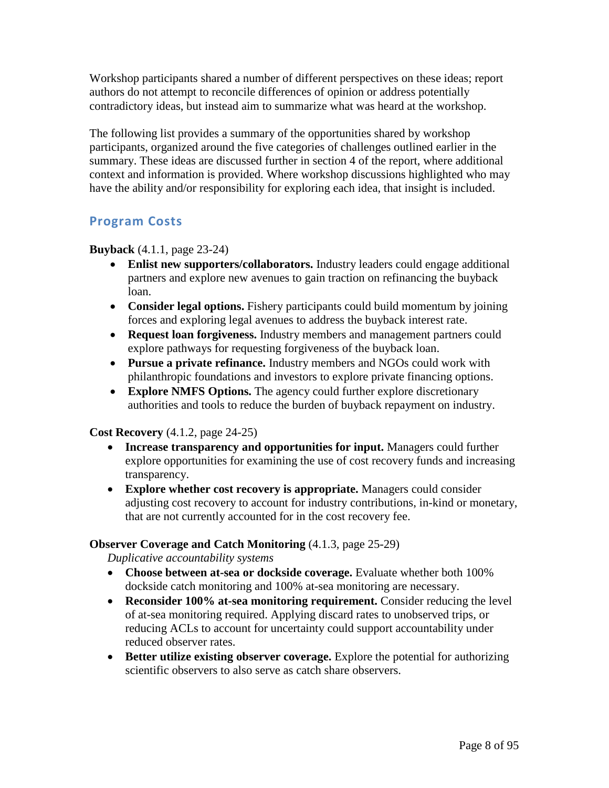Workshop participants shared a number of different perspectives on these ideas; report authors do not attempt to reconcile differences of opinion or address potentially contradictory ideas, but instead aim to summarize what was heard at the workshop.

The following list provides a summary of the opportunities shared by workshop participants, organized around the five categories of challenges outlined earlier in the summary. These ideas are discussed further in section 4 of the report, where additional context and information is provided. Where workshop discussions highlighted who may have the ability and/or responsibility for exploring each idea, that insight is included.

# **Program Costs**

**Buyback** (4.1.1, page 23-24)

- **Enlist new supporters/collaborators.** Industry leaders could engage additional partners and explore new avenues to gain traction on refinancing the buyback loan.
- **Consider legal options.** Fishery participants could build momentum by joining forces and exploring legal avenues to address the buyback interest rate.
- **Request loan forgiveness.** Industry members and management partners could explore pathways for requesting forgiveness of the buyback loan.
- **Pursue a private refinance.** Industry members and NGOs could work with philanthropic foundations and investors to explore private financing options.
- **Explore NMFS Options.** The agency could further explore discretionary authorities and tools to reduce the burden of buyback repayment on industry.

**Cost Recovery** (4.1.2, page 24-25)

- **Increase transparency and opportunities for input.** Managers could further explore opportunities for examining the use of cost recovery funds and increasing transparency.
- **Explore whether cost recovery is appropriate.** Managers could consider adjusting cost recovery to account for industry contributions, in-kind or monetary, that are not currently accounted for in the cost recovery fee.

### **Observer Coverage and Catch Monitoring** (4.1.3, page 25-29)

*Duplicative accountability systems*

- **Choose between at-sea or dockside coverage.** Evaluate whether both 100% dockside catch monitoring and 100% at-sea monitoring are necessary.
- **Reconsider 100% at-sea monitoring requirement.** Consider reducing the level of at-sea monitoring required. Applying discard rates to unobserved trips, or reducing ACLs to account for uncertainty could support accountability under reduced observer rates.
- **Better utilize existing observer coverage.** Explore the potential for authorizing scientific observers to also serve as catch share observers.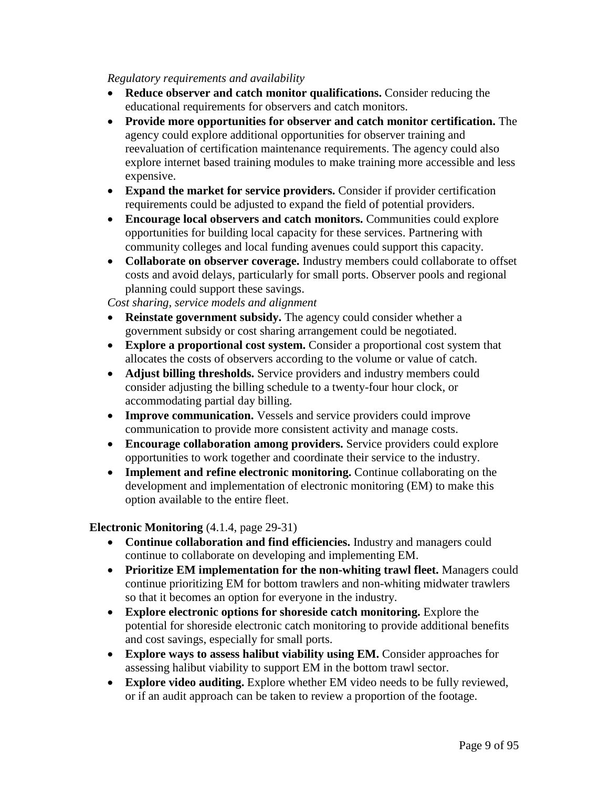### *Regulatory requirements and availability*

- **Reduce observer and catch monitor qualifications.** Consider reducing the educational requirements for observers and catch monitors.
- **Provide more opportunities for observer and catch monitor certification.** The agency could explore additional opportunities for observer training and reevaluation of certification maintenance requirements. The agency could also explore internet based training modules to make training more accessible and less expensive.
- **Expand the market for service providers.** Consider if provider certification requirements could be adjusted to expand the field of potential providers.
- **Encourage local observers and catch monitors.** Communities could explore opportunities for building local capacity for these services. Partnering with community colleges and local funding avenues could support this capacity.
- **Collaborate on observer coverage.** Industry members could collaborate to offset costs and avoid delays, particularly for small ports. Observer pools and regional planning could support these savings.

*Cost sharing, service models and alignment*

- **Reinstate government subsidy.** The agency could consider whether a government subsidy or cost sharing arrangement could be negotiated.
- **Explore a proportional cost system.** Consider a proportional cost system that allocates the costs of observers according to the volume or value of catch.
- **Adjust billing thresholds.** Service providers and industry members could consider adjusting the billing schedule to a twenty-four hour clock, or accommodating partial day billing.
- **Improve communication.** Vessels and service providers could improve communication to provide more consistent activity and manage costs.
- **Encourage collaboration among providers.** Service providers could explore opportunities to work together and coordinate their service to the industry.
- **Implement and refine electronic monitoring.** Continue collaborating on the development and implementation of electronic monitoring (EM) to make this option available to the entire fleet.

### **Electronic Monitoring** (4.1.4, page 29-31)

- **Continue collaboration and find efficiencies.** Industry and managers could continue to collaborate on developing and implementing EM.
- **Prioritize EM implementation for the non-whiting trawl fleet.** Managers could continue prioritizing EM for bottom trawlers and non-whiting midwater trawlers so that it becomes an option for everyone in the industry.
- **Explore electronic options for shoreside catch monitoring.** Explore the potential for shoreside electronic catch monitoring to provide additional benefits and cost savings, especially for small ports.
- **Explore ways to assess halibut viability using EM.** Consider approaches for assessing halibut viability to support EM in the bottom trawl sector.
- **Explore video auditing.** Explore whether EM video needs to be fully reviewed, or if an audit approach can be taken to review a proportion of the footage.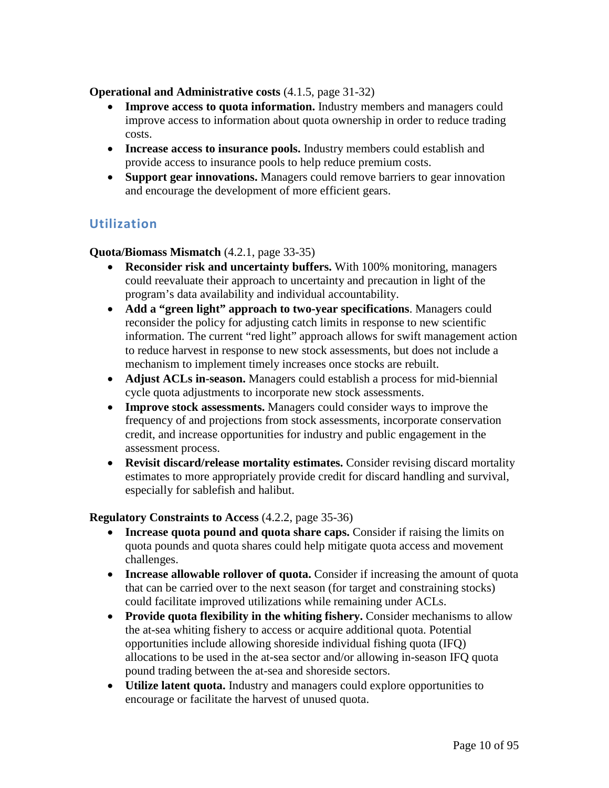### **Operational and Administrative costs** (4.1.5, page 31-32)

- **Improve access to quota information.** Industry members and managers could improve access to information about quota ownership in order to reduce trading costs.
- **Increase access to insurance pools.** Industry members could establish and provide access to insurance pools to help reduce premium costs.
- **Support gear innovations.** Managers could remove barriers to gear innovation and encourage the development of more efficient gears.

### **Utilization**

**Quota/Biomass Mismatch** (4.2.1, page 33-35)

- **Reconsider risk and uncertainty buffers.** With 100% monitoring, managers could reevaluate their approach to uncertainty and precaution in light of the program's data availability and individual accountability.
- **Add a "green light" approach to two-year specifications**. Managers could reconsider the policy for adjusting catch limits in response to new scientific information. The current "red light" approach allows for swift management action to reduce harvest in response to new stock assessments, but does not include a mechanism to implement timely increases once stocks are rebuilt.
- **Adjust ACLs in-season.** Managers could establish a process for mid-biennial cycle quota adjustments to incorporate new stock assessments.
- **Improve stock assessments.** Managers could consider ways to improve the frequency of and projections from stock assessments, incorporate conservation credit, and increase opportunities for industry and public engagement in the assessment process.
- **Revisit discard/release mortality estimates.** Consider revising discard mortality estimates to more appropriately provide credit for discard handling and survival, especially for sablefish and halibut.

### **Regulatory Constraints to Access** (4.2.2, page 35-36)

- **Increase quota pound and quota share caps.** Consider if raising the limits on quota pounds and quota shares could help mitigate quota access and movement challenges.
- **Increase allowable rollover of quota.** Consider if increasing the amount of quota that can be carried over to the next season (for target and constraining stocks) could facilitate improved utilizations while remaining under ACLs.
- **Provide quota flexibility in the whiting fishery.** Consider mechanisms to allow the at-sea whiting fishery to access or acquire additional quota. Potential opportunities include allowing shoreside individual fishing quota (IFQ) allocations to be used in the at-sea sector and/or allowing in-season IFQ quota pound trading between the at-sea and shoreside sectors.
- **Utilize latent quota.** Industry and managers could explore opportunities to encourage or facilitate the harvest of unused quota.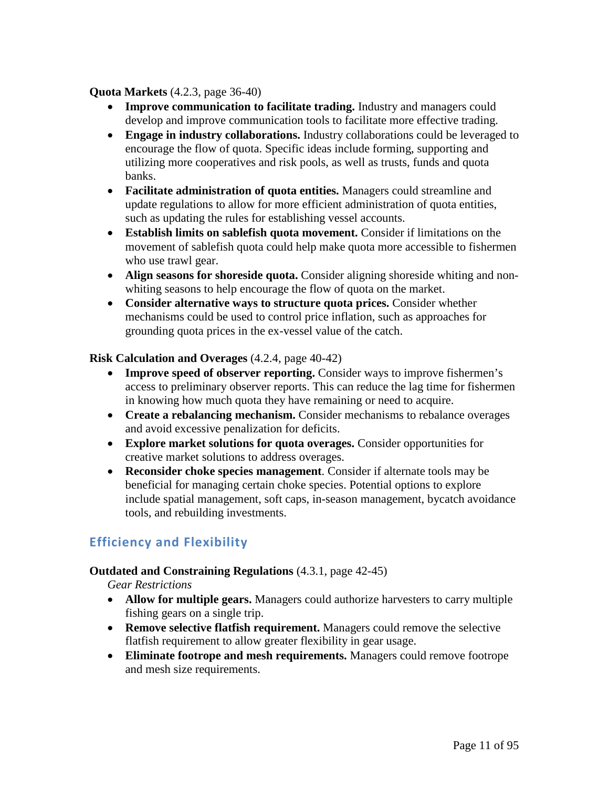### **Quota Markets** (4.2.3, page 36-40)

- **Improve communication to facilitate trading.** Industry and managers could develop and improve communication tools to facilitate more effective trading.
- **Engage in industry collaborations.** Industry collaborations could be leveraged to encourage the flow of quota. Specific ideas include forming, supporting and utilizing more cooperatives and risk pools, as well as trusts, funds and quota banks.
- **Facilitate administration of quota entities.** Managers could streamline and update regulations to allow for more efficient administration of quota entities, such as updating the rules for establishing vessel accounts.
- **Establish limits on sablefish quota movement.** Consider if limitations on the movement of sablefish quota could help make quota more accessible to fishermen who use trawl gear.
- **Align seasons for shoreside quota.** Consider aligning shoreside whiting and nonwhiting seasons to help encourage the flow of quota on the market.
- **Consider alternative ways to structure quota prices.** Consider whether mechanisms could be used to control price inflation, such as approaches for grounding quota prices in the ex-vessel value of the catch.

**Risk Calculation and Overages** (4.2.4, page 40-42)

- **Improve speed of observer reporting.** Consider ways to improve fishermen's access to preliminary observer reports. This can reduce the lag time for fishermen in knowing how much quota they have remaining or need to acquire.
- **Create a rebalancing mechanism.** Consider mechanisms to rebalance overages and avoid excessive penalization for deficits.
- **Explore market solutions for quota overages.** Consider opportunities for creative market solutions to address overages.
- **Reconsider choke species management**. Consider if alternate tools may be beneficial for managing certain choke species. Potential options to explore include spatial management, soft caps, in-season management, bycatch avoidance tools, and rebuilding investments.

# **Efficiency and Flexibility**

### **Outdated and Constraining Regulations** (4.3.1, page 42-45)

*Gear Restrictions*

- **Allow for multiple gears.** Managers could authorize harvesters to carry multiple fishing gears on a single trip.
- **Remove selective flatfish requirement.** Managers could remove the selective flatfish requirement to allow greater flexibility in gear usage.
- **Eliminate footrope and mesh requirements.** Managers could remove footrope and mesh size requirements.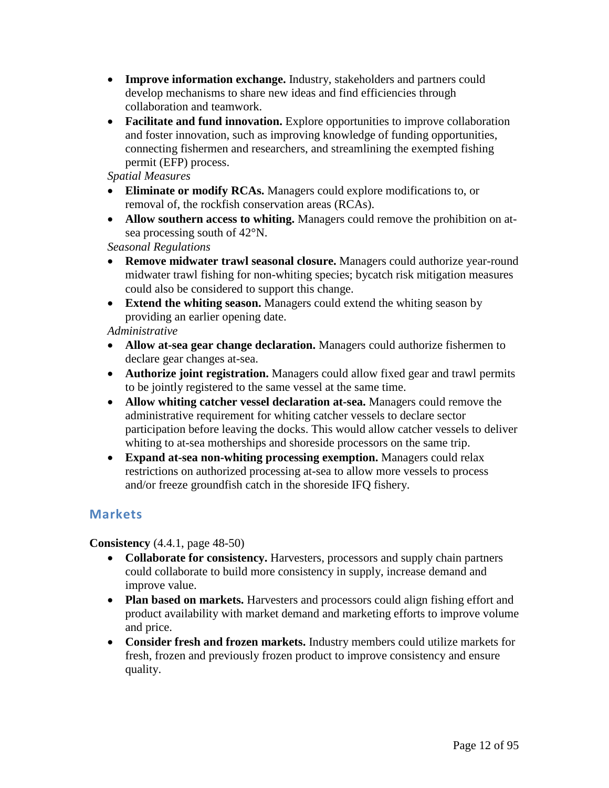- **Improve information exchange.** Industry, stakeholders and partners could develop mechanisms to share new ideas and find efficiencies through collaboration and teamwork.
- **Facilitate and fund innovation.** Explore opportunities to improve collaboration and foster innovation, such as improving knowledge of funding opportunities, connecting fishermen and researchers, and streamlining the exempted fishing permit (EFP) process.

*Spatial Measures*

- **Eliminate or modify RCAs.** Managers could explore modifications to, or removal of, the rockfish conservation areas (RCAs).
- **Allow southern access to whiting.** Managers could remove the prohibition on atsea processing south of 42°N.

*Seasonal Regulations*

- **Remove midwater trawl seasonal closure.** Managers could authorize year-round midwater trawl fishing for non-whiting species; bycatch risk mitigation measures could also be considered to support this change.
- **Extend the whiting season.** Managers could extend the whiting season by providing an earlier opening date.

### *Administrative*

- **Allow at-sea gear change declaration.** Managers could authorize fishermen to declare gear changes at-sea.
- **Authorize joint registration.** Managers could allow fixed gear and trawl permits to be jointly registered to the same vessel at the same time.
- **Allow whiting catcher vessel declaration at-sea.** Managers could remove the administrative requirement for whiting catcher vessels to declare sector participation before leaving the docks. This would allow catcher vessels to deliver whiting to at-sea motherships and shoreside processors on the same trip.
- **Expand at-sea non-whiting processing exemption.** Managers could relax restrictions on authorized processing at-sea to allow more vessels to process and/or freeze groundfish catch in the shoreside IFQ fishery.

### **Markets**

**Consistency** (4.4.1, page 48-50)

- **Collaborate for consistency.** Harvesters, processors and supply chain partners could collaborate to build more consistency in supply, increase demand and improve value.
- **Plan based on markets.** Harvesters and processors could align fishing effort and product availability with market demand and marketing efforts to improve volume and price.
- **Consider fresh and frozen markets.** Industry members could utilize markets for fresh, frozen and previously frozen product to improve consistency and ensure quality.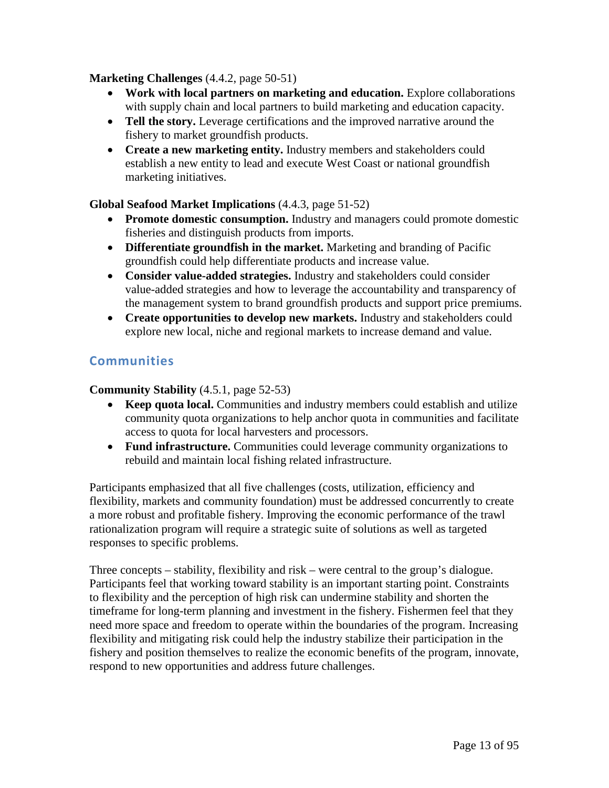### **Marketing Challenges** (4.4.2, page 50-51)

- **Work with local partners on marketing and education.** Explore collaborations with supply chain and local partners to build marketing and education capacity.
- **Tell the story.** Leverage certifications and the improved narrative around the fishery to market groundfish products.
- **Create a new marketing entity.** Industry members and stakeholders could establish a new entity to lead and execute West Coast or national groundfish marketing initiatives.

### **Global Seafood Market Implications** (4.4.3, page 51-52)

- **Promote domestic consumption.** Industry and managers could promote domestic fisheries and distinguish products from imports.
- **Differentiate groundfish in the market.** Marketing and branding of Pacific groundfish could help differentiate products and increase value.
- **Consider value-added strategies.** Industry and stakeholders could consider value-added strategies and how to leverage the accountability and transparency of the management system to brand groundfish products and support price premiums.
- **Create opportunities to develop new markets.** Industry and stakeholders could explore new local, niche and regional markets to increase demand and value.

# **Communities**

**Community Stability** (4.5.1, page 52-53)

- **Keep quota local.** Communities and industry members could establish and utilize community quota organizations to help anchor quota in communities and facilitate access to quota for local harvesters and processors.
- **Fund infrastructure.** Communities could leverage community organizations to rebuild and maintain local fishing related infrastructure.

Participants emphasized that all five challenges (costs, utilization, efficiency and flexibility, markets and community foundation) must be addressed concurrently to create a more robust and profitable fishery. Improving the economic performance of the trawl rationalization program will require a strategic suite of solutions as well as targeted responses to specific problems.

Three concepts – stability, flexibility and risk – were central to the group's dialogue. Participants feel that working toward stability is an important starting point. Constraints to flexibility and the perception of high risk can undermine stability and shorten the timeframe for long-term planning and investment in the fishery. Fishermen feel that they need more space and freedom to operate within the boundaries of the program. Increasing flexibility and mitigating risk could help the industry stabilize their participation in the fishery and position themselves to realize the economic benefits of the program, innovate, respond to new opportunities and address future challenges.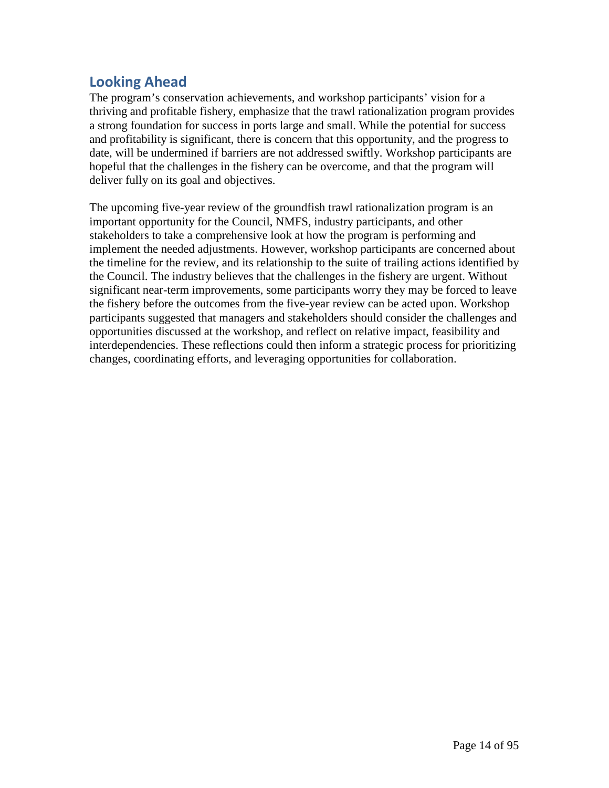# **Looking Ahead**

The program's conservation achievements, and workshop participants' vision for a thriving and profitable fishery, emphasize that the trawl rationalization program provides a strong foundation for success in ports large and small. While the potential for success and profitability is significant, there is concern that this opportunity, and the progress to date, will be undermined if barriers are not addressed swiftly. Workshop participants are hopeful that the challenges in the fishery can be overcome, and that the program will deliver fully on its goal and objectives.

The upcoming five-year review of the groundfish trawl rationalization program is an important opportunity for the Council, NMFS, industry participants, and other stakeholders to take a comprehensive look at how the program is performing and implement the needed adjustments. However, workshop participants are concerned about the timeline for the review, and its relationship to the suite of trailing actions identified by the Council. The industry believes that the challenges in the fishery are urgent. Without significant near-term improvements, some participants worry they may be forced to leave the fishery before the outcomes from the five-year review can be acted upon. Workshop participants suggested that managers and stakeholders should consider the challenges and opportunities discussed at the workshop, and reflect on relative impact, feasibility and interdependencies. These reflections could then inform a strategic process for prioritizing changes, coordinating efforts, and leveraging opportunities for collaboration.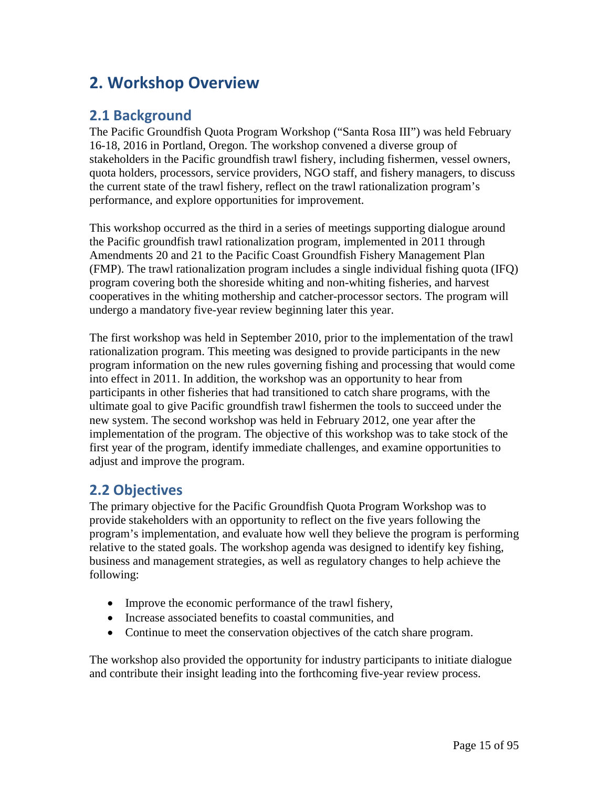# **2. Workshop Overview**

# **2.1 Background**

The Pacific Groundfish Quota Program Workshop ("Santa Rosa III") was held February 16-18, 2016 in Portland, Oregon. The workshop convened a diverse group of stakeholders in the Pacific groundfish trawl fishery, including fishermen, vessel owners, quota holders, processors, service providers, NGO staff, and fishery managers, to discuss the current state of the trawl fishery, reflect on the trawl rationalization program's performance, and explore opportunities for improvement.

This workshop occurred as the third in a series of meetings supporting dialogue around the Pacific groundfish trawl rationalization program, implemented in 2011 through Amendments 20 and 21 to the Pacific Coast Groundfish Fishery Management Plan (FMP). The trawl rationalization program includes a single individual fishing quota (IFQ) program covering both the shoreside whiting and non-whiting fisheries, and harvest cooperatives in the whiting mothership and catcher-processor sectors. The program will undergo a mandatory five-year review beginning later this year.

The first workshop was held in September 2010, prior to the implementation of the trawl rationalization program. This meeting was designed to provide participants in the new program information on the new rules governing fishing and processing that would come into effect in 2011. In addition, the workshop was an opportunity to hear from participants in other fisheries that had transitioned to catch share programs, with the ultimate goal to give Pacific groundfish trawl fishermen the tools to succeed under the new system. The second workshop was held in February 2012, one year after the implementation of the program. The objective of this workshop was to take stock of the first year of the program, identify immediate challenges, and examine opportunities to adjust and improve the program.

# **2.2 Objectives**

The primary objective for the Pacific Groundfish Quota Program Workshop was to provide stakeholders with an opportunity to reflect on the five years following the program's implementation, and evaluate how well they believe the program is performing relative to the stated goals. The workshop agenda was designed to identify key fishing, business and management strategies, as well as regulatory changes to help achieve the following:

- Improve the economic performance of the trawl fishery,
- Increase associated benefits to coastal communities, and
- Continue to meet the conservation objectives of the catch share program.

The workshop also provided the opportunity for industry participants to initiate dialogue and contribute their insight leading into the forthcoming five-year review process.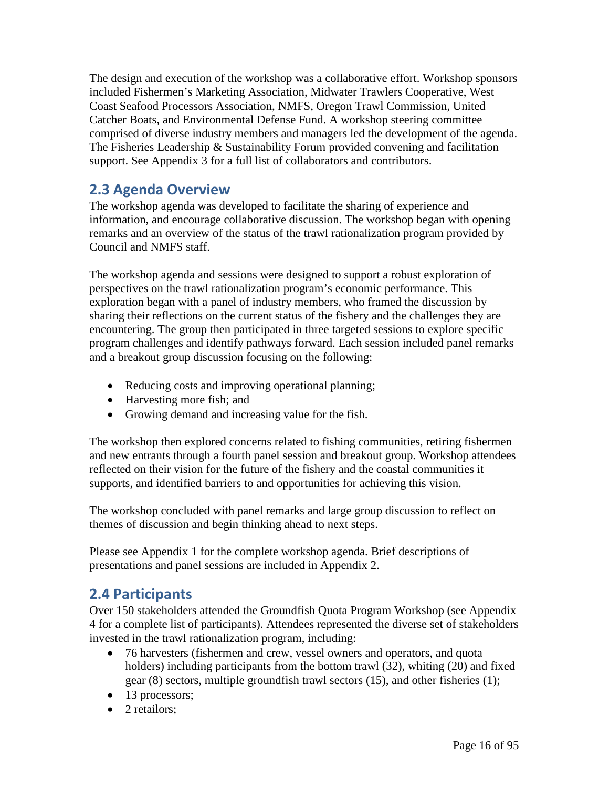The design and execution of the workshop was a collaborative effort. Workshop sponsors included Fishermen's Marketing Association, Midwater Trawlers Cooperative, West Coast Seafood Processors Association, NMFS, Oregon Trawl Commission, United Catcher Boats, and Environmental Defense Fund. A workshop steering committee comprised of diverse industry members and managers led the development of the agenda. The Fisheries Leadership & Sustainability Forum provided convening and facilitation support. See Appendix 3 for a full list of collaborators and contributors.

# **2.3 Agenda Overview**

The workshop agenda was developed to facilitate the sharing of experience and information, and encourage collaborative discussion. The workshop began with opening remarks and an overview of the status of the trawl rationalization program provided by Council and NMFS staff.

The workshop agenda and sessions were designed to support a robust exploration of perspectives on the trawl rationalization program's economic performance. This exploration began with a panel of industry members, who framed the discussion by sharing their reflections on the current status of the fishery and the challenges they are encountering. The group then participated in three targeted sessions to explore specific program challenges and identify pathways forward. Each session included panel remarks and a breakout group discussion focusing on the following:

- Reducing costs and improving operational planning;
- Harvesting more fish; and
- Growing demand and increasing value for the fish.

The workshop then explored concerns related to fishing communities, retiring fishermen and new entrants through a fourth panel session and breakout group. Workshop attendees reflected on their vision for the future of the fishery and the coastal communities it supports, and identified barriers to and opportunities for achieving this vision.

The workshop concluded with panel remarks and large group discussion to reflect on themes of discussion and begin thinking ahead to next steps.

Please see Appendix 1 for the complete workshop agenda. Brief descriptions of presentations and panel sessions are included in Appendix 2.

# **2.4 Participants**

Over 150 stakeholders attended the Groundfish Quota Program Workshop (see Appendix 4 for a complete list of participants). Attendees represented the diverse set of stakeholders invested in the trawl rationalization program, including:

- 76 harvesters (fishermen and crew, vessel owners and operators, and quota holders) including participants from the bottom trawl (32), whiting (20) and fixed gear (8) sectors, multiple groundfish trawl sectors (15), and other fisheries (1);
- 13 processors;
- 2 retailors: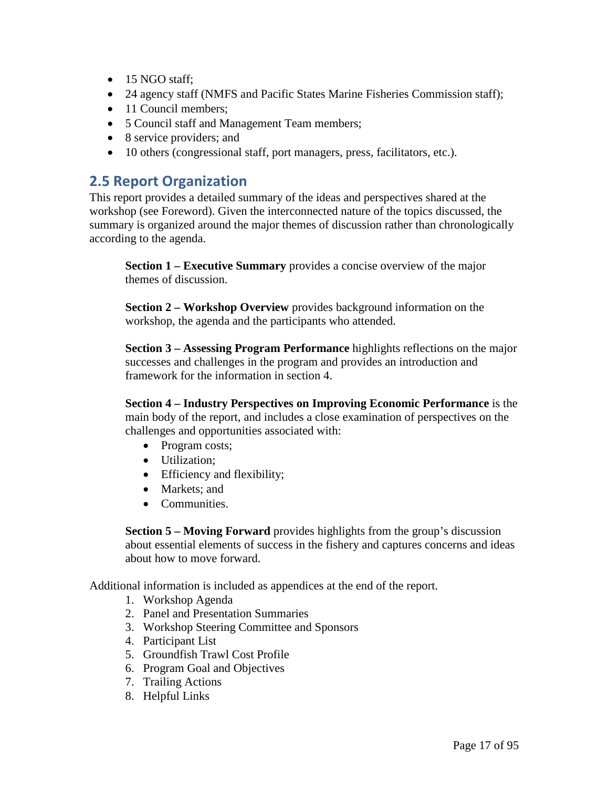- 15 NGO staff;
- 24 agency staff (NMFS and Pacific States Marine Fisheries Commission staff);
- 11 Council members;
- 5 Council staff and Management Team members;
- 8 service providers; and
- 10 others (congressional staff, port managers, press, facilitators, etc.).

# **2.5 Report Organization**

This report provides a detailed summary of the ideas and perspectives shared at the workshop (see Foreword). Given the interconnected nature of the topics discussed, the summary is organized around the major themes of discussion rather than chronologically according to the agenda.

**Section 1 – Executive Summary** provides a concise overview of the major themes of discussion.

**Section 2 – Workshop Overview** provides background information on the workshop, the agenda and the participants who attended.

**Section 3 – Assessing Program Performance** highlights reflections on the major successes and challenges in the program and provides an introduction and framework for the information in section 4.

**Section 4 – Industry Perspectives on Improving Economic Performance** is the main body of the report, and includes a close examination of perspectives on the challenges and opportunities associated with:

- Program costs;
- Utilization;
- Efficiency and flexibility;
- Markets: and
- Communities.

**Section 5 – Moving Forward** provides highlights from the group's discussion about essential elements of success in the fishery and captures concerns and ideas about how to move forward.

Additional information is included as appendices at the end of the report.

- 1. Workshop Agenda
- 2. Panel and Presentation Summaries
- 3. Workshop Steering Committee and Sponsors
- 4. Participant List
- 5. Groundfish Trawl Cost Profile
- 6. Program Goal and Objectives
- 7. Trailing Actions
- 8. Helpful Links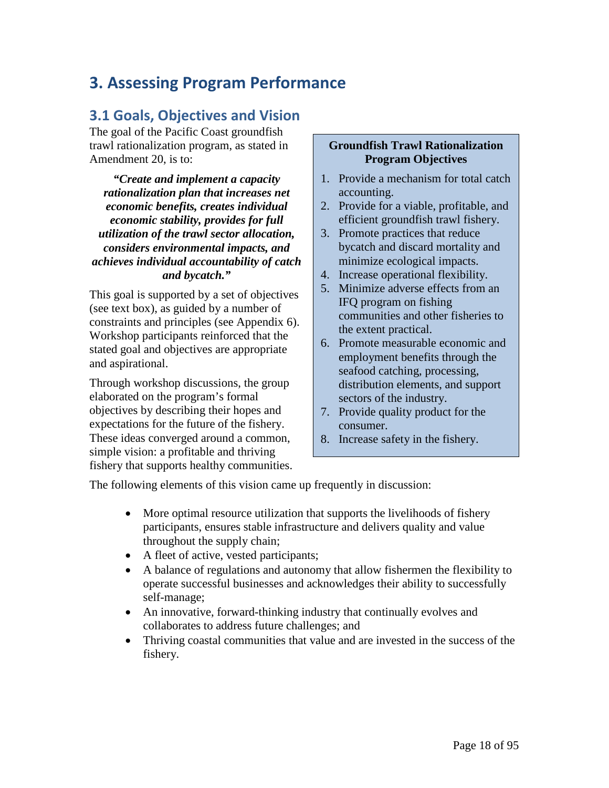# **3. Assessing Program Performance**

# **3.1 Goals, Objectives and Vision**

The goal of the Pacific Coast groundfish trawl rationalization program, as stated in Amendment 20, is to:

*"Create and implement a capacity rationalization plan that increases net economic benefits, creates individual economic stability, provides for full utilization of the trawl sector allocation, considers environmental impacts, and achieves individual accountability of catch and bycatch."*

This goal is supported by a set of objectives (see text box), as guided by a number of constraints and principles (see Appendix 6). Workshop participants reinforced that the stated goal and objectives are appropriate and aspirational.

Through workshop discussions, the group elaborated on the program's formal objectives by describing their hopes and expectations for the future of the fishery. These ideas converged around a common, simple vision: a profitable and thriving fishery that supports healthy communities.

#### **Groundfish Trawl Rationalization Program Objectives**

- 1. Provide a mechanism for total catch accounting.
- 2. Provide for a viable, profitable, and efficient groundfish trawl fishery.
- 3. Promote practices that reduce bycatch and discard mortality and minimize ecological impacts.
- 4. Increase operational flexibility.
- 5. Minimize adverse effects from an IFQ program on fishing communities and other fisheries to the extent practical.
- 6. Promote measurable economic and employment benefits through the seafood catching, processing, distribution elements, and support sectors of the industry.
- 7. Provide quality product for the consumer.
- 8. Increase safety in the fishery.

The following elements of this vision came up frequently in discussion:

- More optimal resource utilization that supports the livelihoods of fishery participants, ensures stable infrastructure and delivers quality and value throughout the supply chain;
- A fleet of active, vested participants;
- A balance of regulations and autonomy that allow fishermen the flexibility to operate successful businesses and acknowledges their ability to successfully self-manage;
- An innovative, forward-thinking industry that continually evolves and collaborates to address future challenges; and
- Thriving coastal communities that value and are invested in the success of the fishery.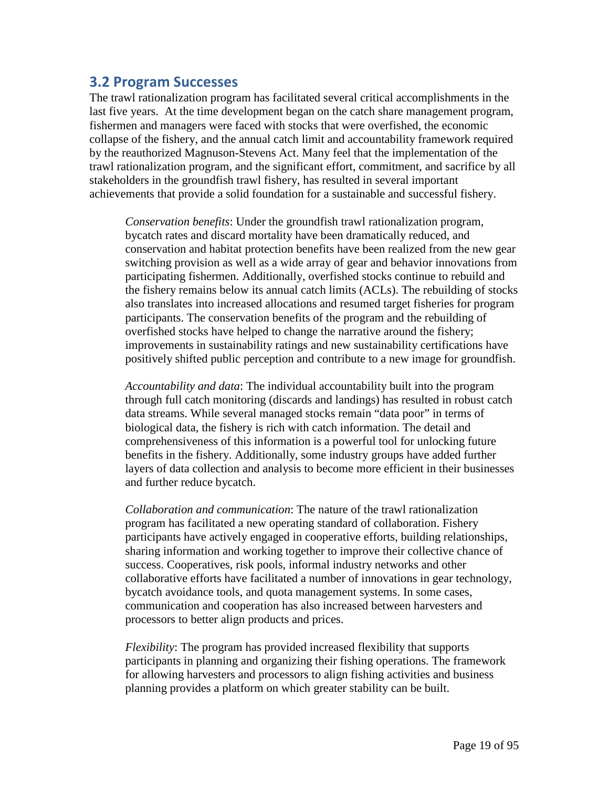# **3.2 Program Successes**

The trawl rationalization program has facilitated several critical accomplishments in the last five years. At the time development began on the catch share management program, fishermen and managers were faced with stocks that were overfished, the economic collapse of the fishery, and the annual catch limit and accountability framework required by the reauthorized Magnuson-Stevens Act. Many feel that the implementation of the trawl rationalization program, and the significant effort, commitment, and sacrifice by all stakeholders in the groundfish trawl fishery, has resulted in several important achievements that provide a solid foundation for a sustainable and successful fishery.

*Conservation benefits*: Under the groundfish trawl rationalization program, bycatch rates and discard mortality have been dramatically reduced, and conservation and habitat protection benefits have been realized from the new gear switching provision as well as a wide array of gear and behavior innovations from participating fishermen. Additionally, overfished stocks continue to rebuild and the fishery remains below its annual catch limits (ACLs). The rebuilding of stocks also translates into increased allocations and resumed target fisheries for program participants. The conservation benefits of the program and the rebuilding of overfished stocks have helped to change the narrative around the fishery; improvements in sustainability ratings and new sustainability certifications have positively shifted public perception and contribute to a new image for groundfish.

*Accountability and data*: The individual accountability built into the program through full catch monitoring (discards and landings) has resulted in robust catch data streams. While several managed stocks remain "data poor" in terms of biological data, the fishery is rich with catch information. The detail and comprehensiveness of this information is a powerful tool for unlocking future benefits in the fishery. Additionally, some industry groups have added further layers of data collection and analysis to become more efficient in their businesses and further reduce bycatch.

*Collaboration and communication*: The nature of the trawl rationalization program has facilitated a new operating standard of collaboration. Fishery participants have actively engaged in cooperative efforts, building relationships, sharing information and working together to improve their collective chance of success. Cooperatives, risk pools, informal industry networks and other collaborative efforts have facilitated a number of innovations in gear technology, bycatch avoidance tools, and quota management systems. In some cases, communication and cooperation has also increased between harvesters and processors to better align products and prices.

*Flexibility*: The program has provided increased flexibility that supports participants in planning and organizing their fishing operations. The framework for allowing harvesters and processors to align fishing activities and business planning provides a platform on which greater stability can be built.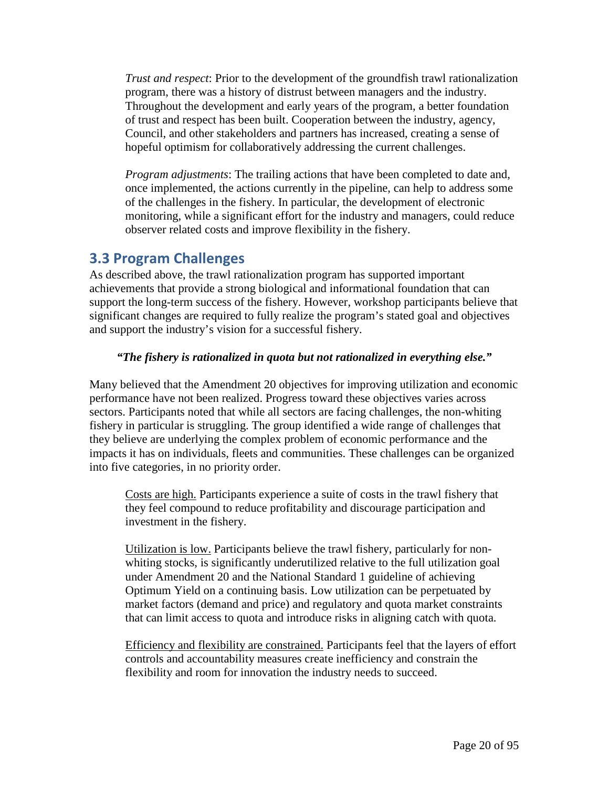*Trust and respect*: Prior to the development of the groundfish trawl rationalization program, there was a history of distrust between managers and the industry. Throughout the development and early years of the program, a better foundation of trust and respect has been built. Cooperation between the industry, agency, Council, and other stakeholders and partners has increased, creating a sense of hopeful optimism for collaboratively addressing the current challenges.

*Program adjustments*: The trailing actions that have been completed to date and, once implemented, the actions currently in the pipeline, can help to address some of the challenges in the fishery. In particular, the development of electronic monitoring, while a significant effort for the industry and managers, could reduce observer related costs and improve flexibility in the fishery.

# **3.3 Program Challenges**

As described above, the trawl rationalization program has supported important achievements that provide a strong biological and informational foundation that can support the long-term success of the fishery. However, workshop participants believe that significant changes are required to fully realize the program's stated goal and objectives and support the industry's vision for a successful fishery.

### *"The fishery is rationalized in quota but not rationalized in everything else."*

Many believed that the Amendment 20 objectives for improving utilization and economic performance have not been realized. Progress toward these objectives varies across sectors. Participants noted that while all sectors are facing challenges, the non-whiting fishery in particular is struggling. The group identified a wide range of challenges that they believe are underlying the complex problem of economic performance and the impacts it has on individuals, fleets and communities. These challenges can be organized into five categories, in no priority order.

Costs are high. Participants experience a suite of costs in the trawl fishery that they feel compound to reduce profitability and discourage participation and investment in the fishery.

Utilization is low. Participants believe the trawl fishery, particularly for nonwhiting stocks, is significantly underutilized relative to the full utilization goal under Amendment 20 and the National Standard 1 guideline of achieving Optimum Yield on a continuing basis. Low utilization can be perpetuated by market factors (demand and price) and regulatory and quota market constraints that can limit access to quota and introduce risks in aligning catch with quota.

Efficiency and flexibility are constrained. Participants feel that the layers of effort controls and accountability measures create inefficiency and constrain the flexibility and room for innovation the industry needs to succeed.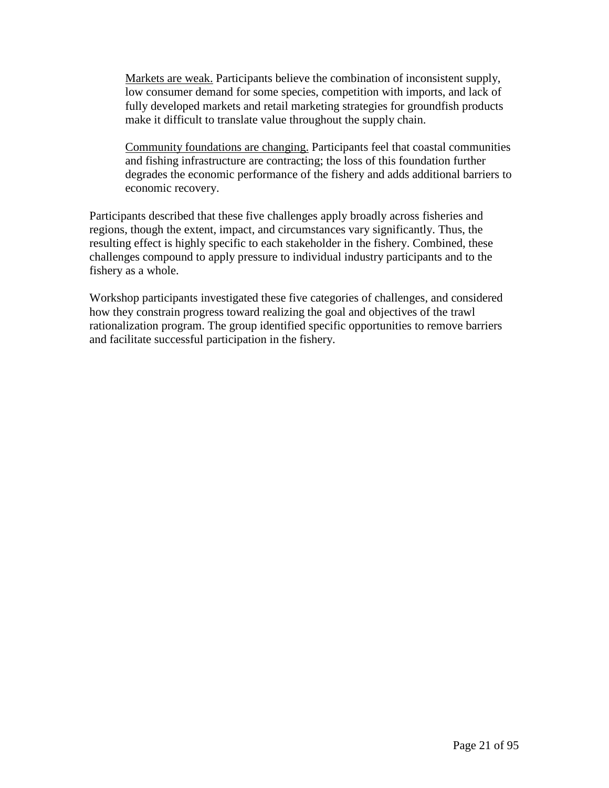Markets are weak. Participants believe the combination of inconsistent supply, low consumer demand for some species, competition with imports, and lack of fully developed markets and retail marketing strategies for groundfish products make it difficult to translate value throughout the supply chain.

Community foundations are changing. Participants feel that coastal communities and fishing infrastructure are contracting; the loss of this foundation further degrades the economic performance of the fishery and adds additional barriers to economic recovery.

Participants described that these five challenges apply broadly across fisheries and regions, though the extent, impact, and circumstances vary significantly. Thus, the resulting effect is highly specific to each stakeholder in the fishery. Combined, these challenges compound to apply pressure to individual industry participants and to the fishery as a whole.

Workshop participants investigated these five categories of challenges, and considered how they constrain progress toward realizing the goal and objectives of the trawl rationalization program. The group identified specific opportunities to remove barriers and facilitate successful participation in the fishery.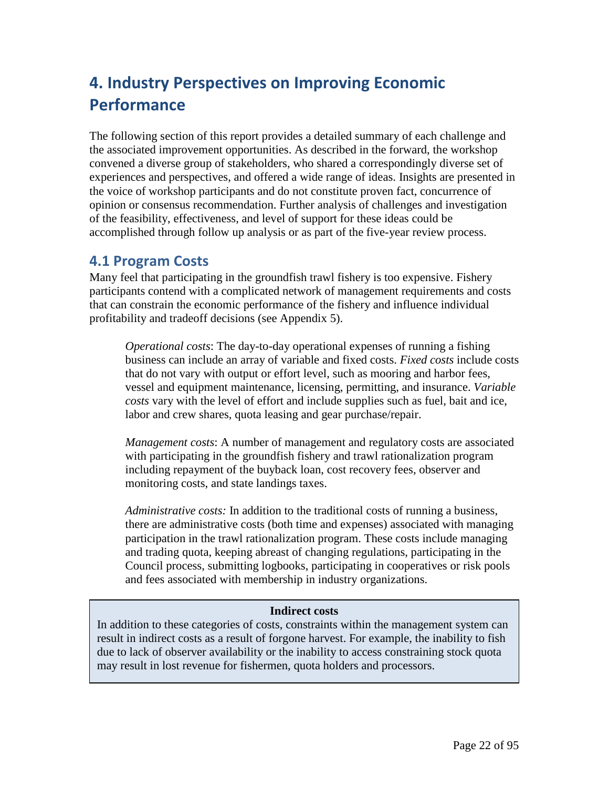# **4. Industry Perspectives on Improving Economic Performance**

The following section of this report provides a detailed summary of each challenge and the associated improvement opportunities. As described in the forward, the workshop convened a diverse group of stakeholders, who shared a correspondingly diverse set of experiences and perspectives, and offered a wide range of ideas. Insights are presented in the voice of workshop participants and do not constitute proven fact, concurrence of opinion or consensus recommendation. Further analysis of challenges and investigation of the feasibility, effectiveness, and level of support for these ideas could be accomplished through follow up analysis or as part of the five-year review process.

# **4.1 Program Costs**

Many feel that participating in the groundfish trawl fishery is too expensive. Fishery participants contend with a complicated network of management requirements and costs that can constrain the economic performance of the fishery and influence individual profitability and tradeoff decisions (see Appendix 5).

*Operational costs*: The day-to-day operational expenses of running a fishing business can include an array of variable and fixed costs. *Fixed costs* include costs that do not vary with output or effort level, such as mooring and harbor fees, vessel and equipment maintenance, licensing, permitting, and insurance. *Variable costs* vary with the level of effort and include supplies such as fuel, bait and ice, labor and crew shares, quota leasing and gear purchase/repair.

*Management costs*: A number of management and regulatory costs are associated with participating in the groundfish fishery and trawl rationalization program including repayment of the buyback loan, cost recovery fees, observer and monitoring costs, and state landings taxes.

*Administrative costs:* In addition to the traditional costs of running a business, there are administrative costs (both time and expenses) associated with managing participation in the trawl rationalization program. These costs include managing and trading quota, keeping abreast of changing regulations, participating in the Council process, submitting logbooks, participating in cooperatives or risk pools and fees associated with membership in industry organizations.

### **Indirect costs**

In addition to these categories of costs, constraints within the management system can result in indirect costs as a result of forgone harvest. For example, the inability to fish due to lack of observer availability or the inability to access constraining stock quota may result in lost revenue for fishermen, quota holders and processors.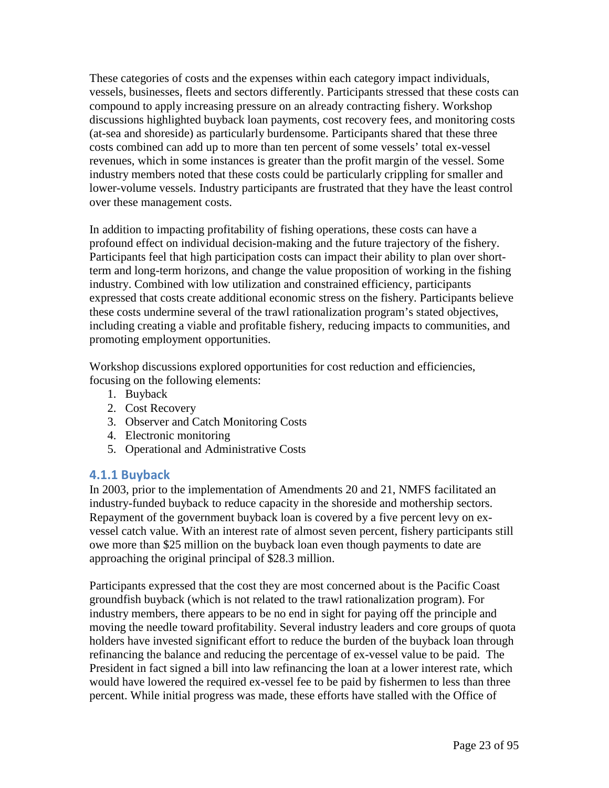These categories of costs and the expenses within each category impact individuals, vessels, businesses, fleets and sectors differently. Participants stressed that these costs can compound to apply increasing pressure on an already contracting fishery. Workshop discussions highlighted buyback loan payments, cost recovery fees, and monitoring costs (at-sea and shoreside) as particularly burdensome. Participants shared that these three costs combined can add up to more than ten percent of some vessels' total ex-vessel revenues, which in some instances is greater than the profit margin of the vessel. Some industry members noted that these costs could be particularly crippling for smaller and lower-volume vessels. Industry participants are frustrated that they have the least control over these management costs.

In addition to impacting profitability of fishing operations, these costs can have a profound effect on individual decision-making and the future trajectory of the fishery. Participants feel that high participation costs can impact their ability to plan over shortterm and long-term horizons, and change the value proposition of working in the fishing industry. Combined with low utilization and constrained efficiency, participants expressed that costs create additional economic stress on the fishery. Participants believe these costs undermine several of the trawl rationalization program's stated objectives, including creating a viable and profitable fishery, reducing impacts to communities, and promoting employment opportunities.

Workshop discussions explored opportunities for cost reduction and efficiencies, focusing on the following elements:

- 1. Buyback
- 2. Cost Recovery
- 3. Observer and Catch Monitoring Costs
- 4. Electronic monitoring
- 5. Operational and Administrative Costs

### **4.1.1 Buyback**

In 2003, prior to the implementation of Amendments 20 and 21, NMFS facilitated an industry-funded buyback to reduce capacity in the shoreside and mothership sectors. Repayment of the government buyback loan is covered by a five percent levy on exvessel catch value. With an interest rate of almost seven percent, fishery participants still owe more than \$25 million on the buyback loan even though payments to date are approaching the original principal of \$28.3 million.

Participants expressed that the cost they are most concerned about is the Pacific Coast groundfish buyback (which is not related to the trawl rationalization program). For industry members, there appears to be no end in sight for paying off the principle and moving the needle toward profitability. Several industry leaders and core groups of quota holders have invested significant effort to reduce the burden of the buyback loan through refinancing the balance and reducing the percentage of ex-vessel value to be paid. The President in fact signed a bill into law refinancing the loan at a lower interest rate, which would have lowered the required ex-vessel fee to be paid by fishermen to less than three percent. While initial progress was made, these efforts have stalled with the Office of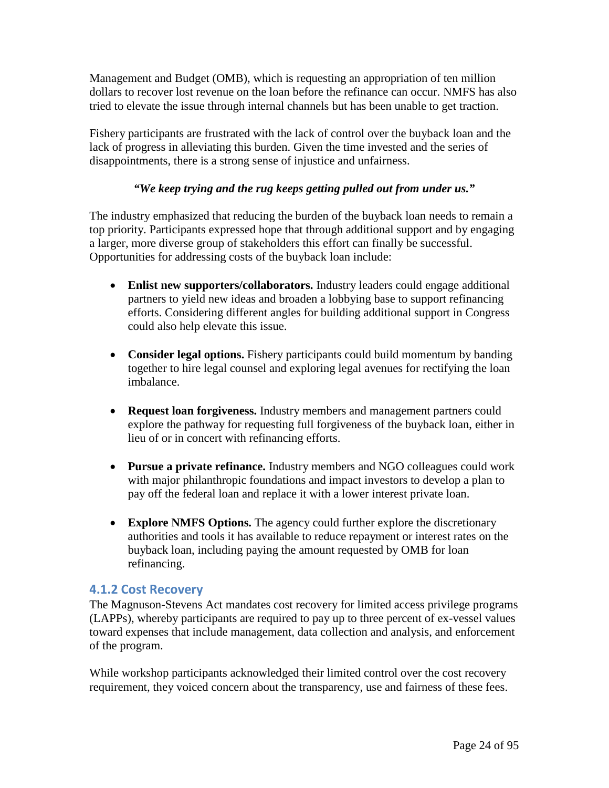Management and Budget (OMB), which is requesting an appropriation of ten million dollars to recover lost revenue on the loan before the refinance can occur. NMFS has also tried to elevate the issue through internal channels but has been unable to get traction.

Fishery participants are frustrated with the lack of control over the buyback loan and the lack of progress in alleviating this burden. Given the time invested and the series of disappointments, there is a strong sense of injustice and unfairness.

### *"We keep trying and the rug keeps getting pulled out from under us."*

The industry emphasized that reducing the burden of the buyback loan needs to remain a top priority. Participants expressed hope that through additional support and by engaging a larger, more diverse group of stakeholders this effort can finally be successful. Opportunities for addressing costs of the buyback loan include:

- **Enlist new supporters/collaborators.** Industry leaders could engage additional partners to yield new ideas and broaden a lobbying base to support refinancing efforts. Considering different angles for building additional support in Congress could also help elevate this issue.
- **Consider legal options.** Fishery participants could build momentum by banding together to hire legal counsel and exploring legal avenues for rectifying the loan imbalance.
- **Request loan forgiveness.** Industry members and management partners could explore the pathway for requesting full forgiveness of the buyback loan, either in lieu of or in concert with refinancing efforts.
- **Pursue a private refinance.** Industry members and NGO colleagues could work with major philanthropic foundations and impact investors to develop a plan to pay off the federal loan and replace it with a lower interest private loan.
- **Explore NMFS Options.** The agency could further explore the discretionary authorities and tools it has available to reduce repayment or interest rates on the buyback loan, including paying the amount requested by OMB for loan refinancing.

### **4.1.2 Cost Recovery**

The Magnuson-Stevens Act mandates cost recovery for limited access privilege programs (LAPPs), whereby participants are required to pay up to three percent of ex-vessel values toward expenses that include management, data collection and analysis, and enforcement of the program.

While workshop participants acknowledged their limited control over the cost recovery requirement, they voiced concern about the transparency, use and fairness of these fees.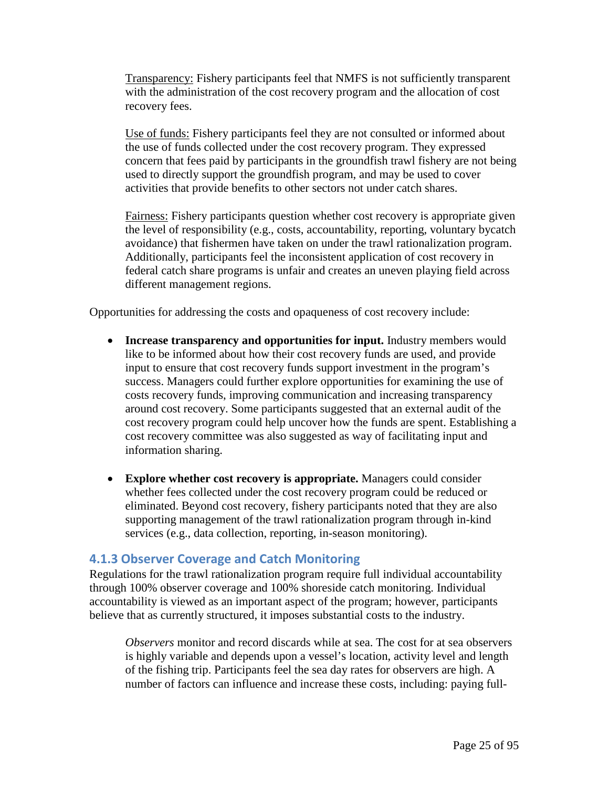Transparency: Fishery participants feel that NMFS is not sufficiently transparent with the administration of the cost recovery program and the allocation of cost recovery fees.

Use of funds: Fishery participants feel they are not consulted or informed about the use of funds collected under the cost recovery program. They expressed concern that fees paid by participants in the groundfish trawl fishery are not being used to directly support the groundfish program, and may be used to cover activities that provide benefits to other sectors not under catch shares.

Fairness: Fishery participants question whether cost recovery is appropriate given the level of responsibility (e.g., costs, accountability, reporting, voluntary bycatch avoidance) that fishermen have taken on under the trawl rationalization program. Additionally, participants feel the inconsistent application of cost recovery in federal catch share programs is unfair and creates an uneven playing field across different management regions.

Opportunities for addressing the costs and opaqueness of cost recovery include:

- **Increase transparency and opportunities for input.** Industry members would like to be informed about how their cost recovery funds are used, and provide input to ensure that cost recovery funds support investment in the program's success. Managers could further explore opportunities for examining the use of costs recovery funds, improving communication and increasing transparency around cost recovery. Some participants suggested that an external audit of the cost recovery program could help uncover how the funds are spent. Establishing a cost recovery committee was also suggested as way of facilitating input and information sharing.
- **Explore whether cost recovery is appropriate.** Managers could consider whether fees collected under the cost recovery program could be reduced or eliminated. Beyond cost recovery, fishery participants noted that they are also supporting management of the trawl rationalization program through in-kind services (e.g., data collection, reporting, in-season monitoring).

### **4.1.3 Observer Coverage and Catch Monitoring**

Regulations for the trawl rationalization program require full individual accountability through 100% observer coverage and 100% shoreside catch monitoring. Individual accountability is viewed as an important aspect of the program; however, participants believe that as currently structured, it imposes substantial costs to the industry.

*Observers* monitor and record discards while at sea. The cost for at sea observers is highly variable and depends upon a vessel's location, activity level and length of the fishing trip. Participants feel the sea day rates for observers are high. A number of factors can influence and increase these costs, including: paying full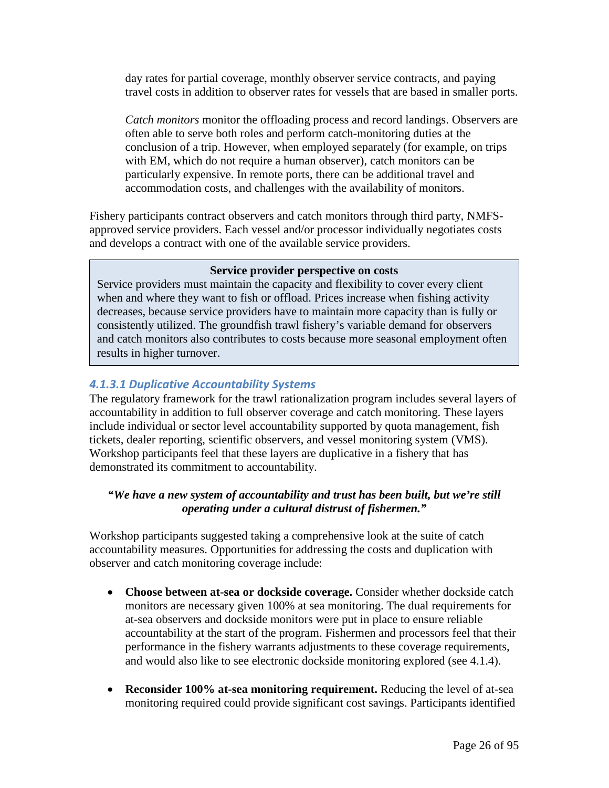day rates for partial coverage, monthly observer service contracts, and paying travel costs in addition to observer rates for vessels that are based in smaller ports.

*Catch monitors* monitor the offloading process and record landings. Observers are often able to serve both roles and perform catch-monitoring duties at the conclusion of a trip. However, when employed separately (for example, on trips with EM, which do not require a human observer), catch monitors can be particularly expensive. In remote ports, there can be additional travel and accommodation costs, and challenges with the availability of monitors.

Fishery participants contract observers and catch monitors through third party, NMFSapproved service providers. Each vessel and/or processor individually negotiates costs and develops a contract with one of the available service providers.

### **Service provider perspective on costs**

Service providers must maintain the capacity and flexibility to cover every client when and where they want to fish or offload. Prices increase when fishing activity decreases, because service providers have to maintain more capacity than is fully or consistently utilized. The groundfish trawl fishery's variable demand for observers and catch monitors also contributes to costs because more seasonal employment often results in higher turnover.

### *4.1.3.1 Duplicative Accountability Systems*

The regulatory framework for the trawl rationalization program includes several layers of accountability in addition to full observer coverage and catch monitoring. These layers include individual or sector level accountability supported by quota management, fish tickets, dealer reporting, scientific observers, and vessel monitoring system (VMS). Workshop participants feel that these layers are duplicative in a fishery that has demonstrated its commitment to accountability.

### *"We have a new system of accountability and trust has been built, but we're still operating under a cultural distrust of fishermen."*

Workshop participants suggested taking a comprehensive look at the suite of catch accountability measures. Opportunities for addressing the costs and duplication with observer and catch monitoring coverage include:

- **Choose between at-sea or dockside coverage.** Consider whether dockside catch monitors are necessary given 100% at sea monitoring. The dual requirements for at-sea observers and dockside monitors were put in place to ensure reliable accountability at the start of the program. Fishermen and processors feel that their performance in the fishery warrants adjustments to these coverage requirements, and would also like to see electronic dockside monitoring explored (see 4.1.4).
- **Reconsider 100% at-sea monitoring requirement.** Reducing the level of at-sea monitoring required could provide significant cost savings. Participants identified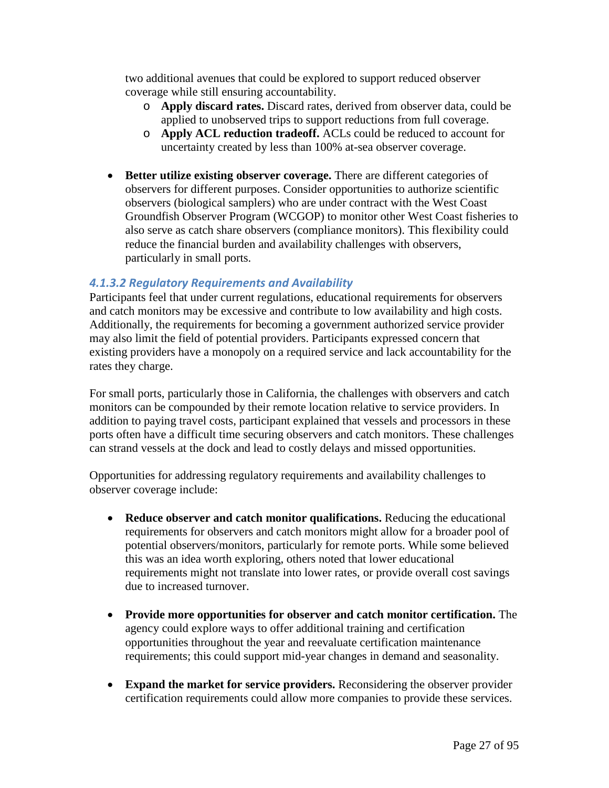two additional avenues that could be explored to support reduced observer coverage while still ensuring accountability.

- o **Apply discard rates.** Discard rates, derived from observer data, could be applied to unobserved trips to support reductions from full coverage.
- o **Apply ACL reduction tradeoff.** ACLs could be reduced to account for uncertainty created by less than 100% at-sea observer coverage.
- **Better utilize existing observer coverage.** There are different categories of observers for different purposes. Consider opportunities to authorize scientific observers (biological samplers) who are under contract with the West Coast Groundfish Observer Program (WCGOP) to monitor other West Coast fisheries to also serve as catch share observers (compliance monitors). This flexibility could reduce the financial burden and availability challenges with observers, particularly in small ports.

### *4.1.3.2 Regulatory Requirements and Availability*

Participants feel that under current regulations, educational requirements for observers and catch monitors may be excessive and contribute to low availability and high costs. Additionally, the requirements for becoming a government authorized service provider may also limit the field of potential providers. Participants expressed concern that existing providers have a monopoly on a required service and lack accountability for the rates they charge.

For small ports, particularly those in California, the challenges with observers and catch monitors can be compounded by their remote location relative to service providers. In addition to paying travel costs, participant explained that vessels and processors in these ports often have a difficult time securing observers and catch monitors. These challenges can strand vessels at the dock and lead to costly delays and missed opportunities.

Opportunities for addressing regulatory requirements and availability challenges to observer coverage include:

- **Reduce observer and catch monitor qualifications.** Reducing the educational requirements for observers and catch monitors might allow for a broader pool of potential observers/monitors, particularly for remote ports. While some believed this was an idea worth exploring, others noted that lower educational requirements might not translate into lower rates, or provide overall cost savings due to increased turnover.
- **Provide more opportunities for observer and catch monitor certification.** The agency could explore ways to offer additional training and certification opportunities throughout the year and reevaluate certification maintenance requirements; this could support mid-year changes in demand and seasonality.
- **Expand the market for service providers.** Reconsidering the observer provider certification requirements could allow more companies to provide these services.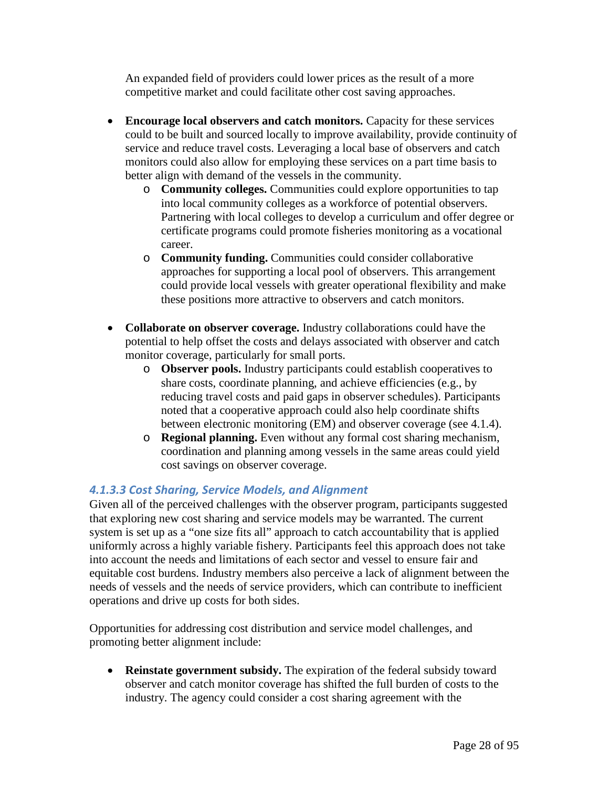An expanded field of providers could lower prices as the result of a more competitive market and could facilitate other cost saving approaches.

- **Encourage local observers and catch monitors.** Capacity for these services could to be built and sourced locally to improve availability, provide continuity of service and reduce travel costs. Leveraging a local base of observers and catch monitors could also allow for employing these services on a part time basis to better align with demand of the vessels in the community.
	- o **Community colleges.** Communities could explore opportunities to tap into local community colleges as a workforce of potential observers. Partnering with local colleges to develop a curriculum and offer degree or certificate programs could promote fisheries monitoring as a vocational career.
	- o **Community funding.** Communities could consider collaborative approaches for supporting a local pool of observers. This arrangement could provide local vessels with greater operational flexibility and make these positions more attractive to observers and catch monitors.
- **Collaborate on observer coverage.** Industry collaborations could have the potential to help offset the costs and delays associated with observer and catch monitor coverage, particularly for small ports.
	- o **Observer pools.** Industry participants could establish cooperatives to share costs, coordinate planning, and achieve efficiencies (e.g., by reducing travel costs and paid gaps in observer schedules). Participants noted that a cooperative approach could also help coordinate shifts between electronic monitoring (EM) and observer coverage (see 4.1.4).
	- o **Regional planning.** Even without any formal cost sharing mechanism, coordination and planning among vessels in the same areas could yield cost savings on observer coverage.

### *4.1.3.3 Cost Sharing, Service Models, and Alignment*

Given all of the perceived challenges with the observer program, participants suggested that exploring new cost sharing and service models may be warranted. The current system is set up as a "one size fits all" approach to catch accountability that is applied uniformly across a highly variable fishery. Participants feel this approach does not take into account the needs and limitations of each sector and vessel to ensure fair and equitable cost burdens. Industry members also perceive a lack of alignment between the needs of vessels and the needs of service providers, which can contribute to inefficient operations and drive up costs for both sides.

Opportunities for addressing cost distribution and service model challenges, and promoting better alignment include:

• **Reinstate government subsidy.** The expiration of the federal subsidy toward observer and catch monitor coverage has shifted the full burden of costs to the industry. The agency could consider a cost sharing agreement with the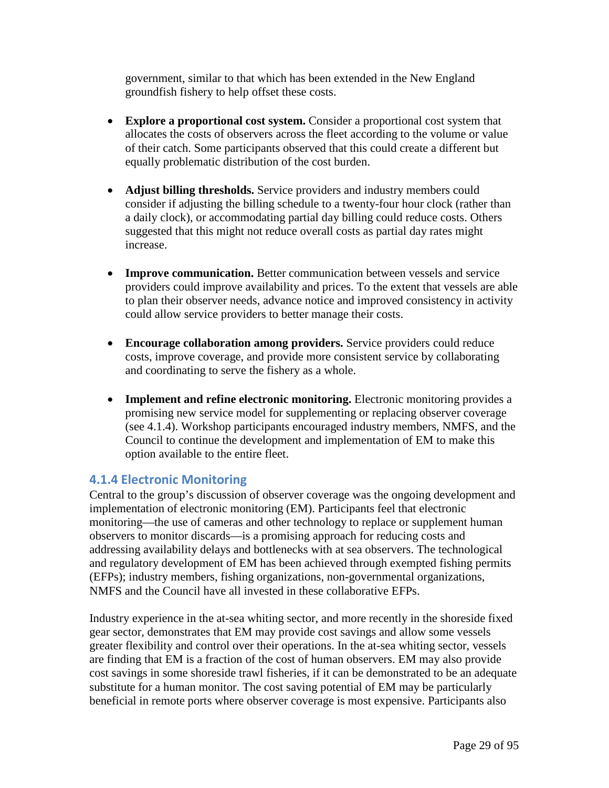government, similar to that which has been extended in the New England groundfish fishery to help offset these costs.

- **Explore a proportional cost system.** Consider a proportional cost system that allocates the costs of observers across the fleet according to the volume or value of their catch. Some participants observed that this could create a different but equally problematic distribution of the cost burden.
- **Adjust billing thresholds.** Service providers and industry members could consider if adjusting the billing schedule to a twenty-four hour clock (rather than a daily clock), or accommodating partial day billing could reduce costs. Others suggested that this might not reduce overall costs as partial day rates might increase.
- **Improve communication.** Better communication between vessels and service providers could improve availability and prices. To the extent that vessels are able to plan their observer needs, advance notice and improved consistency in activity could allow service providers to better manage their costs.
- **Encourage collaboration among providers.** Service providers could reduce costs, improve coverage, and provide more consistent service by collaborating and coordinating to serve the fishery as a whole.
- **Implement and refine electronic monitoring.** Electronic monitoring provides a promising new service model for supplementing or replacing observer coverage (see 4.1.4). Workshop participants encouraged industry members, NMFS, and the Council to continue the development and implementation of EM to make this option available to the entire fleet.

### **4.1.4 Electronic Monitoring**

Central to the group's discussion of observer coverage was the ongoing development and implementation of electronic monitoring (EM). Participants feel that electronic monitoring—the use of cameras and other technology to replace or supplement human observers to monitor discards—is a promising approach for reducing costs and addressing availability delays and bottlenecks with at sea observers. The technological and regulatory development of EM has been achieved through exempted fishing permits (EFPs); industry members, fishing organizations, non-governmental organizations, NMFS and the Council have all invested in these collaborative EFPs.

Industry experience in the at-sea whiting sector, and more recently in the shoreside fixed gear sector, demonstrates that EM may provide cost savings and allow some vessels greater flexibility and control over their operations. In the at-sea whiting sector, vessels are finding that EM is a fraction of the cost of human observers. EM may also provide cost savings in some shoreside trawl fisheries, if it can be demonstrated to be an adequate substitute for a human monitor. The cost saving potential of EM may be particularly beneficial in remote ports where observer coverage is most expensive. Participants also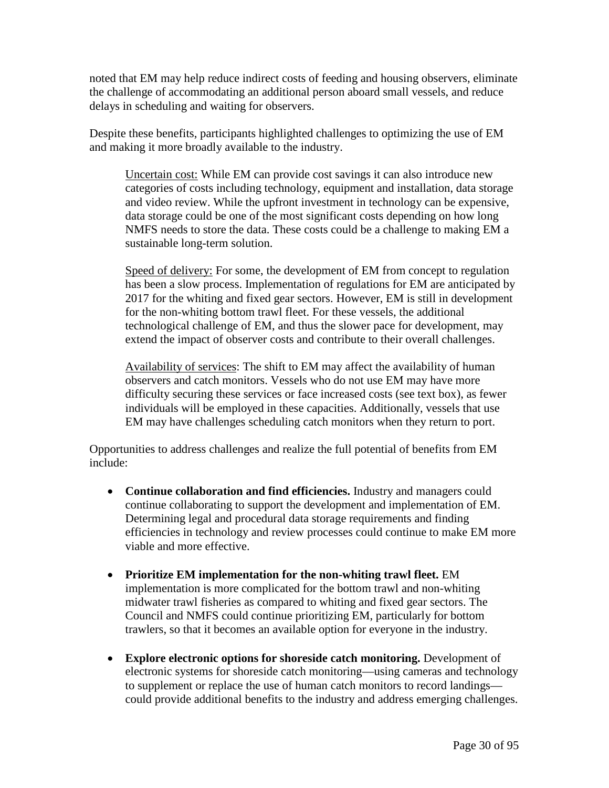noted that EM may help reduce indirect costs of feeding and housing observers, eliminate the challenge of accommodating an additional person aboard small vessels, and reduce delays in scheduling and waiting for observers.

Despite these benefits, participants highlighted challenges to optimizing the use of EM and making it more broadly available to the industry.

Uncertain cost: While EM can provide cost savings it can also introduce new categories of costs including technology, equipment and installation, data storage and video review. While the upfront investment in technology can be expensive, data storage could be one of the most significant costs depending on how long NMFS needs to store the data. These costs could be a challenge to making EM a sustainable long-term solution.

Speed of delivery: For some, the development of EM from concept to regulation has been a slow process. Implementation of regulations for EM are anticipated by 2017 for the whiting and fixed gear sectors. However, EM is still in development for the non-whiting bottom trawl fleet. For these vessels, the additional technological challenge of EM, and thus the slower pace for development, may extend the impact of observer costs and contribute to their overall challenges.

Availability of services: The shift to EM may affect the availability of human observers and catch monitors. Vessels who do not use EM may have more difficulty securing these services or face increased costs (see text box), as fewer individuals will be employed in these capacities. Additionally, vessels that use EM may have challenges scheduling catch monitors when they return to port.

Opportunities to address challenges and realize the full potential of benefits from EM include:

- **Continue collaboration and find efficiencies.** Industry and managers could continue collaborating to support the development and implementation of EM. Determining legal and procedural data storage requirements and finding efficiencies in technology and review processes could continue to make EM more viable and more effective.
- **Prioritize EM implementation for the non-whiting trawl fleet.** EM implementation is more complicated for the bottom trawl and non-whiting midwater trawl fisheries as compared to whiting and fixed gear sectors. The Council and NMFS could continue prioritizing EM, particularly for bottom trawlers, so that it becomes an available option for everyone in the industry.
- **Explore electronic options for shoreside catch monitoring.** Development of electronic systems for shoreside catch monitoring—using cameras and technology to supplement or replace the use of human catch monitors to record landings could provide additional benefits to the industry and address emerging challenges.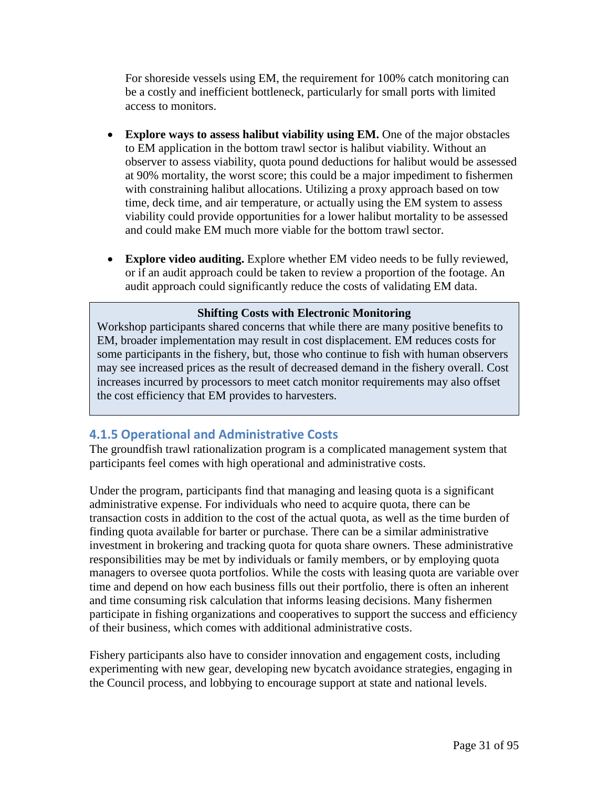For shoreside vessels using EM, the requirement for 100% catch monitoring can be a costly and inefficient bottleneck, particularly for small ports with limited access to monitors.

- **Explore ways to assess halibut viability using EM.** One of the major obstacles to EM application in the bottom trawl sector is halibut viability. Without an observer to assess viability, quota pound deductions for halibut would be assessed at 90% mortality, the worst score; this could be a major impediment to fishermen with constraining halibut allocations. Utilizing a proxy approach based on tow time, deck time, and air temperature, or actually using the EM system to assess viability could provide opportunities for a lower halibut mortality to be assessed and could make EM much more viable for the bottom trawl sector.
- **Explore video auditing.** Explore whether EM video needs to be fully reviewed, or if an audit approach could be taken to review a proportion of the footage. An audit approach could significantly reduce the costs of validating EM data.

#### **Shifting Costs with Electronic Monitoring**

Workshop participants shared concerns that while there are many positive benefits to EM, broader implementation may result in cost displacement. EM reduces costs for some participants in the fishery, but, those who continue to fish with human observers may see increased prices as the result of decreased demand in the fishery overall. Cost increases incurred by processors to meet catch monitor requirements may also offset the cost efficiency that EM provides to harvesters.

# **4.1.5 Operational and Administrative Costs**

The groundfish trawl rationalization program is a complicated management system that participants feel comes with high operational and administrative costs.

Under the program, participants find that managing and leasing quota is a significant administrative expense. For individuals who need to acquire quota, there can be transaction costs in addition to the cost of the actual quota, as well as the time burden of finding quota available for barter or purchase. There can be a similar administrative investment in brokering and tracking quota for quota share owners. These administrative responsibilities may be met by individuals or family members, or by employing quota managers to oversee quota portfolios. While the costs with leasing quota are variable over time and depend on how each business fills out their portfolio, there is often an inherent and time consuming risk calculation that informs leasing decisions. Many fishermen participate in fishing organizations and cooperatives to support the success and efficiency of their business, which comes with additional administrative costs.

Fishery participants also have to consider innovation and engagement costs, including experimenting with new gear, developing new bycatch avoidance strategies, engaging in the Council process, and lobbying to encourage support at state and national levels.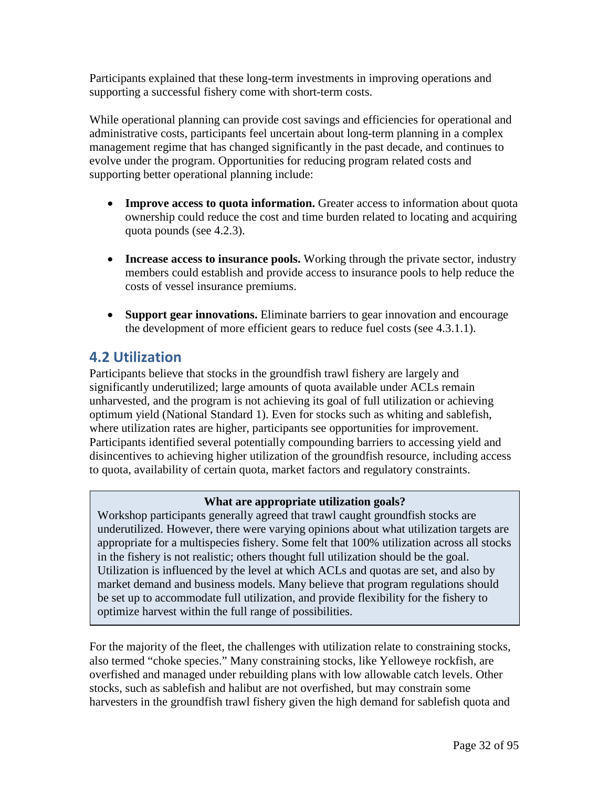Participants explained that these long-term investments in improving operations and supporting a successful fishery come with short-term costs.

While operational planning can provide cost savings and efficiencies for operational and administrative costs, participants feel uncertain about long-term planning in a complex management regime that has changed significantly in the past decade, and continues to evolve under the program. Opportunities for reducing program related costs and supporting better operational planning include:

- **Improve access to quota information.** Greater access to information about quota ownership could reduce the cost and time burden related to locating and acquiring quota pounds (see 4.2.3).
- **Increase access to insurance pools.** Working through the private sector, industry members could establish and provide access to insurance pools to help reduce the costs of vessel insurance premiums.
- **Support gear innovations.** Eliminate barriers to gear innovation and encourage the development of more efficient gears to reduce fuel costs (see 4.3.1.1).

# **4.2 Utilization**

Participants believe that stocks in the groundfish trawl fishery are largely and significantly underutilized; large amounts of quota available under ACLs remain unharvested, and the program is not achieving its goal of full utilization or achieving optimum yield (National Standard 1). Even for stocks such as whiting and sablefish, where utilization rates are higher, participants see opportunities for improvement. Participants identified several potentially compounding barriers to accessing yield and disincentives to achieving higher utilization of the groundfish resource, including access to quota, availability of certain quota, market factors and regulatory constraints.

### **What are appropriate utilization goals?**

Workshop participants generally agreed that trawl caught groundfish stocks are underutilized. However, there were varying opinions about what utilization targets are appropriate for a multispecies fishery. Some felt that 100% utilization across all stocks in the fishery is not realistic; others thought full utilization should be the goal. Utilization is influenced by the level at which ACLs and quotas are set, and also by market demand and business models. Many believe that program regulations should be set up to accommodate full utilization, and provide flexibility for the fishery to optimize harvest within the full range of possibilities.

For the majority of the fleet, the challenges with utilization relate to constraining stocks, also termed "choke species." Many constraining stocks, like Yelloweye rockfish, are overfished and managed under rebuilding plans with low allowable catch levels. Other stocks, such as sablefish and halibut are not overfished, but may constrain some harvesters in the groundfish trawl fishery given the high demand for sablefish quota and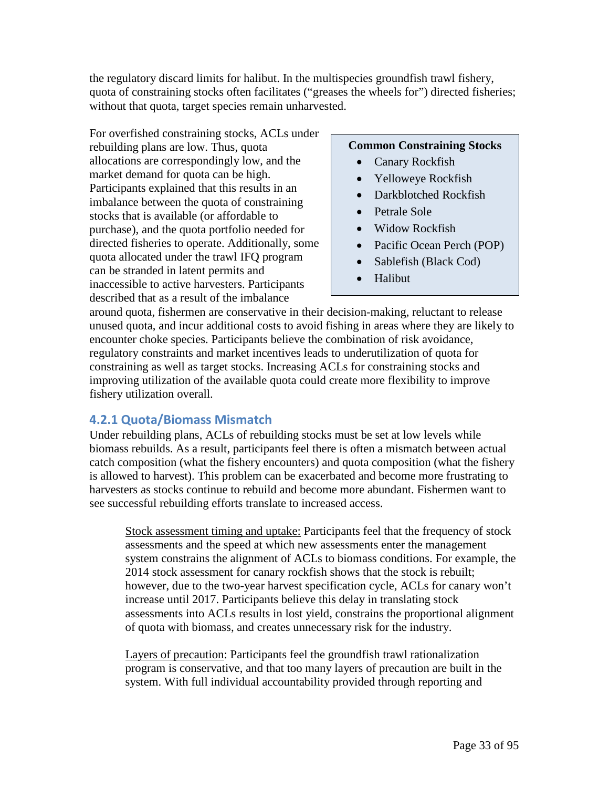the regulatory discard limits for halibut. In the multispecies groundfish trawl fishery, quota of constraining stocks often facilitates ("greases the wheels for") directed fisheries; without that quota, target species remain unharvested.

For overfished constraining stocks, ACLs under rebuilding plans are low. Thus, quota allocations are correspondingly low, and the market demand for quota can be high. Participants explained that this results in an imbalance between the quota of constraining stocks that is available (or affordable to purchase), and the quota portfolio needed for directed fisheries to operate. Additionally, some quota allocated under the trawl IFQ program can be stranded in latent permits and inaccessible to active harvesters. Participants described that as a result of the imbalance

#### **Common Constraining Stocks**

- Canary Rockfish
- Yelloweye Rockfish
- Darkblotched Rockfish
- Petrale Sole
- Widow Rockfish
- Pacific Ocean Perch (POP)
- Sablefish (Black Cod)
- Halibut

around quota, fishermen are conservative in their decision-making, reluctant to release unused quota, and incur additional costs to avoid fishing in areas where they are likely to encounter choke species. Participants believe the combination of risk avoidance, regulatory constraints and market incentives leads to underutilization of quota for constraining as well as target stocks. Increasing ACLs for constraining stocks and improving utilization of the available quota could create more flexibility to improve fishery utilization overall.

### **4.2.1 Quota/Biomass Mismatch**

Under rebuilding plans, ACLs of rebuilding stocks must be set at low levels while biomass rebuilds. As a result, participants feel there is often a mismatch between actual catch composition (what the fishery encounters) and quota composition (what the fishery is allowed to harvest). This problem can be exacerbated and become more frustrating to harvesters as stocks continue to rebuild and become more abundant. Fishermen want to see successful rebuilding efforts translate to increased access.

Stock assessment timing and uptake: Participants feel that the frequency of stock assessments and the speed at which new assessments enter the management system constrains the alignment of ACLs to biomass conditions. For example, the 2014 stock assessment for canary rockfish shows that the stock is rebuilt; however, due to the two-year harvest specification cycle, ACLs for canary won't increase until 2017. Participants believe this delay in translating stock assessments into ACLs results in lost yield, constrains the proportional alignment of quota with biomass, and creates unnecessary risk for the industry.

Layers of precaution: Participants feel the groundfish trawl rationalization program is conservative, and that too many layers of precaution are built in the system. With full individual accountability provided through reporting and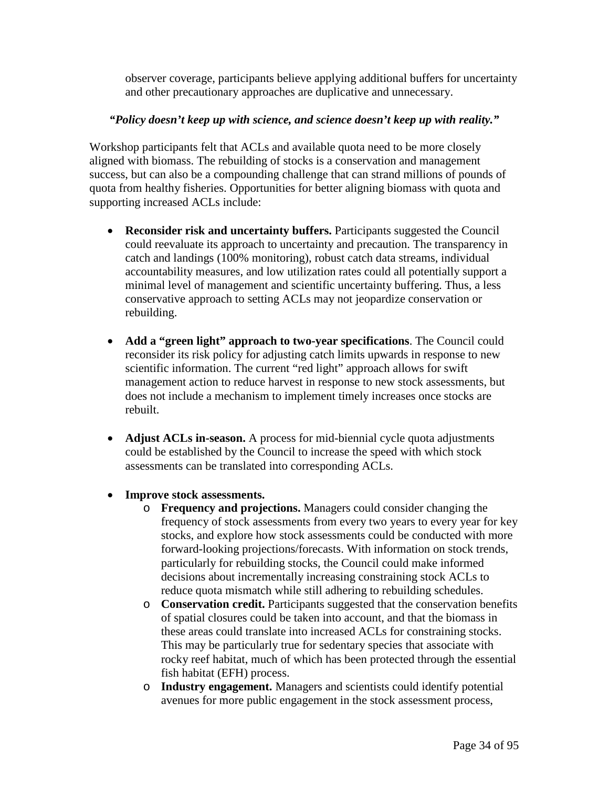observer coverage, participants believe applying additional buffers for uncertainty and other precautionary approaches are duplicative and unnecessary.

### *"Policy doesn't keep up with science, and science doesn't keep up with reality."*

Workshop participants felt that ACLs and available quota need to be more closely aligned with biomass. The rebuilding of stocks is a conservation and management success, but can also be a compounding challenge that can strand millions of pounds of quota from healthy fisheries. Opportunities for better aligning biomass with quota and supporting increased ACLs include:

- **Reconsider risk and uncertainty buffers.** Participants suggested the Council could reevaluate its approach to uncertainty and precaution. The transparency in catch and landings (100% monitoring), robust catch data streams, individual accountability measures, and low utilization rates could all potentially support a minimal level of management and scientific uncertainty buffering. Thus, a less conservative approach to setting ACLs may not jeopardize conservation or rebuilding.
- **Add a "green light" approach to two-year specifications**. The Council could reconsider its risk policy for adjusting catch limits upwards in response to new scientific information. The current "red light" approach allows for swift management action to reduce harvest in response to new stock assessments, but does not include a mechanism to implement timely increases once stocks are rebuilt.
- **Adjust ACLs in-season.** A process for mid-biennial cycle quota adjustments could be established by the Council to increase the speed with which stock assessments can be translated into corresponding ACLs.
- **Improve stock assessments.** 
	- o **Frequency and projections.** Managers could consider changing the frequency of stock assessments from every two years to every year for key stocks, and explore how stock assessments could be conducted with more forward-looking projections/forecasts. With information on stock trends, particularly for rebuilding stocks, the Council could make informed decisions about incrementally increasing constraining stock ACLs to reduce quota mismatch while still adhering to rebuilding schedules.
	- o **Conservation credit.** Participants suggested that the conservation benefits of spatial closures could be taken into account, and that the biomass in these areas could translate into increased ACLs for constraining stocks. This may be particularly true for sedentary species that associate with rocky reef habitat, much of which has been protected through the essential fish habitat (EFH) process.
	- o **Industry engagement.** Managers and scientists could identify potential avenues for more public engagement in the stock assessment process,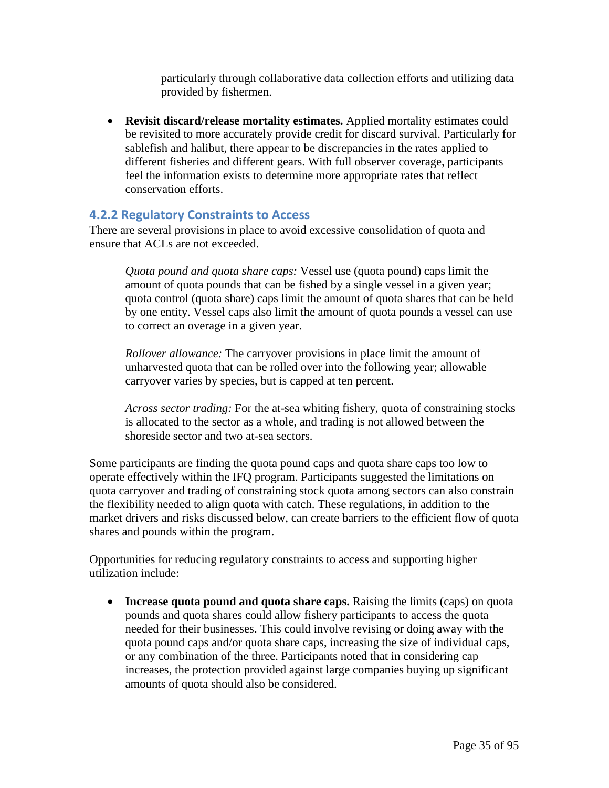particularly through collaborative data collection efforts and utilizing data provided by fishermen.

• **Revisit discard/release mortality estimates.** Applied mortality estimates could be revisited to more accurately provide credit for discard survival. Particularly for sablefish and halibut, there appear to be discrepancies in the rates applied to different fisheries and different gears. With full observer coverage, participants feel the information exists to determine more appropriate rates that reflect conservation efforts.

### **4.2.2 Regulatory Constraints to Access**

There are several provisions in place to avoid excessive consolidation of quota and ensure that ACLs are not exceeded.

*Quota pound and quota share caps:* Vessel use (quota pound) caps limit the amount of quota pounds that can be fished by a single vessel in a given year; quota control (quota share) caps limit the amount of quota shares that can be held by one entity. Vessel caps also limit the amount of quota pounds a vessel can use to correct an overage in a given year.

*Rollover allowance:* The carryover provisions in place limit the amount of unharvested quota that can be rolled over into the following year; allowable carryover varies by species, but is capped at ten percent.

*Across sector trading:* For the at-sea whiting fishery, quota of constraining stocks is allocated to the sector as a whole, and trading is not allowed between the shoreside sector and two at-sea sectors.

Some participants are finding the quota pound caps and quota share caps too low to operate effectively within the IFQ program. Participants suggested the limitations on quota carryover and trading of constraining stock quota among sectors can also constrain the flexibility needed to align quota with catch. These regulations, in addition to the market drivers and risks discussed below, can create barriers to the efficient flow of quota shares and pounds within the program.

Opportunities for reducing regulatory constraints to access and supporting higher utilization include:

• **Increase quota pound and quota share caps.** Raising the limits (caps) on quota pounds and quota shares could allow fishery participants to access the quota needed for their businesses. This could involve revising or doing away with the quota pound caps and/or quota share caps, increasing the size of individual caps, or any combination of the three. Participants noted that in considering cap increases, the protection provided against large companies buying up significant amounts of quota should also be considered.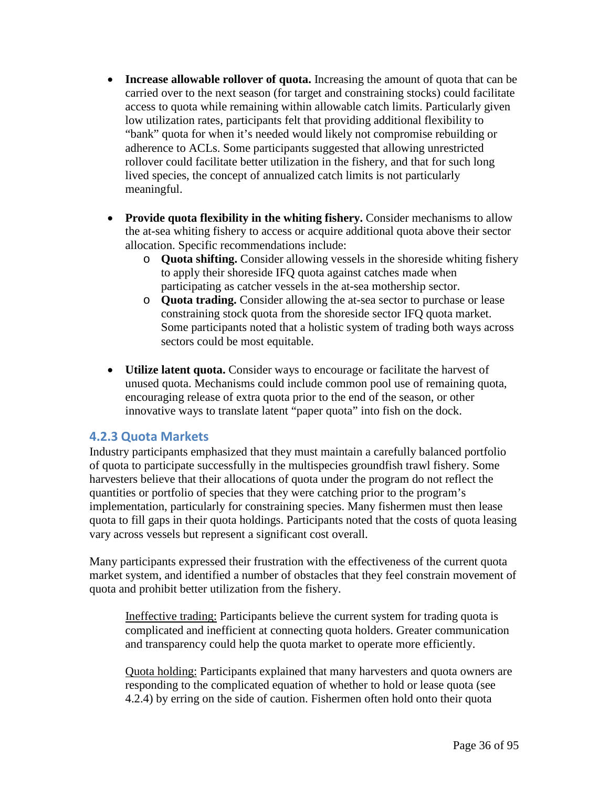- **Increase allowable rollover of quota.** Increasing the amount of quota that can be carried over to the next season (for target and constraining stocks) could facilitate access to quota while remaining within allowable catch limits. Particularly given low utilization rates, participants felt that providing additional flexibility to "bank" quota for when it's needed would likely not compromise rebuilding or adherence to ACLs. Some participants suggested that allowing unrestricted rollover could facilitate better utilization in the fishery, and that for such long lived species, the concept of annualized catch limits is not particularly meaningful.
- **Provide quota flexibility in the whiting fishery.** Consider mechanisms to allow the at-sea whiting fishery to access or acquire additional quota above their sector allocation. Specific recommendations include:
	- o **Quota shifting.** Consider allowing vessels in the shoreside whiting fishery to apply their shoreside IFQ quota against catches made when participating as catcher vessels in the at-sea mothership sector.
	- o **Quota trading.** Consider allowing the at-sea sector to purchase or lease constraining stock quota from the shoreside sector IFQ quota market. Some participants noted that a holistic system of trading both ways across sectors could be most equitable.
- **Utilize latent quota.** Consider ways to encourage or facilitate the harvest of unused quota. Mechanisms could include common pool use of remaining quota, encouraging release of extra quota prior to the end of the season, or other innovative ways to translate latent "paper quota" into fish on the dock.

### **4.2.3 Quota Markets**

Industry participants emphasized that they must maintain a carefully balanced portfolio of quota to participate successfully in the multispecies groundfish trawl fishery. Some harvesters believe that their allocations of quota under the program do not reflect the quantities or portfolio of species that they were catching prior to the program's implementation, particularly for constraining species. Many fishermen must then lease quota to fill gaps in their quota holdings. Participants noted that the costs of quota leasing vary across vessels but represent a significant cost overall.

Many participants expressed their frustration with the effectiveness of the current quota market system, and identified a number of obstacles that they feel constrain movement of quota and prohibit better utilization from the fishery.

Ineffective trading: Participants believe the current system for trading quota is complicated and inefficient at connecting quota holders. Greater communication and transparency could help the quota market to operate more efficiently.

Quota holding: Participants explained that many harvesters and quota owners are responding to the complicated equation of whether to hold or lease quota (see 4.2.4) by erring on the side of caution. Fishermen often hold onto their quota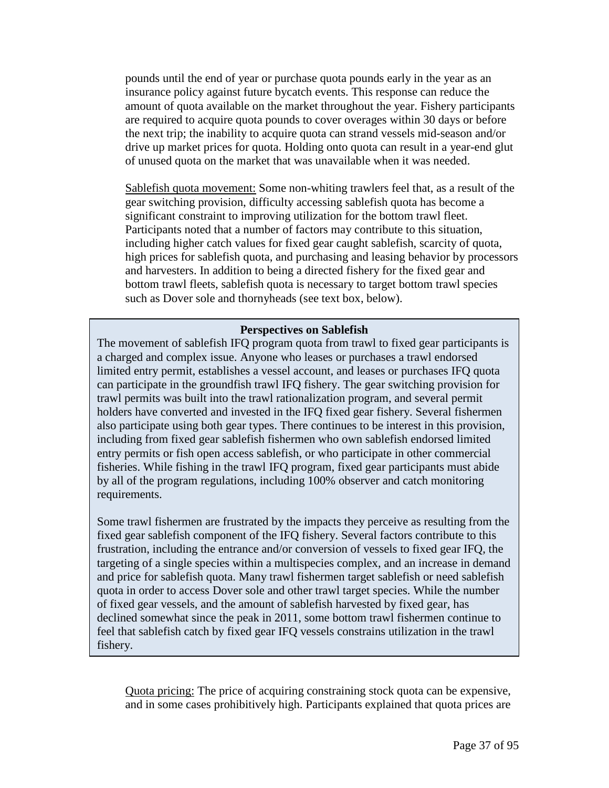pounds until the end of year or purchase quota pounds early in the year as an insurance policy against future bycatch events. This response can reduce the amount of quota available on the market throughout the year. Fishery participants are required to acquire quota pounds to cover overages within 30 days or before the next trip; the inability to acquire quota can strand vessels mid-season and/or drive up market prices for quota. Holding onto quota can result in a year-end glut of unused quota on the market that was unavailable when it was needed.

Sablefish quota movement: Some non-whiting trawlers feel that, as a result of the gear switching provision, difficulty accessing sablefish quota has become a significant constraint to improving utilization for the bottom trawl fleet. Participants noted that a number of factors may contribute to this situation, including higher catch values for fixed gear caught sablefish, scarcity of quota, high prices for sablefish quota, and purchasing and leasing behavior by processors and harvesters. In addition to being a directed fishery for the fixed gear and bottom trawl fleets, sablefish quota is necessary to target bottom trawl species such as Dover sole and thornyheads (see text box, below).

#### **Perspectives on Sablefish**

The movement of sablefish IFQ program quota from trawl to fixed gear participants is a charged and complex issue. Anyone who leases or purchases a trawl endorsed limited entry permit, establishes a vessel account, and leases or purchases IFQ quota can participate in the groundfish trawl IFQ fishery. The gear switching provision for trawl permits was built into the trawl rationalization program, and several permit holders have converted and invested in the IFQ fixed gear fishery. Several fishermen also participate using both gear types. There continues to be interest in this provision, including from fixed gear sablefish fishermen who own sablefish endorsed limited entry permits or fish open access sablefish, or who participate in other commercial fisheries. While fishing in the trawl IFQ program, fixed gear participants must abide by all of the program regulations, including 100% observer and catch monitoring requirements.

Some trawl fishermen are frustrated by the impacts they perceive as resulting from the fixed gear sablefish component of the IFQ fishery. Several factors contribute to this frustration, including the entrance and/or conversion of vessels to fixed gear IFQ, the targeting of a single species within a multispecies complex, and an increase in demand and price for sablefish quota. Many trawl fishermen target sablefish or need sablefish quota in order to access Dover sole and other trawl target species. While the number of fixed gear vessels, and the amount of sablefish harvested by fixed gear, has declined somewhat since the peak in 2011, some bottom trawl fishermen continue to feel that sablefish catch by fixed gear IFQ vessels constrains utilization in the trawl fishery.

Quota pricing: The price of acquiring constraining stock quota can be expensive, and in some cases prohibitively high. Participants explained that quota prices are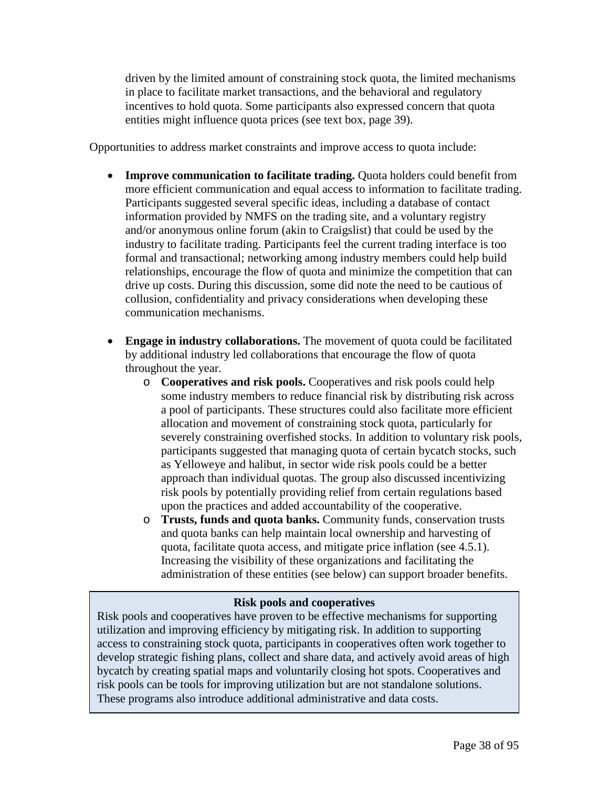driven by the limited amount of constraining stock quota, the limited mechanisms in place to facilitate market transactions, and the behavioral and regulatory incentives to hold quota. Some participants also expressed concern that quota entities might influence quota prices (see text box, page 39).

Opportunities to address market constraints and improve access to quota include:

- **Improve communication to facilitate trading.** Quota holders could benefit from more efficient communication and equal access to information to facilitate trading. Participants suggested several specific ideas, including a database of contact information provided by NMFS on the trading site, and a voluntary registry and/or anonymous online forum (akin to Craigslist) that could be used by the industry to facilitate trading. Participants feel the current trading interface is too formal and transactional; networking among industry members could help build relationships, encourage the flow of quota and minimize the competition that can drive up costs. During this discussion, some did note the need to be cautious of collusion, confidentiality and privacy considerations when developing these communication mechanisms.
- **Engage in industry collaborations.** The movement of quota could be facilitated by additional industry led collaborations that encourage the flow of quota throughout the year.
	- o **Cooperatives and risk pools.** Cooperatives and risk pools could help some industry members to reduce financial risk by distributing risk across a pool of participants. These structures could also facilitate more efficient allocation and movement of constraining stock quota, particularly for severely constraining overfished stocks. In addition to voluntary risk pools, participants suggested that managing quota of certain bycatch stocks, such as Yelloweye and halibut, in sector wide risk pools could be a better approach than individual quotas. The group also discussed incentivizing risk pools by potentially providing relief from certain regulations based upon the practices and added accountability of the cooperative.
	- o **Trusts, funds and quota banks.** Community funds, conservation trusts and quota banks can help maintain local ownership and harvesting of quota, facilitate quota access, and mitigate price inflation (see 4.5.1). Increasing the visibility of these organizations and facilitating the administration of these entities (see below) can support broader benefits.

## **Risk pools and cooperatives**

Risk pools and cooperatives have proven to be effective mechanisms for supporting utilization and improving efficiency by mitigating risk. In addition to supporting access to constraining stock quota, participants in cooperatives often work together to develop strategic fishing plans, collect and share data, and actively avoid areas of high bycatch by creating spatial maps and voluntarily closing hot spots. Cooperatives and risk pools can be tools for improving utilization but are not standalone solutions. These programs also introduce additional administrative and data costs.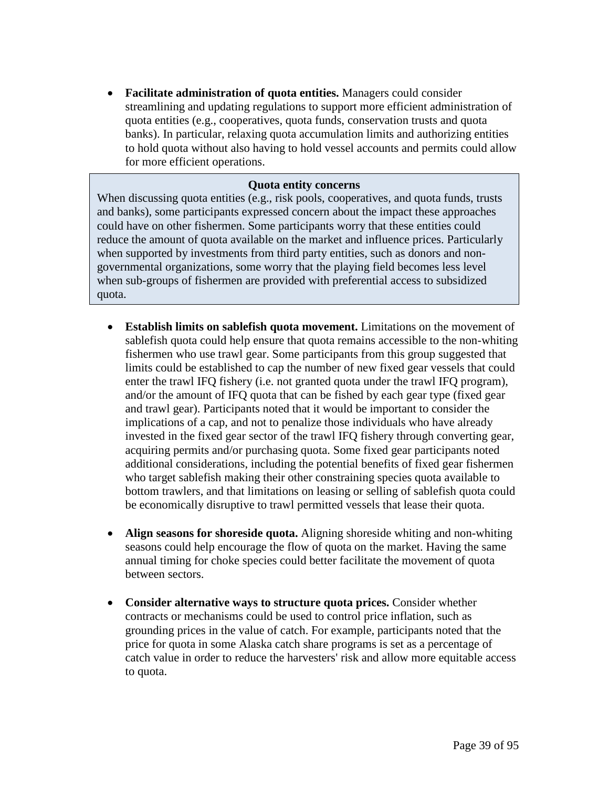• **Facilitate administration of quota entities.** Managers could consider streamlining and updating regulations to support more efficient administration of quota entities (e.g., cooperatives, quota funds, conservation trusts and quota banks). In particular, relaxing quota accumulation limits and authorizing entities to hold quota without also having to hold vessel accounts and permits could allow for more efficient operations.

#### **Quota entity concerns**

When discussing quota entities (e.g., risk pools, cooperatives, and quota funds, trusts and banks), some participants expressed concern about the impact these approaches could have on other fishermen. Some participants worry that these entities could reduce the amount of quota available on the market and influence prices. Particularly when supported by investments from third party entities, such as donors and nongovernmental organizations, some worry that the playing field becomes less level when sub-groups of fishermen are provided with preferential access to subsidized quota.

- **Establish limits on sablefish quota movement.** Limitations on the movement of sablefish quota could help ensure that quota remains accessible to the non-whiting fishermen who use trawl gear. Some participants from this group suggested that limits could be established to cap the number of new fixed gear vessels that could enter the trawl IFQ fishery (i.e. not granted quota under the trawl IFQ program), and/or the amount of IFQ quota that can be fished by each gear type (fixed gear and trawl gear). Participants noted that it would be important to consider the implications of a cap, and not to penalize those individuals who have already invested in the fixed gear sector of the trawl IFQ fishery through converting gear, acquiring permits and/or purchasing quota. Some fixed gear participants noted additional considerations, including the potential benefits of fixed gear fishermen who target sablefish making their other constraining species quota available to bottom trawlers, and that limitations on leasing or selling of sablefish quota could be economically disruptive to trawl permitted vessels that lease their quota.
- **Align seasons for shoreside quota.** Aligning shoreside whiting and non-whiting seasons could help encourage the flow of quota on the market. Having the same annual timing for choke species could better facilitate the movement of quota between sectors.
- **Consider alternative ways to structure quota prices.** Consider whether contracts or mechanisms could be used to control price inflation, such as grounding prices in the value of catch. For example, participants noted that the price for quota in some Alaska catch share programs is set as a percentage of catch value in order to reduce the harvesters' risk and allow more equitable access to quota.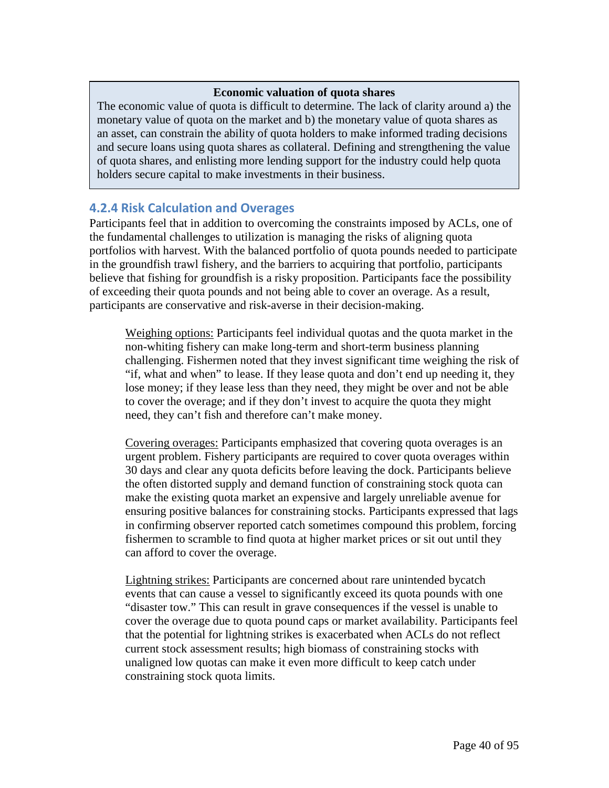#### **Economic valuation of quota shares**

The economic value of quota is difficult to determine. The lack of clarity around a) the monetary value of quota on the market and b) the monetary value of quota shares as an asset, can constrain the ability of quota holders to make informed trading decisions and secure loans using quota shares as collateral. Defining and strengthening the value of quota shares, and enlisting more lending support for the industry could help quota holders secure capital to make investments in their business.

## **4.2.4 Risk Calculation and Overages**

Participants feel that in addition to overcoming the constraints imposed by ACLs, one of the fundamental challenges to utilization is managing the risks of aligning quota portfolios with harvest. With the balanced portfolio of quota pounds needed to participate in the groundfish trawl fishery, and the barriers to acquiring that portfolio, participants believe that fishing for groundfish is a risky proposition. Participants face the possibility of exceeding their quota pounds and not being able to cover an overage. As a result, participants are conservative and risk-averse in their decision-making.

Weighing options: Participants feel individual quotas and the quota market in the non-whiting fishery can make long-term and short-term business planning challenging. Fishermen noted that they invest significant time weighing the risk of "if, what and when" to lease. If they lease quota and don't end up needing it, they lose money; if they lease less than they need, they might be over and not be able to cover the overage; and if they don't invest to acquire the quota they might need, they can't fish and therefore can't make money.

Covering overages: Participants emphasized that covering quota overages is an urgent problem. Fishery participants are required to cover quota overages within 30 days and clear any quota deficits before leaving the dock. Participants believe the often distorted supply and demand function of constraining stock quota can make the existing quota market an expensive and largely unreliable avenue for ensuring positive balances for constraining stocks. Participants expressed that lags in confirming observer reported catch sometimes compound this problem, forcing fishermen to scramble to find quota at higher market prices or sit out until they can afford to cover the overage.

Lightning strikes: Participants are concerned about rare unintended bycatch events that can cause a vessel to significantly exceed its quota pounds with one "disaster tow." This can result in grave consequences if the vessel is unable to cover the overage due to quota pound caps or market availability. Participants feel that the potential for lightning strikes is exacerbated when ACLs do not reflect current stock assessment results; high biomass of constraining stocks with unaligned low quotas can make it even more difficult to keep catch under constraining stock quota limits.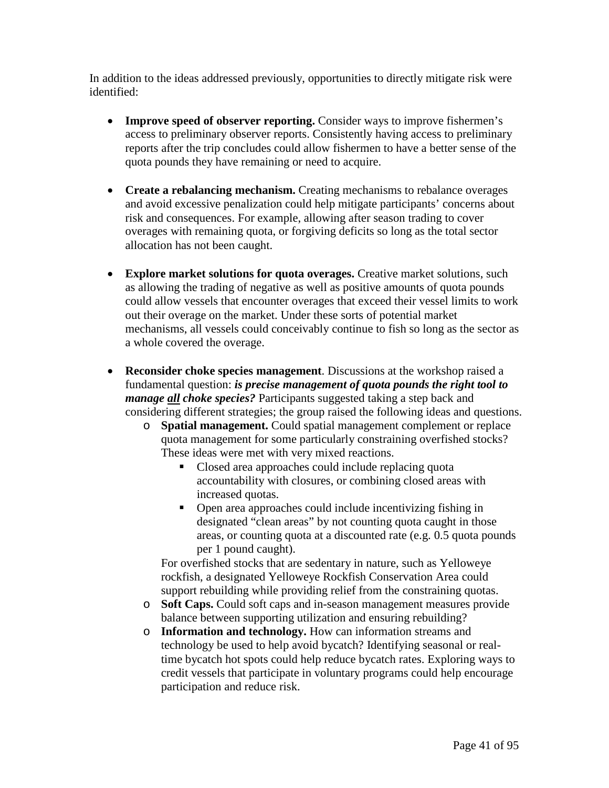In addition to the ideas addressed previously, opportunities to directly mitigate risk were identified:

- **Improve speed of observer reporting.** Consider ways to improve fishermen's access to preliminary observer reports. Consistently having access to preliminary reports after the trip concludes could allow fishermen to have a better sense of the quota pounds they have remaining or need to acquire.
- **Create a rebalancing mechanism.** Creating mechanisms to rebalance overages and avoid excessive penalization could help mitigate participants' concerns about risk and consequences. For example, allowing after season trading to cover overages with remaining quota, or forgiving deficits so long as the total sector allocation has not been caught.
- **Explore market solutions for quota overages.** Creative market solutions, such as allowing the trading of negative as well as positive amounts of quota pounds could allow vessels that encounter overages that exceed their vessel limits to work out their overage on the market. Under these sorts of potential market mechanisms, all vessels could conceivably continue to fish so long as the sector as a whole covered the overage.
- **Reconsider choke species management**. Discussions at the workshop raised a fundamental question: *is precise management of quota pounds the right tool to manage all choke species?* Participants suggested taking a step back and considering different strategies; the group raised the following ideas and questions.
	- o **Spatial management.** Could spatial management complement or replace quota management for some particularly constraining overfished stocks? These ideas were met with very mixed reactions.
		- Closed area approaches could include replacing quota accountability with closures, or combining closed areas with increased quotas.
		- Open area approaches could include incentivizing fishing in designated "clean areas" by not counting quota caught in those areas, or counting quota at a discounted rate (e.g. 0.5 quota pounds per 1 pound caught).

For overfished stocks that are sedentary in nature, such as Yelloweye rockfish, a designated Yelloweye Rockfish Conservation Area could support rebuilding while providing relief from the constraining quotas.

- o **Soft Caps.** Could soft caps and in-season management measures provide balance between supporting utilization and ensuring rebuilding?
- o **Information and technology.** How can information streams and technology be used to help avoid bycatch? Identifying seasonal or realtime bycatch hot spots could help reduce bycatch rates. Exploring ways to credit vessels that participate in voluntary programs could help encourage participation and reduce risk.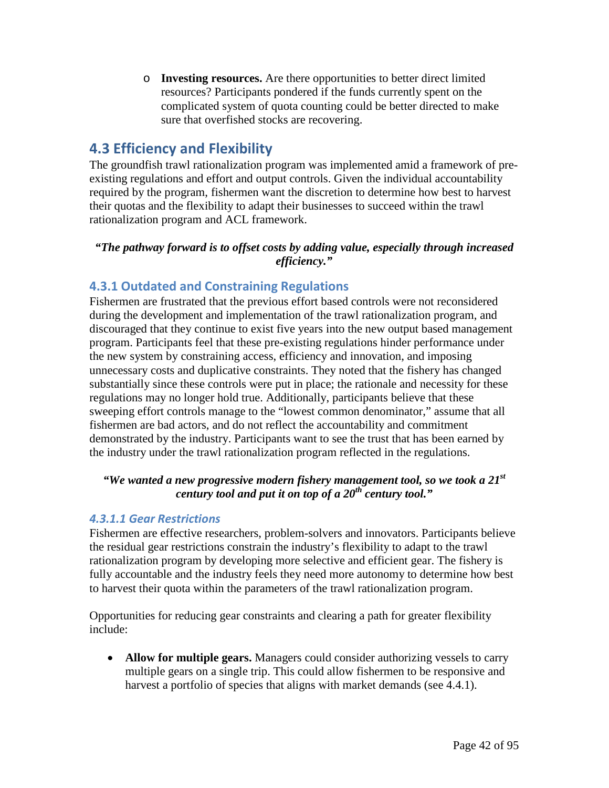o **Investing resources.** Are there opportunities to better direct limited resources? Participants pondered if the funds currently spent on the complicated system of quota counting could be better directed to make sure that overfished stocks are recovering.

# **4.3 Efficiency and Flexibility**

The groundfish trawl rationalization program was implemented amid a framework of preexisting regulations and effort and output controls. Given the individual accountability required by the program, fishermen want the discretion to determine how best to harvest their quotas and the flexibility to adapt their businesses to succeed within the trawl rationalization program and ACL framework.

## *"The pathway forward is to offset costs by adding value, especially through increased efficiency."*

## **4.3.1 Outdated and Constraining Regulations**

Fishermen are frustrated that the previous effort based controls were not reconsidered during the development and implementation of the trawl rationalization program, and discouraged that they continue to exist five years into the new output based management program. Participants feel that these pre-existing regulations hinder performance under the new system by constraining access, efficiency and innovation, and imposing unnecessary costs and duplicative constraints. They noted that the fishery has changed substantially since these controls were put in place; the rationale and necessity for these regulations may no longer hold true. Additionally, participants believe that these sweeping effort controls manage to the "lowest common denominator," assume that all fishermen are bad actors, and do not reflect the accountability and commitment demonstrated by the industry. Participants want to see the trust that has been earned by the industry under the trawl rationalization program reflected in the regulations.

## *"We wanted a new progressive modern fishery management tool, so we took a 21st century tool and put it on top of a 20th century tool."*

## *4.3.1.1 Gear Restrictions*

Fishermen are effective researchers, problem-solvers and innovators. Participants believe the residual gear restrictions constrain the industry's flexibility to adapt to the trawl rationalization program by developing more selective and efficient gear. The fishery is fully accountable and the industry feels they need more autonomy to determine how best to harvest their quota within the parameters of the trawl rationalization program.

Opportunities for reducing gear constraints and clearing a path for greater flexibility include:

• **Allow for multiple gears.** Managers could consider authorizing vessels to carry multiple gears on a single trip. This could allow fishermen to be responsive and harvest a portfolio of species that aligns with market demands (see 4.4.1).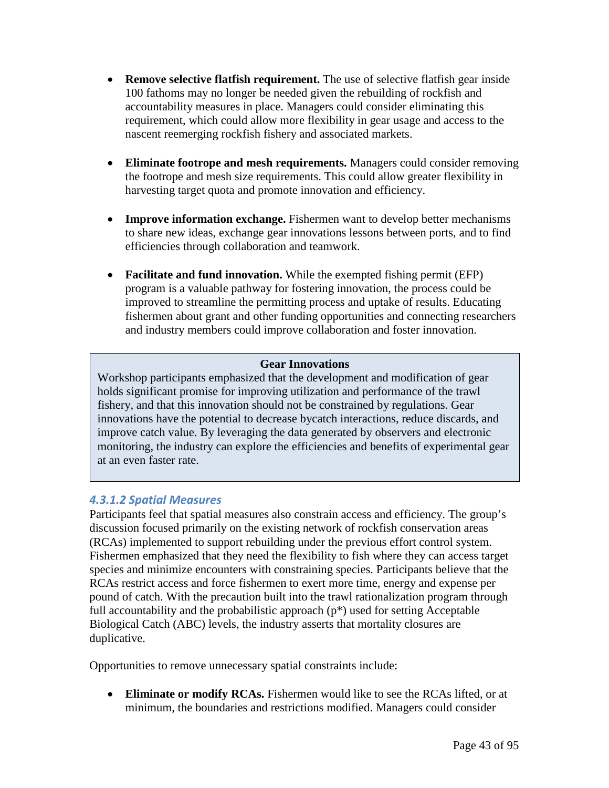- **Remove selective flatfish requirement.** The use of selective flatfish gear inside 100 fathoms may no longer be needed given the rebuilding of rockfish and accountability measures in place. Managers could consider eliminating this requirement, which could allow more flexibility in gear usage and access to the nascent reemerging rockfish fishery and associated markets.
- **Eliminate footrope and mesh requirements.** Managers could consider removing the footrope and mesh size requirements. This could allow greater flexibility in harvesting target quota and promote innovation and efficiency.
- **Improve information exchange.** Fishermen want to develop better mechanisms to share new ideas, exchange gear innovations lessons between ports, and to find efficiencies through collaboration and teamwork.
- **Facilitate and fund innovation.** While the exempted fishing permit (EFP) program is a valuable pathway for fostering innovation, the process could be improved to streamline the permitting process and uptake of results. Educating fishermen about grant and other funding opportunities and connecting researchers and industry members could improve collaboration and foster innovation.

## **Gear Innovations**

Workshop participants emphasized that the development and modification of gear holds significant promise for improving utilization and performance of the trawl fishery, and that this innovation should not be constrained by regulations. Gear innovations have the potential to decrease bycatch interactions, reduce discards, and improve catch value. By leveraging the data generated by observers and electronic monitoring, the industry can explore the efficiencies and benefits of experimental gear at an even faster rate.

## *4.3.1.2 Spatial Measures*

Participants feel that spatial measures also constrain access and efficiency. The group's discussion focused primarily on the existing network of rockfish conservation areas (RCAs) implemented to support rebuilding under the previous effort control system. Fishermen emphasized that they need the flexibility to fish where they can access target species and minimize encounters with constraining species. Participants believe that the RCAs restrict access and force fishermen to exert more time, energy and expense per pound of catch. With the precaution built into the trawl rationalization program through full accountability and the probabilistic approach (p\*) used for setting Acceptable Biological Catch (ABC) levels, the industry asserts that mortality closures are duplicative.

Opportunities to remove unnecessary spatial constraints include:

• **Eliminate or modify RCAs.** Fishermen would like to see the RCAs lifted, or at minimum, the boundaries and restrictions modified. Managers could consider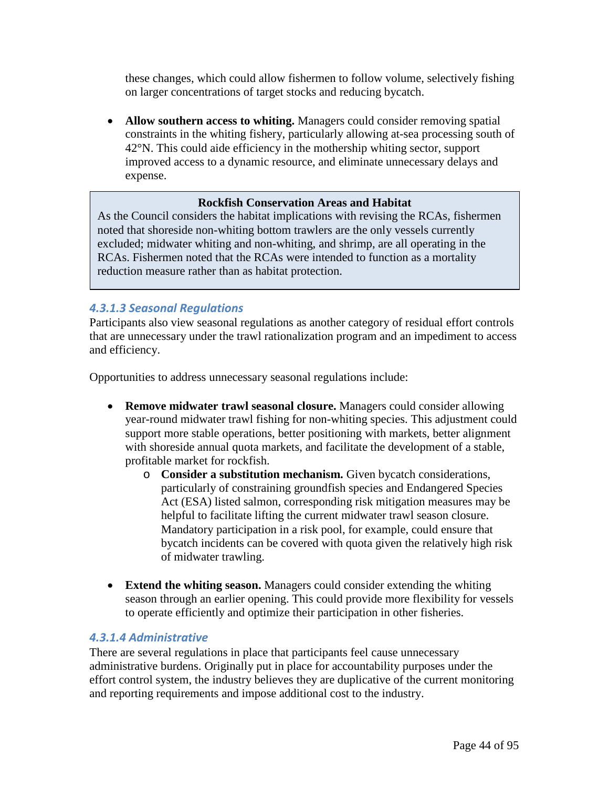these changes, which could allow fishermen to follow volume, selectively fishing on larger concentrations of target stocks and reducing bycatch.

• **Allow southern access to whiting.** Managers could consider removing spatial constraints in the whiting fishery, particularly allowing at-sea processing south of 42°N. This could aide efficiency in the mothership whiting sector, support improved access to a dynamic resource, and eliminate unnecessary delays and expense.

## **Rockfish Conservation Areas and Habitat**

As the Council considers the habitat implications with revising the RCAs, fishermen noted that shoreside non-whiting bottom trawlers are the only vessels currently excluded; midwater whiting and non-whiting, and shrimp, are all operating in the RCAs. Fishermen noted that the RCAs were intended to function as a mortality reduction measure rather than as habitat protection.

## *4.3.1.3 Seasonal Regulations*

Participants also view seasonal regulations as another category of residual effort controls that are unnecessary under the trawl rationalization program and an impediment to access and efficiency.

Opportunities to address unnecessary seasonal regulations include:

- **Remove midwater trawl seasonal closure.** Managers could consider allowing year-round midwater trawl fishing for non-whiting species. This adjustment could support more stable operations, better positioning with markets, better alignment with shoreside annual quota markets, and facilitate the development of a stable, profitable market for rockfish.
	- o **Consider a substitution mechanism.** Given bycatch considerations, particularly of constraining groundfish species and Endangered Species Act (ESA) listed salmon, corresponding risk mitigation measures may be helpful to facilitate lifting the current midwater trawl season closure. Mandatory participation in a risk pool, for example, could ensure that bycatch incidents can be covered with quota given the relatively high risk of midwater trawling.
- **Extend the whiting season.** Managers could consider extending the whiting season through an earlier opening. This could provide more flexibility for vessels to operate efficiently and optimize their participation in other fisheries.

#### *4.3.1.4 Administrative*

There are several regulations in place that participants feel cause unnecessary administrative burdens. Originally put in place for accountability purposes under the effort control system, the industry believes they are duplicative of the current monitoring and reporting requirements and impose additional cost to the industry.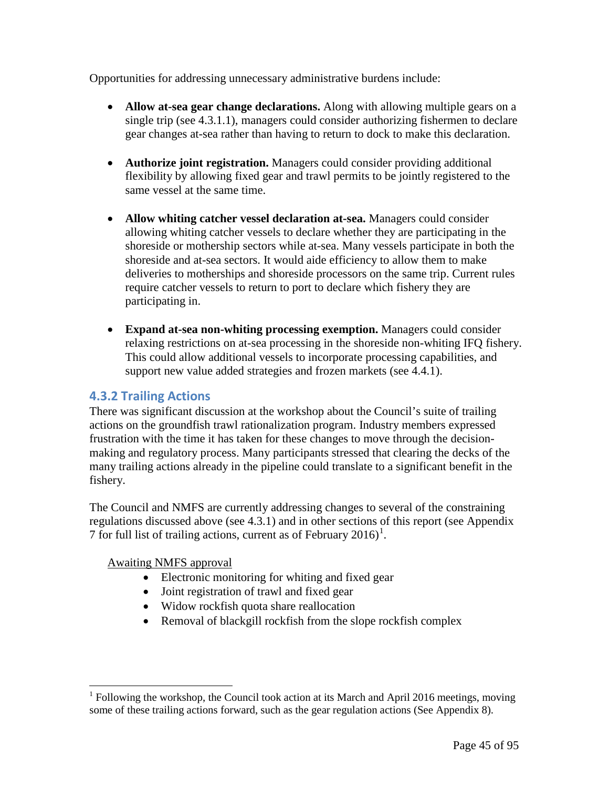Opportunities for addressing unnecessary administrative burdens include:

- **Allow at-sea gear change declarations.** Along with allowing multiple gears on a single trip (see 4.3.1.1), managers could consider authorizing fishermen to declare gear changes at-sea rather than having to return to dock to make this declaration.
- **Authorize joint registration.** Managers could consider providing additional flexibility by allowing fixed gear and trawl permits to be jointly registered to the same vessel at the same time.
- **Allow whiting catcher vessel declaration at-sea.** Managers could consider allowing whiting catcher vessels to declare whether they are participating in the shoreside or mothership sectors while at-sea. Many vessels participate in both the shoreside and at-sea sectors. It would aide efficiency to allow them to make deliveries to motherships and shoreside processors on the same trip. Current rules require catcher vessels to return to port to declare which fishery they are participating in.
- **Expand at-sea non-whiting processing exemption.** Managers could consider relaxing restrictions on at-sea processing in the shoreside non-whiting IFQ fishery. This could allow additional vessels to incorporate processing capabilities, and support new value added strategies and frozen markets (see 4.4.1).

## **4.3.2 Trailing Actions**

There was significant discussion at the workshop about the Council's suite of trailing actions on the groundfish trawl rationalization program. Industry members expressed frustration with the time it has taken for these changes to move through the decisionmaking and regulatory process. Many participants stressed that clearing the decks of the many trailing actions already in the pipeline could translate to a significant benefit in the fishery.

The Council and NMFS are currently addressing changes to several of the constraining regulations discussed above (see 4.3.1) and in other sections of this report (see Appendix 7 for full list of trailing actions, current as of February  $2016$  $2016$  $2016$ <sup>1</sup>.

Awaiting NMFS approval

- Electronic monitoring for whiting and fixed gear
- Joint registration of trawl and fixed gear
- Widow rockfish quota share reallocation
- Removal of blackgill rockfish from the slope rockfish complex

<span id="page-44-0"></span> $<sup>1</sup>$  Following the workshop, the Council took action at its March and April 2016 meetings, moving</sup> some of these trailing actions forward, such as the gear regulation actions (See Appendix 8).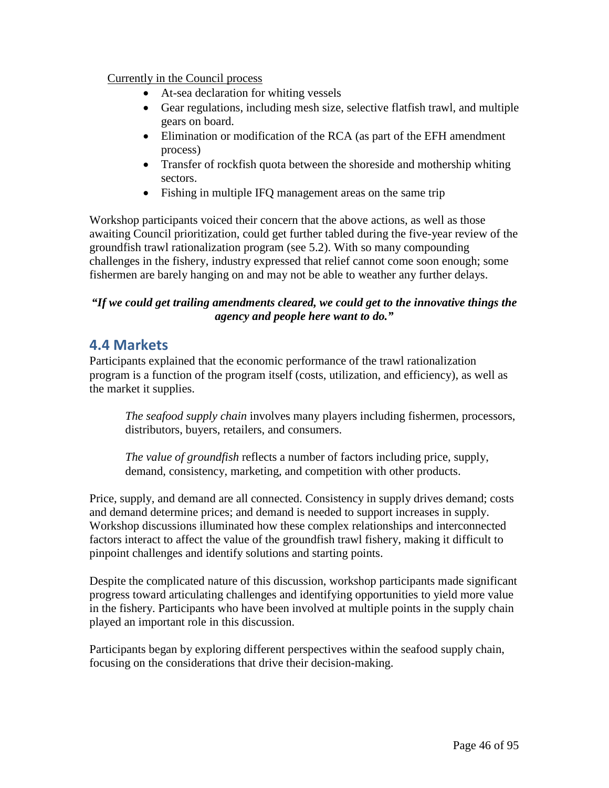## Currently in the Council process

- At-sea declaration for whiting vessels
- Gear regulations, including mesh size, selective flatfish trawl, and multiple gears on board.
- Elimination or modification of the RCA (as part of the EFH amendment process)
- Transfer of rockfish quota between the shoreside and mothership whiting sectors.
- Fishing in multiple IFQ management areas on the same trip

Workshop participants voiced their concern that the above actions, as well as those awaiting Council prioritization, could get further tabled during the five-year review of the groundfish trawl rationalization program (see 5.2). With so many compounding challenges in the fishery, industry expressed that relief cannot come soon enough; some fishermen are barely hanging on and may not be able to weather any further delays.

## *"If we could get trailing amendments cleared, we could get to the innovative things the agency and people here want to do."*

# **4.4 Markets**

Participants explained that the economic performance of the trawl rationalization program is a function of the program itself (costs, utilization, and efficiency), as well as the market it supplies.

*The seafood supply chain* involves many players including fishermen, processors, distributors, buyers, retailers, and consumers.

*The value of groundfish* reflects a number of factors including price, supply, demand, consistency, marketing, and competition with other products.

Price, supply, and demand are all connected. Consistency in supply drives demand; costs and demand determine prices; and demand is needed to support increases in supply. Workshop discussions illuminated how these complex relationships and interconnected factors interact to affect the value of the groundfish trawl fishery, making it difficult to pinpoint challenges and identify solutions and starting points.

Despite the complicated nature of this discussion, workshop participants made significant progress toward articulating challenges and identifying opportunities to yield more value in the fishery. Participants who have been involved at multiple points in the supply chain played an important role in this discussion.

Participants began by exploring different perspectives within the seafood supply chain, focusing on the considerations that drive their decision-making.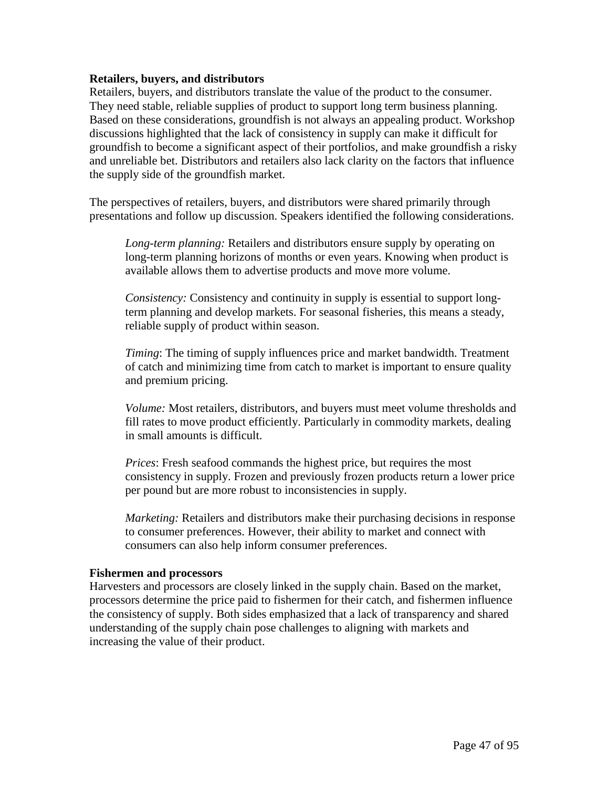#### **Retailers, buyers, and distributors**

Retailers, buyers, and distributors translate the value of the product to the consumer. They need stable, reliable supplies of product to support long term business planning. Based on these considerations, groundfish is not always an appealing product. Workshop discussions highlighted that the lack of consistency in supply can make it difficult for groundfish to become a significant aspect of their portfolios, and make groundfish a risky and unreliable bet. Distributors and retailers also lack clarity on the factors that influence the supply side of the groundfish market.

The perspectives of retailers, buyers, and distributors were shared primarily through presentations and follow up discussion. Speakers identified the following considerations.

*Long-term planning:* Retailers and distributors ensure supply by operating on long-term planning horizons of months or even years. Knowing when product is available allows them to advertise products and move more volume.

*Consistency:* Consistency and continuity in supply is essential to support longterm planning and develop markets. For seasonal fisheries, this means a steady, reliable supply of product within season.

*Timing*: The timing of supply influences price and market bandwidth. Treatment of catch and minimizing time from catch to market is important to ensure quality and premium pricing.

*Volume:* Most retailers, distributors, and buyers must meet volume thresholds and fill rates to move product efficiently. Particularly in commodity markets, dealing in small amounts is difficult.

*Prices*: Fresh seafood commands the highest price, but requires the most consistency in supply. Frozen and previously frozen products return a lower price per pound but are more robust to inconsistencies in supply.

*Marketing:* Retailers and distributors make their purchasing decisions in response to consumer preferences. However, their ability to market and connect with consumers can also help inform consumer preferences.

#### **Fishermen and processors**

Harvesters and processors are closely linked in the supply chain. Based on the market, processors determine the price paid to fishermen for their catch, and fishermen influence the consistency of supply. Both sides emphasized that a lack of transparency and shared understanding of the supply chain pose challenges to aligning with markets and increasing the value of their product.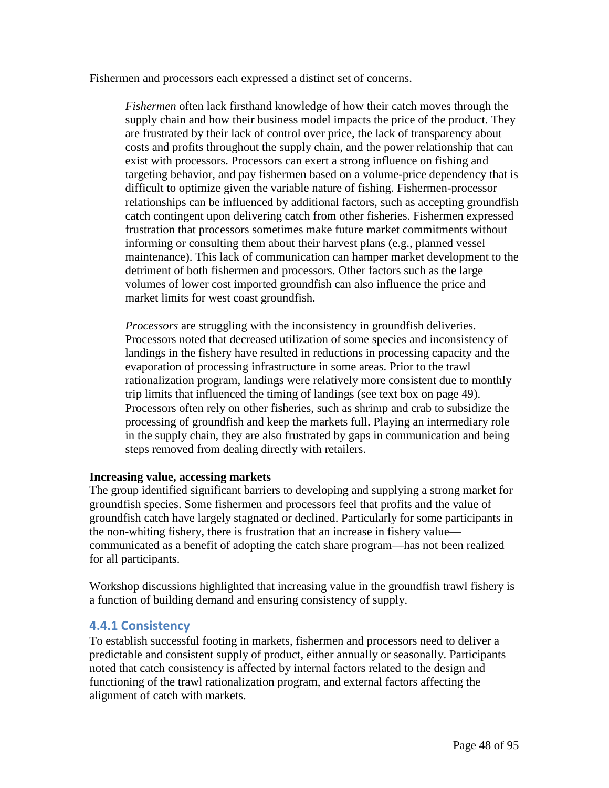Fishermen and processors each expressed a distinct set of concerns.

*Fishermen* often lack firsthand knowledge of how their catch moves through the supply chain and how their business model impacts the price of the product. They are frustrated by their lack of control over price, the lack of transparency about costs and profits throughout the supply chain, and the power relationship that can exist with processors. Processors can exert a strong influence on fishing and targeting behavior, and pay fishermen based on a volume-price dependency that is difficult to optimize given the variable nature of fishing. Fishermen-processor relationships can be influenced by additional factors, such as accepting groundfish catch contingent upon delivering catch from other fisheries. Fishermen expressed frustration that processors sometimes make future market commitments without informing or consulting them about their harvest plans (e.g., planned vessel maintenance). This lack of communication can hamper market development to the detriment of both fishermen and processors. Other factors such as the large volumes of lower cost imported groundfish can also influence the price and market limits for west coast groundfish.

*Processors* are struggling with the inconsistency in groundfish deliveries. Processors noted that decreased utilization of some species and inconsistency of landings in the fishery have resulted in reductions in processing capacity and the evaporation of processing infrastructure in some areas. Prior to the trawl rationalization program, landings were relatively more consistent due to monthly trip limits that influenced the timing of landings (see text box on page 49). Processors often rely on other fisheries, such as shrimp and crab to subsidize the processing of groundfish and keep the markets full. Playing an intermediary role in the supply chain, they are also frustrated by gaps in communication and being steps removed from dealing directly with retailers.

#### **Increasing value, accessing markets**

The group identified significant barriers to developing and supplying a strong market for groundfish species. Some fishermen and processors feel that profits and the value of groundfish catch have largely stagnated or declined. Particularly for some participants in the non-whiting fishery, there is frustration that an increase in fishery value communicated as a benefit of adopting the catch share program—has not been realized for all participants.

Workshop discussions highlighted that increasing value in the groundfish trawl fishery is a function of building demand and ensuring consistency of supply.

## **4.4.1 Consistency**

To establish successful footing in markets, fishermen and processors need to deliver a predictable and consistent supply of product, either annually or seasonally. Participants noted that catch consistency is affected by internal factors related to the design and functioning of the trawl rationalization program, and external factors affecting the alignment of catch with markets.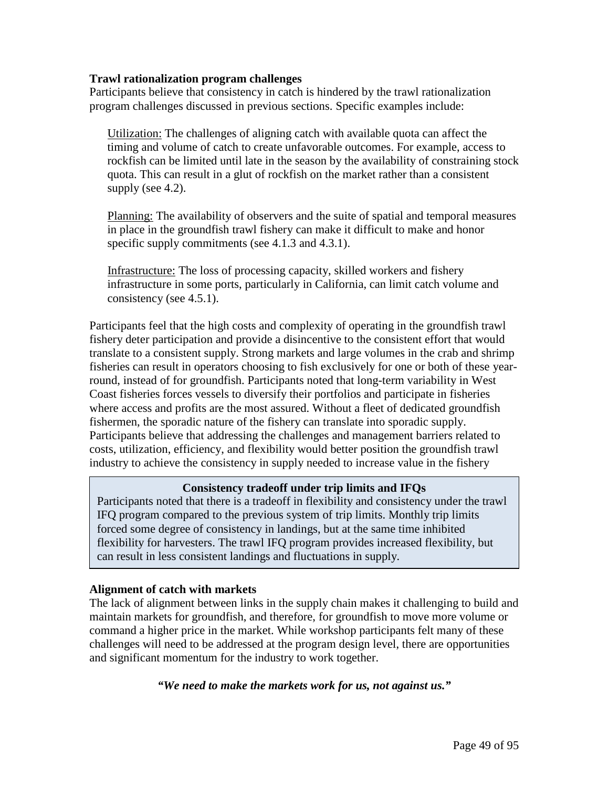#### **Trawl rationalization program challenges**

Participants believe that consistency in catch is hindered by the trawl rationalization program challenges discussed in previous sections. Specific examples include:

Utilization: The challenges of aligning catch with available quota can affect the timing and volume of catch to create unfavorable outcomes. For example, access to rockfish can be limited until late in the season by the availability of constraining stock quota. This can result in a glut of rockfish on the market rather than a consistent supply (see 4.2).

Planning: The availability of observers and the suite of spatial and temporal measures in place in the groundfish trawl fishery can make it difficult to make and honor specific supply commitments (see 4.1.3 and 4.3.1).

Infrastructure: The loss of processing capacity, skilled workers and fishery infrastructure in some ports, particularly in California, can limit catch volume and consistency (see 4.5.1).

Participants feel that the high costs and complexity of operating in the groundfish trawl fishery deter participation and provide a disincentive to the consistent effort that would translate to a consistent supply. Strong markets and large volumes in the crab and shrimp fisheries can result in operators choosing to fish exclusively for one or both of these yearround, instead of for groundfish. Participants noted that long-term variability in West Coast fisheries forces vessels to diversify their portfolios and participate in fisheries where access and profits are the most assured. Without a fleet of dedicated groundfish fishermen, the sporadic nature of the fishery can translate into sporadic supply. Participants believe that addressing the challenges and management barriers related to costs, utilization, efficiency, and flexibility would better position the groundfish trawl industry to achieve the consistency in supply needed to increase value in the fishery

#### **Consistency tradeoff under trip limits and IFQs**

Participants noted that there is a tradeoff in flexibility and consistency under the trawl IFQ program compared to the previous system of trip limits. Monthly trip limits forced some degree of consistency in landings, but at the same time inhibited flexibility for harvesters. The trawl IFQ program provides increased flexibility, but can result in less consistent landings and fluctuations in supply.

#### **Alignment of catch with markets**

The lack of alignment between links in the supply chain makes it challenging to build and maintain markets for groundfish, and therefore, for groundfish to move more volume or command a higher price in the market. While workshop participants felt many of these challenges will need to be addressed at the program design level, there are opportunities and significant momentum for the industry to work together.

#### *"We need to make the markets work for us, not against us."*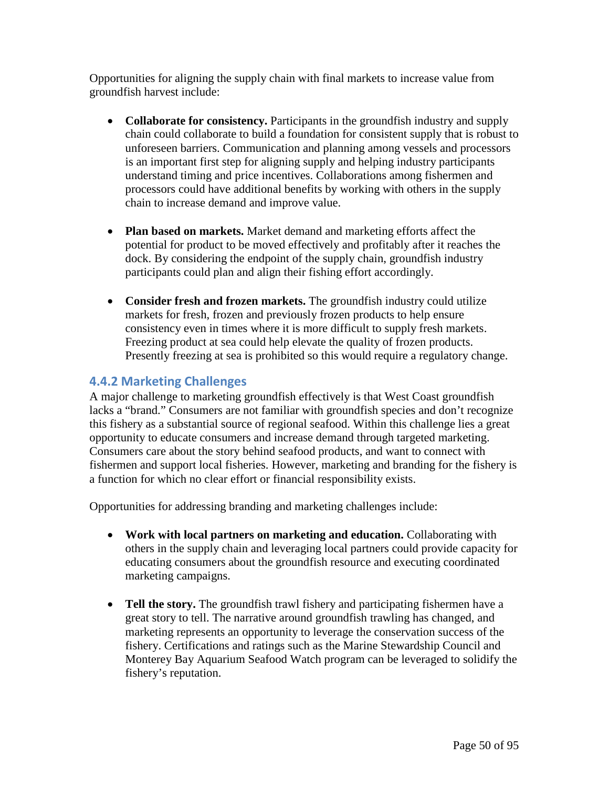Opportunities for aligning the supply chain with final markets to increase value from groundfish harvest include:

- **Collaborate for consistency.** Participants in the groundfish industry and supply chain could collaborate to build a foundation for consistent supply that is robust to unforeseen barriers. Communication and planning among vessels and processors is an important first step for aligning supply and helping industry participants understand timing and price incentives. Collaborations among fishermen and processors could have additional benefits by working with others in the supply chain to increase demand and improve value.
- **Plan based on markets.** Market demand and marketing efforts affect the potential for product to be moved effectively and profitably after it reaches the dock. By considering the endpoint of the supply chain, groundfish industry participants could plan and align their fishing effort accordingly.
- **Consider fresh and frozen markets.** The groundfish industry could utilize markets for fresh, frozen and previously frozen products to help ensure consistency even in times where it is more difficult to supply fresh markets. Freezing product at sea could help elevate the quality of frozen products. Presently freezing at sea is prohibited so this would require a regulatory change.

## **4.4.2 Marketing Challenges**

A major challenge to marketing groundfish effectively is that West Coast groundfish lacks a "brand." Consumers are not familiar with groundfish species and don't recognize this fishery as a substantial source of regional seafood. Within this challenge lies a great opportunity to educate consumers and increase demand through targeted marketing. Consumers care about the story behind seafood products, and want to connect with fishermen and support local fisheries. However, marketing and branding for the fishery is a function for which no clear effort or financial responsibility exists.

Opportunities for addressing branding and marketing challenges include:

- **Work with local partners on marketing and education.** Collaborating with others in the supply chain and leveraging local partners could provide capacity for educating consumers about the groundfish resource and executing coordinated marketing campaigns.
- **Tell the story.** The groundfish trawl fishery and participating fishermen have a great story to tell. The narrative around groundfish trawling has changed, and marketing represents an opportunity to leverage the conservation success of the fishery. Certifications and ratings such as the Marine Stewardship Council and Monterey Bay Aquarium Seafood Watch program can be leveraged to solidify the fishery's reputation.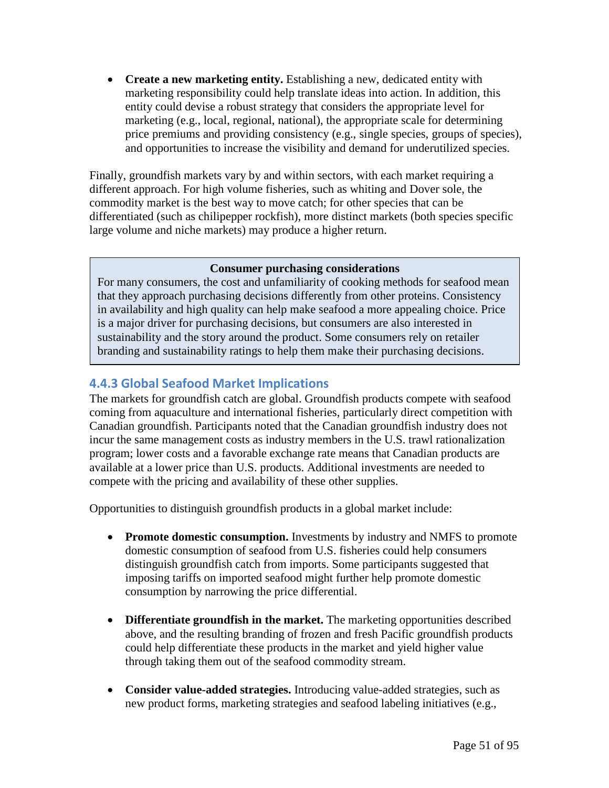• **Create a new marketing entity.** Establishing a new, dedicated entity with marketing responsibility could help translate ideas into action. In addition, this entity could devise a robust strategy that considers the appropriate level for marketing (e.g., local, regional, national), the appropriate scale for determining price premiums and providing consistency (e.g., single species, groups of species), and opportunities to increase the visibility and demand for underutilized species.

Finally, groundfish markets vary by and within sectors, with each market requiring a different approach. For high volume fisheries, such as whiting and Dover sole, the commodity market is the best way to move catch; for other species that can be differentiated (such as chilipepper rockfish), more distinct markets (both species specific large volume and niche markets) may produce a higher return.

#### **Consumer purchasing considerations**

For many consumers, the cost and unfamiliarity of cooking methods for seafood mean that they approach purchasing decisions differently from other proteins. Consistency in availability and high quality can help make seafood a more appealing choice. Price is a major driver for purchasing decisions, but consumers are also interested in sustainability and the story around the product. Some consumers rely on retailer branding and sustainability ratings to help them make their purchasing decisions.

## **4.4.3 Global Seafood Market Implications**

The markets for groundfish catch are global. Groundfish products compete with seafood coming from aquaculture and international fisheries, particularly direct competition with Canadian groundfish. Participants noted that the Canadian groundfish industry does not incur the same management costs as industry members in the U.S. trawl rationalization program; lower costs and a favorable exchange rate means that Canadian products are available at a lower price than U.S. products. Additional investments are needed to compete with the pricing and availability of these other supplies.

Opportunities to distinguish groundfish products in a global market include:

- **Promote domestic consumption.** Investments by industry and NMFS to promote domestic consumption of seafood from U.S. fisheries could help consumers distinguish groundfish catch from imports. Some participants suggested that imposing tariffs on imported seafood might further help promote domestic consumption by narrowing the price differential.
- **Differentiate groundfish in the market.** The marketing opportunities described above, and the resulting branding of frozen and fresh Pacific groundfish products could help differentiate these products in the market and yield higher value through taking them out of the seafood commodity stream.
- **Consider value-added strategies.** Introducing value-added strategies, such as new product forms, marketing strategies and seafood labeling initiatives (e.g.,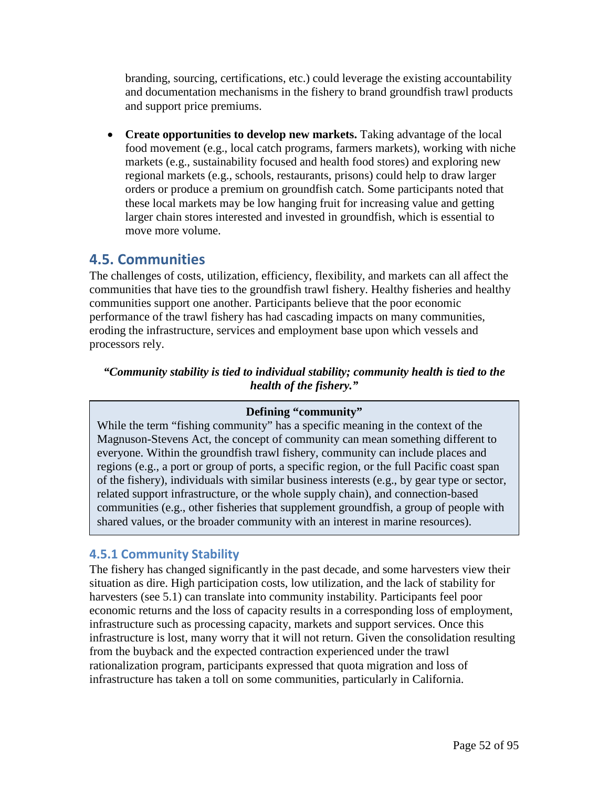branding, sourcing, certifications, etc.) could leverage the existing accountability and documentation mechanisms in the fishery to brand groundfish trawl products and support price premiums.

• **Create opportunities to develop new markets.** Taking advantage of the local food movement (e.g., local catch programs, farmers markets), working with niche markets (e.g., sustainability focused and health food stores) and exploring new regional markets (e.g., schools, restaurants, prisons) could help to draw larger orders or produce a premium on groundfish catch. Some participants noted that these local markets may be low hanging fruit for increasing value and getting larger chain stores interested and invested in groundfish, which is essential to move more volume.

# **4.5. Communities**

The challenges of costs, utilization, efficiency, flexibility, and markets can all affect the communities that have ties to the groundfish trawl fishery. Healthy fisheries and healthy communities support one another. Participants believe that the poor economic performance of the trawl fishery has had cascading impacts on many communities, eroding the infrastructure, services and employment base upon which vessels and processors rely.

*"Community stability is tied to individual stability; community health is tied to the health of the fishery."*

## **Defining "community"**

While the term "fishing community" has a specific meaning in the context of the Magnuson-Stevens Act, the concept of community can mean something different to everyone. Within the groundfish trawl fishery, community can include places and regions (e.g., a port or group of ports, a specific region, or the full Pacific coast span of the fishery), individuals with similar business interests (e.g., by gear type or sector, related support infrastructure, or the whole supply chain), and connection-based communities (e.g., other fisheries that supplement groundfish, a group of people with shared values, or the broader community with an interest in marine resources).

## **4.5.1 Community Stability**

The fishery has changed significantly in the past decade, and some harvesters view their situation as dire. High participation costs, low utilization, and the lack of stability for harvesters (see 5.1) can translate into community instability. Participants feel poor economic returns and the loss of capacity results in a corresponding loss of employment, infrastructure such as processing capacity, markets and support services. Once this infrastructure is lost, many worry that it will not return. Given the consolidation resulting from the buyback and the expected contraction experienced under the trawl rationalization program, participants expressed that quota migration and loss of infrastructure has taken a toll on some communities, particularly in California.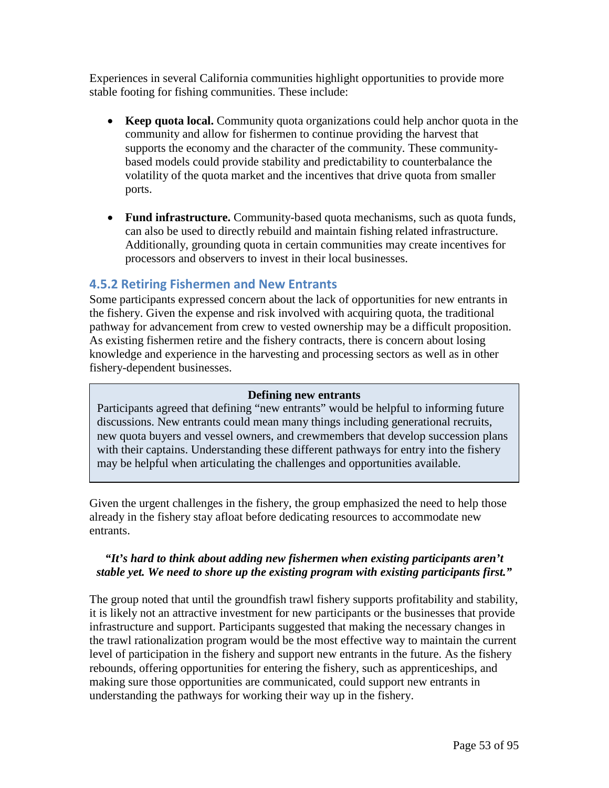Experiences in several California communities highlight opportunities to provide more stable footing for fishing communities. These include:

- **Keep quota local.** Community quota organizations could help anchor quota in the community and allow for fishermen to continue providing the harvest that supports the economy and the character of the community. These communitybased models could provide stability and predictability to counterbalance the volatility of the quota market and the incentives that drive quota from smaller ports.
- **Fund infrastructure.** Community-based quota mechanisms, such as quota funds, can also be used to directly rebuild and maintain fishing related infrastructure. Additionally, grounding quota in certain communities may create incentives for processors and observers to invest in their local businesses.

## **4.5.2 Retiring Fishermen and New Entrants**

Some participants expressed concern about the lack of opportunities for new entrants in the fishery. Given the expense and risk involved with acquiring quota, the traditional pathway for advancement from crew to vested ownership may be a difficult proposition. As existing fishermen retire and the fishery contracts, there is concern about losing knowledge and experience in the harvesting and processing sectors as well as in other fishery-dependent businesses.

#### **Defining new entrants**

Participants agreed that defining "new entrants" would be helpful to informing future discussions. New entrants could mean many things including generational recruits, new quota buyers and vessel owners, and crewmembers that develop succession plans with their captains. Understanding these different pathways for entry into the fishery may be helpful when articulating the challenges and opportunities available.

Given the urgent challenges in the fishery, the group emphasized the need to help those already in the fishery stay afloat before dedicating resources to accommodate new entrants.

## *"It's hard to think about adding new fishermen when existing participants aren't stable yet. We need to shore up the existing program with existing participants first."*

The group noted that until the groundfish trawl fishery supports profitability and stability, it is likely not an attractive investment for new participants or the businesses that provide infrastructure and support. Participants suggested that making the necessary changes in the trawl rationalization program would be the most effective way to maintain the current level of participation in the fishery and support new entrants in the future. As the fishery rebounds, offering opportunities for entering the fishery, such as apprenticeships, and making sure those opportunities are communicated, could support new entrants in understanding the pathways for working their way up in the fishery.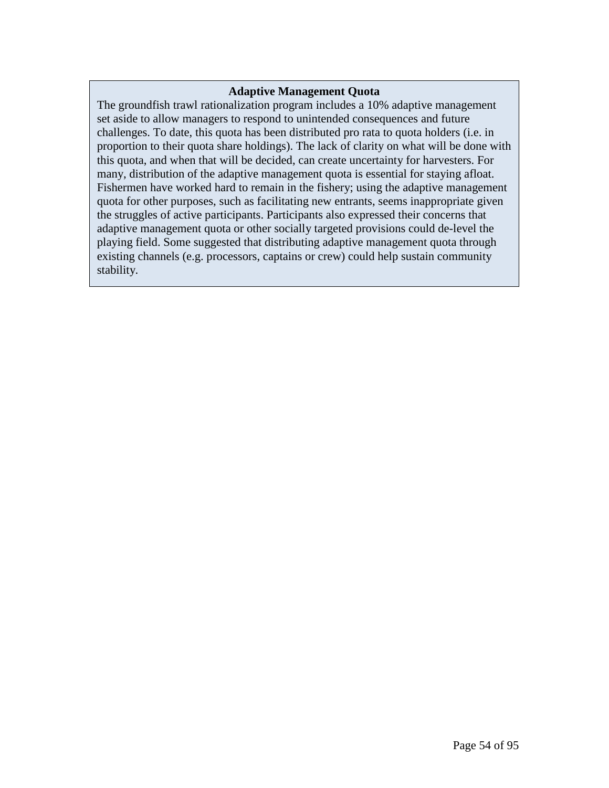#### **Adaptive Management Quota**

The groundfish trawl rationalization program includes a 10% adaptive management set aside to allow managers to respond to unintended consequences and future challenges. To date, this quota has been distributed pro rata to quota holders (i.e. in proportion to their quota share holdings). The lack of clarity on what will be done with this quota, and when that will be decided, can create uncertainty for harvesters. For many, distribution of the adaptive management quota is essential for staying afloat. Fishermen have worked hard to remain in the fishery; using the adaptive management quota for other purposes, such as facilitating new entrants, seems inappropriate given the struggles of active participants. Participants also expressed their concerns that adaptive management quota or other socially targeted provisions could de-level the playing field. Some suggested that distributing adaptive management quota through existing channels (e.g. processors, captains or crew) could help sustain community stability.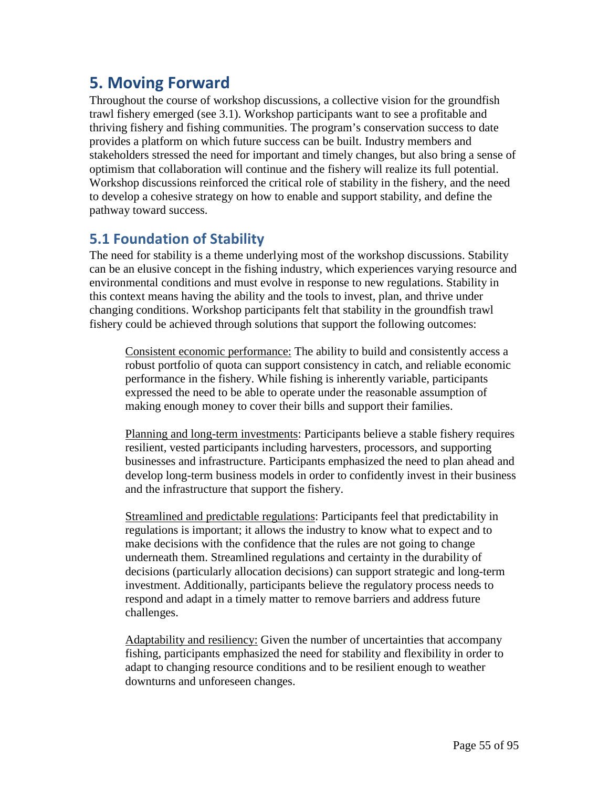# **5. Moving Forward**

Throughout the course of workshop discussions, a collective vision for the groundfish trawl fishery emerged (see 3.1). Workshop participants want to see a profitable and thriving fishery and fishing communities. The program's conservation success to date provides a platform on which future success can be built. Industry members and stakeholders stressed the need for important and timely changes, but also bring a sense of optimism that collaboration will continue and the fishery will realize its full potential. Workshop discussions reinforced the critical role of stability in the fishery, and the need to develop a cohesive strategy on how to enable and support stability, and define the pathway toward success.

# **5.1 Foundation of Stability**

The need for stability is a theme underlying most of the workshop discussions. Stability can be an elusive concept in the fishing industry, which experiences varying resource and environmental conditions and must evolve in response to new regulations. Stability in this context means having the ability and the tools to invest, plan, and thrive under changing conditions. Workshop participants felt that stability in the groundfish trawl fishery could be achieved through solutions that support the following outcomes:

Consistent economic performance: The ability to build and consistently access a robust portfolio of quota can support consistency in catch, and reliable economic performance in the fishery. While fishing is inherently variable, participants expressed the need to be able to operate under the reasonable assumption of making enough money to cover their bills and support their families.

Planning and long-term investments: Participants believe a stable fishery requires resilient, vested participants including harvesters, processors, and supporting businesses and infrastructure. Participants emphasized the need to plan ahead and develop long-term business models in order to confidently invest in their business and the infrastructure that support the fishery.

Streamlined and predictable regulations: Participants feel that predictability in regulations is important; it allows the industry to know what to expect and to make decisions with the confidence that the rules are not going to change underneath them. Streamlined regulations and certainty in the durability of decisions (particularly allocation decisions) can support strategic and long-term investment. Additionally, participants believe the regulatory process needs to respond and adapt in a timely matter to remove barriers and address future challenges.

Adaptability and resiliency: Given the number of uncertainties that accompany fishing, participants emphasized the need for stability and flexibility in order to adapt to changing resource conditions and to be resilient enough to weather downturns and unforeseen changes.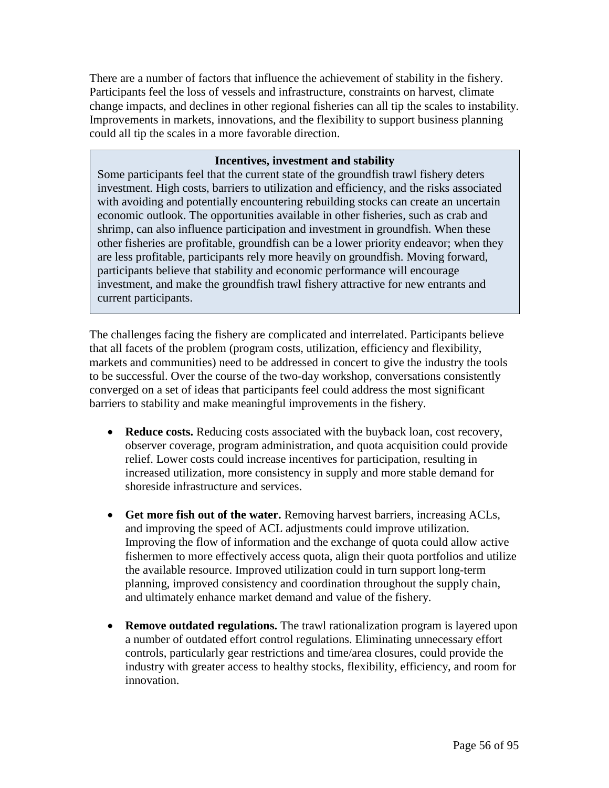There are a number of factors that influence the achievement of stability in the fishery. Participants feel the loss of vessels and infrastructure, constraints on harvest, climate change impacts, and declines in other regional fisheries can all tip the scales to instability. Improvements in markets, innovations, and the flexibility to support business planning could all tip the scales in a more favorable direction.

## **Incentives, investment and stability**

Some participants feel that the current state of the groundfish trawl fishery deters investment. High costs, barriers to utilization and efficiency, and the risks associated with avoiding and potentially encountering rebuilding stocks can create an uncertain economic outlook. The opportunities available in other fisheries, such as crab and shrimp, can also influence participation and investment in groundfish. When these other fisheries are profitable, groundfish can be a lower priority endeavor; when they are less profitable, participants rely more heavily on groundfish. Moving forward, participants believe that stability and economic performance will encourage investment, and make the groundfish trawl fishery attractive for new entrants and current participants.

The challenges facing the fishery are complicated and interrelated. Participants believe that all facets of the problem (program costs, utilization, efficiency and flexibility, markets and communities) need to be addressed in concert to give the industry the tools to be successful. Over the course of the two-day workshop, conversations consistently converged on a set of ideas that participants feel could address the most significant barriers to stability and make meaningful improvements in the fishery.

- **Reduce costs.** Reducing costs associated with the buyback loan, cost recovery, observer coverage, program administration, and quota acquisition could provide relief. Lower costs could increase incentives for participation, resulting in increased utilization, more consistency in supply and more stable demand for shoreside infrastructure and services.
- **Get more fish out of the water.** Removing harvest barriers, increasing ACLs, and improving the speed of ACL adjustments could improve utilization. Improving the flow of information and the exchange of quota could allow active fishermen to more effectively access quota, align their quota portfolios and utilize the available resource. Improved utilization could in turn support long-term planning, improved consistency and coordination throughout the supply chain, and ultimately enhance market demand and value of the fishery.
- **Remove outdated regulations.** The trawl rationalization program is layered upon a number of outdated effort control regulations. Eliminating unnecessary effort controls, particularly gear restrictions and time/area closures, could provide the industry with greater access to healthy stocks, flexibility, efficiency, and room for innovation.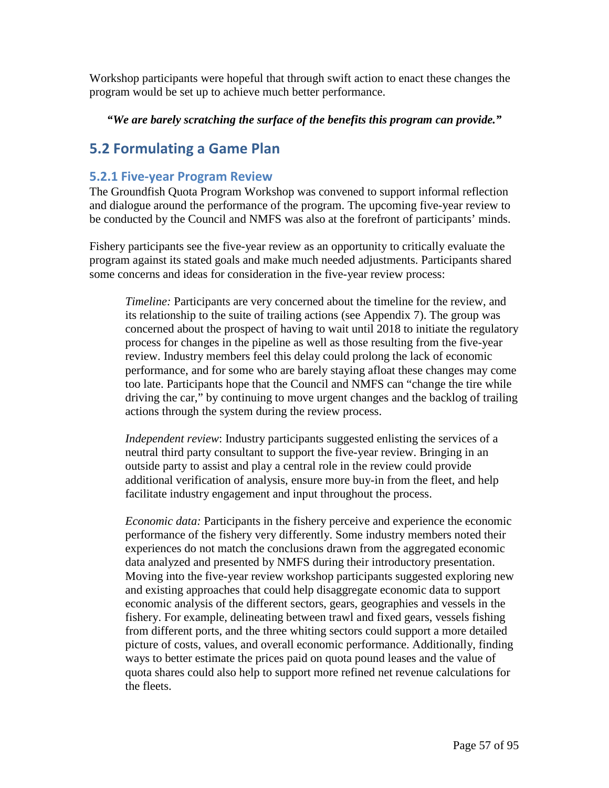Workshop participants were hopeful that through swift action to enact these changes the program would be set up to achieve much better performance.

*"We are barely scratching the surface of the benefits this program can provide."*

# **5.2 Formulating a Game Plan**

## **5.2.1 Five-year Program Review**

The Groundfish Quota Program Workshop was convened to support informal reflection and dialogue around the performance of the program. The upcoming five-year review to be conducted by the Council and NMFS was also at the forefront of participants' minds.

Fishery participants see the five-year review as an opportunity to critically evaluate the program against its stated goals and make much needed adjustments. Participants shared some concerns and ideas for consideration in the five-year review process:

*Timeline:* Participants are very concerned about the timeline for the review, and its relationship to the suite of trailing actions (see Appendix 7). The group was concerned about the prospect of having to wait until 2018 to initiate the regulatory process for changes in the pipeline as well as those resulting from the five-year review. Industry members feel this delay could prolong the lack of economic performance, and for some who are barely staying afloat these changes may come too late. Participants hope that the Council and NMFS can "change the tire while driving the car," by continuing to move urgent changes and the backlog of trailing actions through the system during the review process.

*Independent review*: Industry participants suggested enlisting the services of a neutral third party consultant to support the five-year review. Bringing in an outside party to assist and play a central role in the review could provide additional verification of analysis, ensure more buy-in from the fleet, and help facilitate industry engagement and input throughout the process.

*Economic data:* Participants in the fishery perceive and experience the economic performance of the fishery very differently. Some industry members noted their experiences do not match the conclusions drawn from the aggregated economic data analyzed and presented by NMFS during their introductory presentation. Moving into the five-year review workshop participants suggested exploring new and existing approaches that could help disaggregate economic data to support economic analysis of the different sectors, gears, geographies and vessels in the fishery. For example, delineating between trawl and fixed gears, vessels fishing from different ports, and the three whiting sectors could support a more detailed picture of costs, values, and overall economic performance. Additionally, finding ways to better estimate the prices paid on quota pound leases and the value of quota shares could also help to support more refined net revenue calculations for the fleets.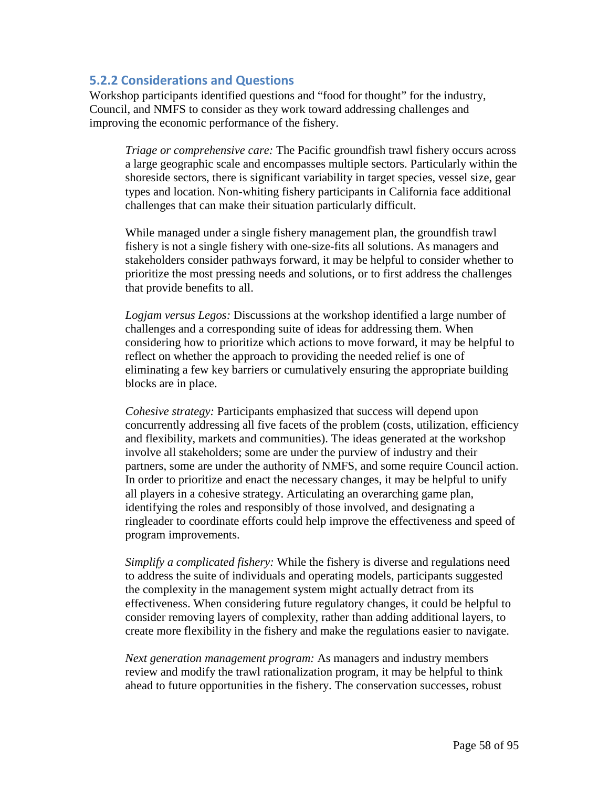## **5.2.2 Considerations and Questions**

Workshop participants identified questions and "food for thought" for the industry, Council, and NMFS to consider as they work toward addressing challenges and improving the economic performance of the fishery.

*Triage or comprehensive care:* The Pacific groundfish trawl fishery occurs across a large geographic scale and encompasses multiple sectors. Particularly within the shoreside sectors, there is significant variability in target species, vessel size, gear types and location. Non-whiting fishery participants in California face additional challenges that can make their situation particularly difficult.

While managed under a single fishery management plan, the groundfish trawl fishery is not a single fishery with one-size-fits all solutions. As managers and stakeholders consider pathways forward, it may be helpful to consider whether to prioritize the most pressing needs and solutions, or to first address the challenges that provide benefits to all.

*Logjam versus Legos:* Discussions at the workshop identified a large number of challenges and a corresponding suite of ideas for addressing them. When considering how to prioritize which actions to move forward, it may be helpful to reflect on whether the approach to providing the needed relief is one of eliminating a few key barriers or cumulatively ensuring the appropriate building blocks are in place.

*Cohesive strategy:* Participants emphasized that success will depend upon concurrently addressing all five facets of the problem (costs, utilization, efficiency and flexibility, markets and communities). The ideas generated at the workshop involve all stakeholders; some are under the purview of industry and their partners, some are under the authority of NMFS, and some require Council action. In order to prioritize and enact the necessary changes, it may be helpful to unify all players in a cohesive strategy. Articulating an overarching game plan, identifying the roles and responsibly of those involved, and designating a ringleader to coordinate efforts could help improve the effectiveness and speed of program improvements.

*Simplify a complicated fishery:* While the fishery is diverse and regulations need to address the suite of individuals and operating models, participants suggested the complexity in the management system might actually detract from its effectiveness. When considering future regulatory changes, it could be helpful to consider removing layers of complexity, rather than adding additional layers, to create more flexibility in the fishery and make the regulations easier to navigate.

*Next generation management program:* As managers and industry members review and modify the trawl rationalization program, it may be helpful to think ahead to future opportunities in the fishery. The conservation successes, robust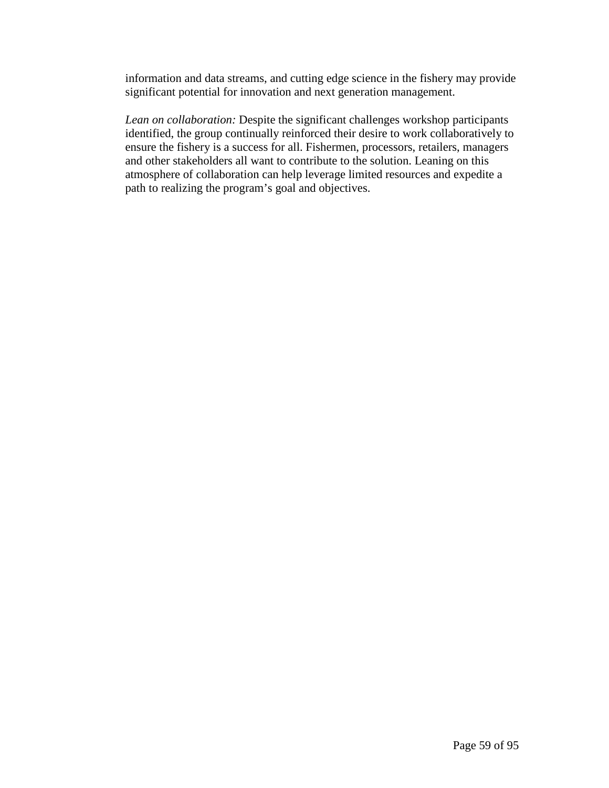information and data streams, and cutting edge science in the fishery may provide significant potential for innovation and next generation management.

*Lean on collaboration:* Despite the significant challenges workshop participants identified, the group continually reinforced their desire to work collaboratively to ensure the fishery is a success for all. Fishermen, processors, retailers, managers and other stakeholders all want to contribute to the solution. Leaning on this atmosphere of collaboration can help leverage limited resources and expedite a path to realizing the program's goal and objectives.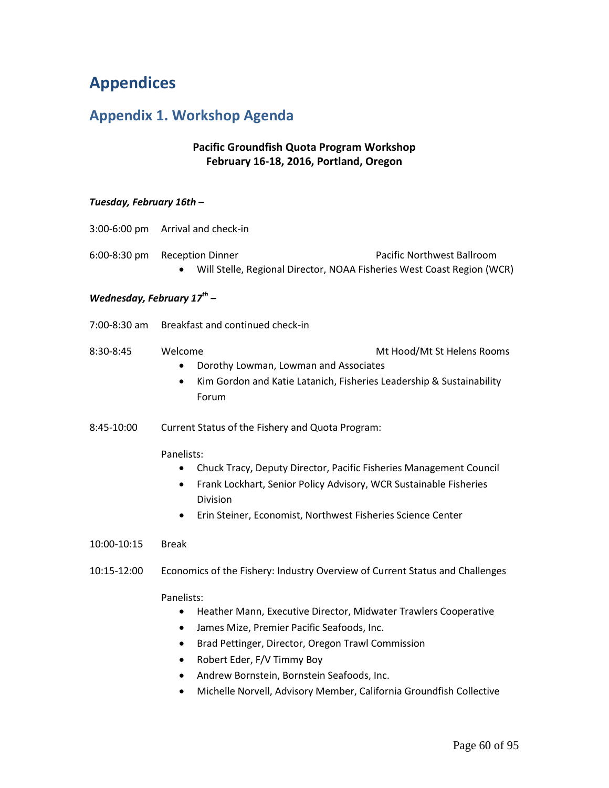# **Appendices**

# **Appendix 1. Workshop Agenda**

## **Pacific Groundfish Quota Program Workshop February 16-18, 2016, Portland, Oregon**

#### *Tuesday, February 16th –*

| 3:00-6:00 pm                    | Arrival and check-in                                                                                                                                                                                                                                                                        |
|---------------------------------|---------------------------------------------------------------------------------------------------------------------------------------------------------------------------------------------------------------------------------------------------------------------------------------------|
| 6:00-8:30 pm                    | Pacific Northwest Ballroom<br><b>Reception Dinner</b><br>Will Stelle, Regional Director, NOAA Fisheries West Coast Region (WCR)                                                                                                                                                             |
| Wednesday, February $17^{th}$ – |                                                                                                                                                                                                                                                                                             |
| 7:00-8:30 am                    | Breakfast and continued check-in                                                                                                                                                                                                                                                            |
| 8:30-8:45                       | Welcome<br>Mt Hood/Mt St Helens Rooms<br>Dorothy Lowman, Lowman and Associates<br>$\bullet$<br>Kim Gordon and Katie Latanich, Fisheries Leadership & Sustainability<br>$\bullet$<br>Forum                                                                                                   |
| 8:45-10:00                      | Current Status of the Fishery and Quota Program:                                                                                                                                                                                                                                            |
|                                 | Panelists:<br>Chuck Tracy, Deputy Director, Pacific Fisheries Management Council<br>$\bullet$<br>Frank Lockhart, Senior Policy Advisory, WCR Sustainable Fisheries<br>$\bullet$<br>Division<br>Erin Steiner, Economist, Northwest Fisheries Science Center<br>٠                             |
| 10:00-10:15                     | <b>Break</b>                                                                                                                                                                                                                                                                                |
| 10:15-12:00                     | Economics of the Fishery: Industry Overview of Current Status and Challenges                                                                                                                                                                                                                |
|                                 | Panelists:<br>Heather Mann, Executive Director, Midwater Trawlers Cooperative<br>$\bullet$<br>James Mize, Premier Pacific Seafoods, Inc.<br>$\bullet$<br>Brad Pettinger, Director, Oregon Trawl Commission<br>٠<br>Robert Eder, F/V Timmy Boy<br>Andrew Bornstein, Bornstein Seafoods, Inc. |

• Michelle Norvell, Advisory Member, California Groundfish Collective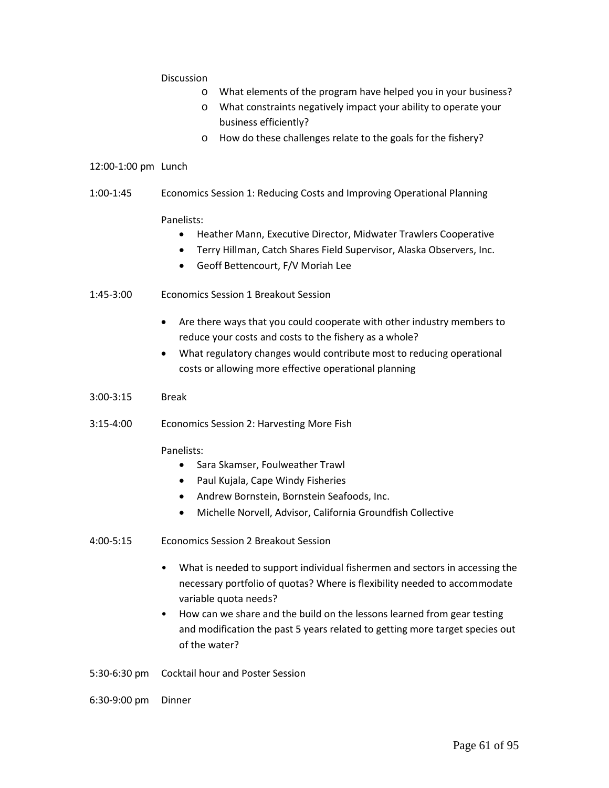#### **Discussion**

- o What elements of the program have helped you in your business?
- o What constraints negatively impact your ability to operate your business efficiently?
- o How do these challenges relate to the goals for the fishery?

#### 12:00-1:00 pm Lunch

1:00-1:45 Economics Session 1: Reducing Costs and Improving Operational Planning

#### Panelists:

- Heather Mann, Executive Director, Midwater Trawlers Cooperative
- Terry Hillman, Catch Shares Field Supervisor, Alaska Observers, Inc.
- Geoff Bettencourt, F/V Moriah Lee
- 1:45-3:00 Economics Session 1 Breakout Session
	- Are there ways that you could cooperate with other industry members to reduce your costs and costs to the fishery as a whole?
	- What regulatory changes would contribute most to reducing operational costs or allowing more effective operational planning
- 3:00-3:15 Break
- 3:15-4:00 Economics Session 2: Harvesting More Fish

#### Panelists:

- Sara Skamser, Foulweather Trawl
- Paul Kujala, Cape Windy Fisheries
- Andrew Bornstein, Bornstein Seafoods, Inc.
- Michelle Norvell, Advisor, California Groundfish Collective
- 4:00-5:15 Economics Session 2 Breakout Session
	- What is needed to support individual fishermen and sectors in accessing the necessary portfolio of quotas? Where is flexibility needed to accommodate variable quota needs?
	- How can we share and the build on the lessons learned from gear testing and modification the past 5 years related to getting more target species out of the water?
- 5:30-6:30 pm Cocktail hour and Poster Session
- 6:30-9:00 pm Dinner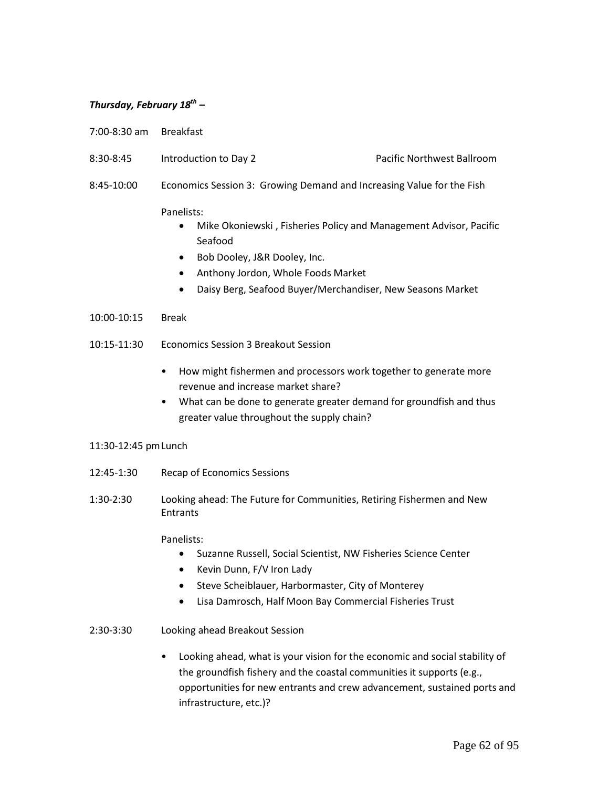#### *Thursday, February 18th –*

- 7:00-8:30 am Breakfast
- 8:30-8:45 Introduction to Day 2 Pacific Northwest Ballroom
	-
- 8:45-10:00 Economics Session 3: Growing Demand and Increasing Value for the Fish

#### Panelists:

- Mike Okoniewski , Fisheries Policy and Management Advisor, Pacific Seafood
- Bob Dooley, J&R Dooley, Inc.
- Anthony Jordon, Whole Foods Market
- Daisy Berg, Seafood Buyer/Merchandiser, New Seasons Market
- 10:00-10:15 Break
- 10:15-11:30 Economics Session 3 Breakout Session
	- How might fishermen and processors work together to generate more revenue and increase market share?
	- What can be done to generate greater demand for groundfish and thus greater value throughout the supply chain?

#### 11:30-12:45 pmLunch

- 12:45-1:30 Recap of Economics Sessions
- 1:30-2:30 Looking ahead: The Future for Communities, Retiring Fishermen and New **Entrants**

#### Panelists:

- Suzanne Russell, Social Scientist, NW Fisheries Science Center
- Kevin Dunn, F/V Iron Lady
- Steve Scheiblauer, Harbormaster, City of Monterey
- Lisa Damrosch, Half Moon Bay Commercial Fisheries Trust
- 2:30-3:30 Looking ahead Breakout Session
	- Looking ahead, what is your vision for the economic and social stability of the groundfish fishery and the coastal communities it supports (e.g., opportunities for new entrants and crew advancement, sustained ports and infrastructure, etc.)?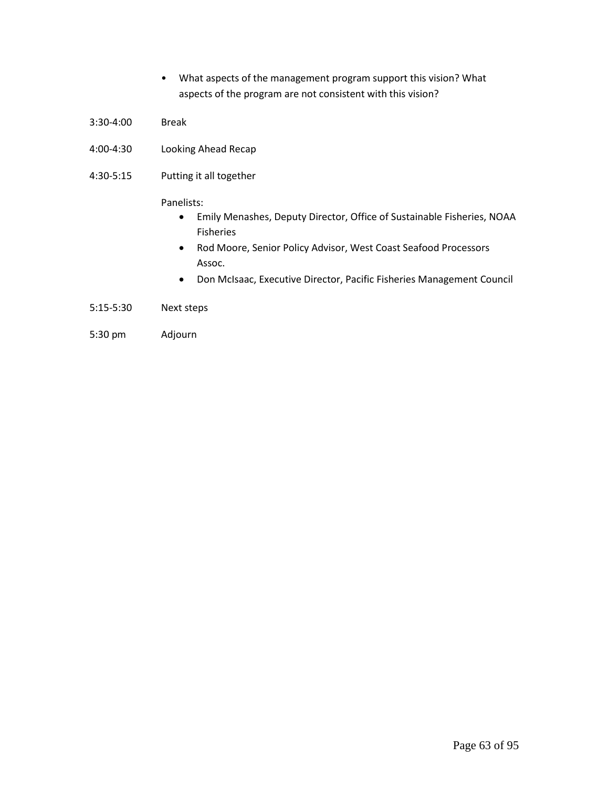- What aspects of the management program support this vision? What aspects of the program are not consistent with this vision?
- 3:30-4:00 Break
- 4:00-4:30 Looking Ahead Recap
- 4:30-5:15 Putting it all together

#### Panelists:

- Emily Menashes, Deputy Director, Office of Sustainable Fisheries, NOAA Fisheries
- Rod Moore, Senior Policy Advisor, West Coast Seafood Processors Assoc.
- Don McIsaac, Executive Director, Pacific Fisheries Management Council
- 5:15-5:30 Next steps
- 5:30 pm Adjourn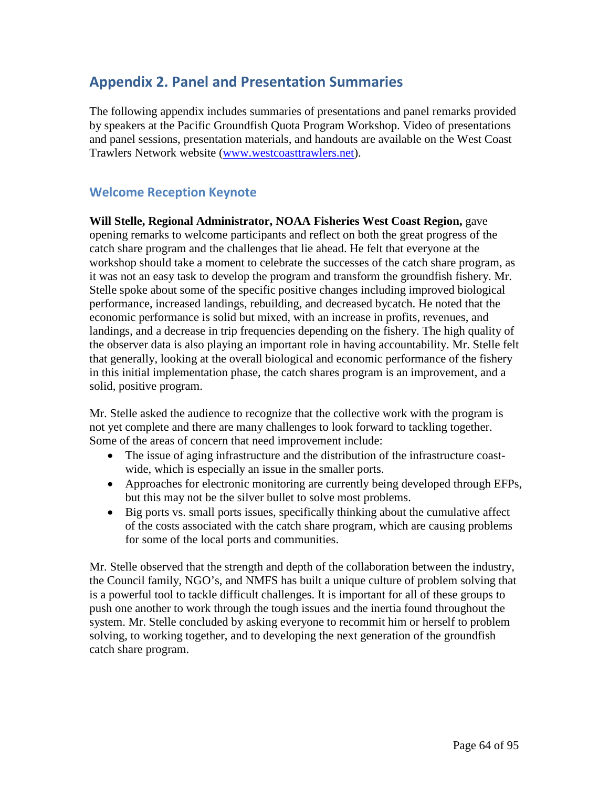# **Appendix 2. Panel and Presentation Summaries**

The following appendix includes summaries of presentations and panel remarks provided by speakers at the Pacific Groundfish Quota Program Workshop. Video of presentations and panel sessions, presentation materials, and handouts are available on the West Coast Trawlers Network website [\(www.westcoasttrawlers.net\)](http://www.westcoasttrawlers.net/).

## **Welcome Reception Keynote**

**Will Stelle, Regional Administrator, NOAA Fisheries West Coast Region,** gave opening remarks to welcome participants and reflect on both the great progress of the catch share program and the challenges that lie ahead. He felt that everyone at the workshop should take a moment to celebrate the successes of the catch share program, as it was not an easy task to develop the program and transform the groundfish fishery. Mr. Stelle spoke about some of the specific positive changes including improved biological performance, increased landings, rebuilding, and decreased bycatch. He noted that the economic performance is solid but mixed, with an increase in profits, revenues, and landings, and a decrease in trip frequencies depending on the fishery. The high quality of the observer data is also playing an important role in having accountability. Mr. Stelle felt that generally, looking at the overall biological and economic performance of the fishery in this initial implementation phase, the catch shares program is an improvement, and a solid, positive program.

Mr. Stelle asked the audience to recognize that the collective work with the program is not yet complete and there are many challenges to look forward to tackling together. Some of the areas of concern that need improvement include:

- The issue of aging infrastructure and the distribution of the infrastructure coastwide, which is especially an issue in the smaller ports.
- Approaches for electronic monitoring are currently being developed through EFPs, but this may not be the silver bullet to solve most problems.
- Big ports vs. small ports issues, specifically thinking about the cumulative affect of the costs associated with the catch share program, which are causing problems for some of the local ports and communities.

Mr. Stelle observed that the strength and depth of the collaboration between the industry, the Council family, NGO's, and NMFS has built a unique culture of problem solving that is a powerful tool to tackle difficult challenges. It is important for all of these groups to push one another to work through the tough issues and the inertia found throughout the system. Mr. Stelle concluded by asking everyone to recommit him or herself to problem solving, to working together, and to developing the next generation of the groundfish catch share program.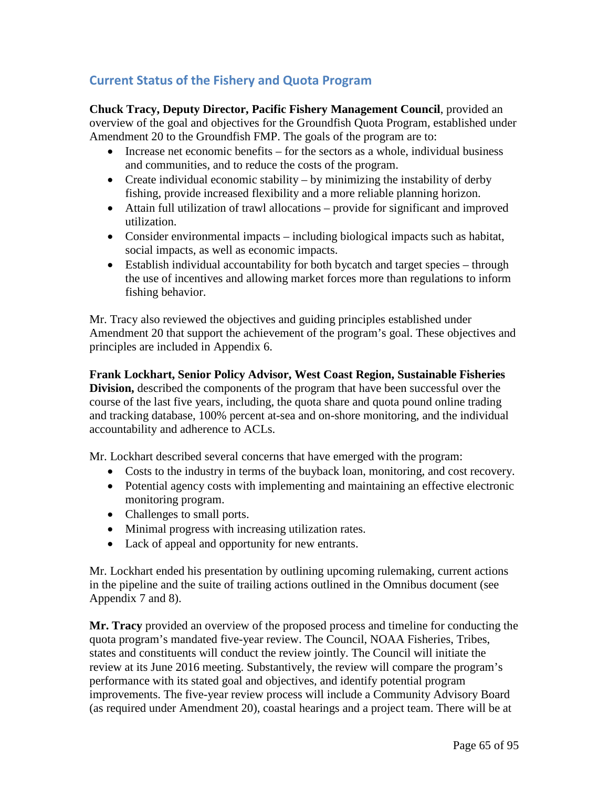## **Current Status of the Fishery and Quota Program**

**Chuck Tracy, Deputy Director, Pacific Fishery Management Council**, provided an overview of the goal and objectives for the Groundfish Quota Program, established under Amendment 20 to the Groundfish FMP. The goals of the program are to:

- Increase net economic benefits for the sectors as a whole, individual business and communities, and to reduce the costs of the program.
- Create individual economic stability by minimizing the instability of derby fishing, provide increased flexibility and a more reliable planning horizon.
- Attain full utilization of trawl allocations provide for significant and improved utilization.
- Consider environmental impacts including biological impacts such as habitat, social impacts, as well as economic impacts.
- Establish individual accountability for both bycatch and target species through the use of incentives and allowing market forces more than regulations to inform fishing behavior.

Mr. Tracy also reviewed the objectives and guiding principles established under Amendment 20 that support the achievement of the program's goal. These objectives and principles are included in Appendix 6.

**Frank Lockhart, Senior Policy Advisor, West Coast Region, Sustainable Fisheries Division,** described the components of the program that have been successful over the course of the last five years, including, the quota share and quota pound online trading and tracking database, 100% percent at-sea and on-shore monitoring, and the individual accountability and adherence to ACLs.

Mr. Lockhart described several concerns that have emerged with the program:

- Costs to the industry in terms of the buyback loan, monitoring, and cost recovery.
- Potential agency costs with implementing and maintaining an effective electronic monitoring program.
- Challenges to small ports.
- Minimal progress with increasing utilization rates.
- Lack of appeal and opportunity for new entrants.

Mr. Lockhart ended his presentation by outlining upcoming rulemaking, current actions in the pipeline and the suite of trailing actions outlined in the Omnibus document (see Appendix 7 and 8).

**Mr. Tracy** provided an overview of the proposed process and timeline for conducting the quota program's mandated five-year review. The Council, NOAA Fisheries, Tribes, states and constituents will conduct the review jointly. The Council will initiate the review at its June 2016 meeting. Substantively, the review will compare the program's performance with its stated goal and objectives, and identify potential program improvements. The five-year review process will include a Community Advisory Board (as required under Amendment 20), coastal hearings and a project team. There will be at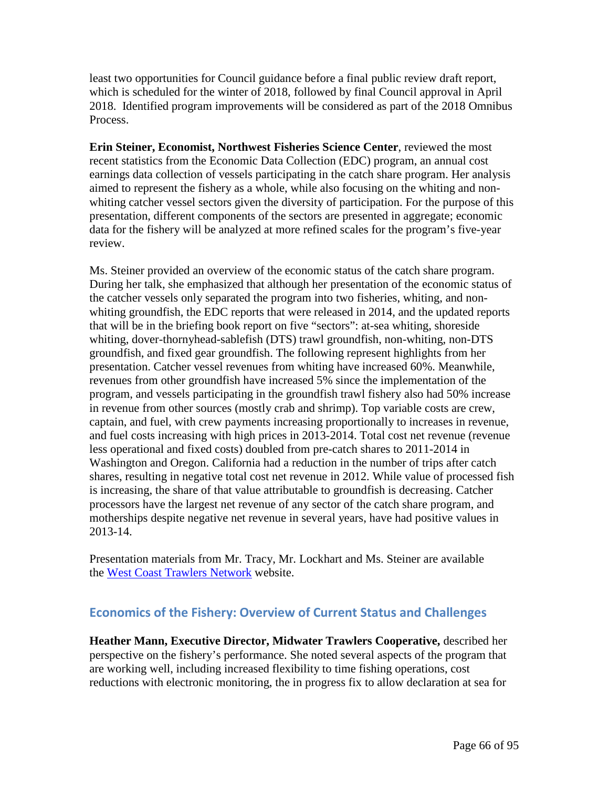least two opportunities for Council guidance before a final public review draft report, which is scheduled for the winter of 2018, followed by final Council approval in April 2018. Identified program improvements will be considered as part of the 2018 Omnibus Process.

**Erin Steiner, Economist, Northwest Fisheries Science Center**, reviewed the most recent statistics from the Economic Data Collection (EDC) program, an annual cost earnings data collection of vessels participating in the catch share program. Her analysis aimed to represent the fishery as a whole, while also focusing on the whiting and nonwhiting catcher vessel sectors given the diversity of participation. For the purpose of this presentation, different components of the sectors are presented in aggregate; economic data for the fishery will be analyzed at more refined scales for the program's five-year review.

Ms. Steiner provided an overview of the economic status of the catch share program. During her talk, she emphasized that although her presentation of the economic status of the catcher vessels only separated the program into two fisheries, whiting, and nonwhiting groundfish, the EDC reports that were released in 2014, and the updated reports that will be in the briefing book report on five "sectors": at-sea whiting, shoreside whiting, dover-thornyhead-sablefish (DTS) trawl groundfish, non-whiting, non-DTS groundfish, and fixed gear groundfish. The following represent highlights from her presentation. Catcher vessel revenues from whiting have increased 60%. Meanwhile, revenues from other groundfish have increased 5% since the implementation of the program, and vessels participating in the groundfish trawl fishery also had 50% increase in revenue from other sources (mostly crab and shrimp). Top variable costs are crew, captain, and fuel, with crew payments increasing proportionally to increases in revenue, and fuel costs increasing with high prices in 2013-2014. Total cost net revenue (revenue less operational and fixed costs) doubled from pre-catch shares to 2011-2014 in Washington and Oregon. California had a reduction in the number of trips after catch shares, resulting in negative total cost net revenue in 2012. While value of processed fish is increasing, the share of that value attributable to groundfish is decreasing. Catcher processors have the largest net revenue of any sector of the catch share program, and motherships despite negative net revenue in several years, have had positive values in 2013-14.

Presentation materials from Mr. Tracy, Mr. Lockhart and Ms. Steiner are available the [West Coast Trawlers Network](http://www.westcoasttrawlers.net/) website.

## **Economics of the Fishery: Overview of Current Status and Challenges**

**Heather Mann, Executive Director, Midwater Trawlers Cooperative,** described her perspective on the fishery's performance. She noted several aspects of the program that are working well, including increased flexibility to time fishing operations, cost reductions with electronic monitoring, the in progress fix to allow declaration at sea for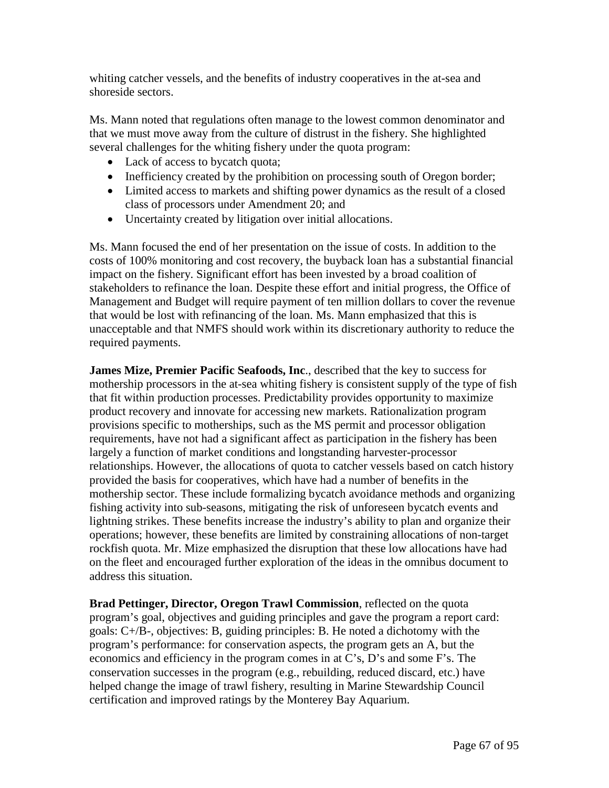whiting catcher vessels, and the benefits of industry cooperatives in the at-sea and shoreside sectors.

Ms. Mann noted that regulations often manage to the lowest common denominator and that we must move away from the culture of distrust in the fishery. She highlighted several challenges for the whiting fishery under the quota program:

- Lack of access to bycatch quota;
- Inefficiency created by the prohibition on processing south of Oregon border;
- Limited access to markets and shifting power dynamics as the result of a closed class of processors under Amendment 20; and
- Uncertainty created by litigation over initial allocations.

Ms. Mann focused the end of her presentation on the issue of costs. In addition to the costs of 100% monitoring and cost recovery, the buyback loan has a substantial financial impact on the fishery. Significant effort has been invested by a broad coalition of stakeholders to refinance the loan. Despite these effort and initial progress, the Office of Management and Budget will require payment of ten million dollars to cover the revenue that would be lost with refinancing of the loan. Ms. Mann emphasized that this is unacceptable and that NMFS should work within its discretionary authority to reduce the required payments.

**James Mize, Premier Pacific Seafoods, Inc**., described that the key to success for mothership processors in the at-sea whiting fishery is consistent supply of the type of fish that fit within production processes. Predictability provides opportunity to maximize product recovery and innovate for accessing new markets. Rationalization program provisions specific to motherships, such as the MS permit and processor obligation requirements, have not had a significant affect as participation in the fishery has been largely a function of market conditions and longstanding harvester-processor relationships. However, the allocations of quota to catcher vessels based on catch history provided the basis for cooperatives, which have had a number of benefits in the mothership sector. These include formalizing bycatch avoidance methods and organizing fishing activity into sub-seasons, mitigating the risk of unforeseen bycatch events and lightning strikes. These benefits increase the industry's ability to plan and organize their operations; however, these benefits are limited by constraining allocations of non-target rockfish quota. Mr. Mize emphasized the disruption that these low allocations have had on the fleet and encouraged further exploration of the ideas in the omnibus document to address this situation.

**Brad Pettinger, Director, Oregon Trawl Commission**, reflected on the quota program's goal, objectives and guiding principles and gave the program a report card: goals: C+/B-, objectives: B, guiding principles: B. He noted a dichotomy with the program's performance: for conservation aspects, the program gets an A, but the economics and efficiency in the program comes in at C's, D's and some F's. The conservation successes in the program (e.g., rebuilding, reduced discard, etc.) have helped change the image of trawl fishery, resulting in Marine Stewardship Council certification and improved ratings by the Monterey Bay Aquarium.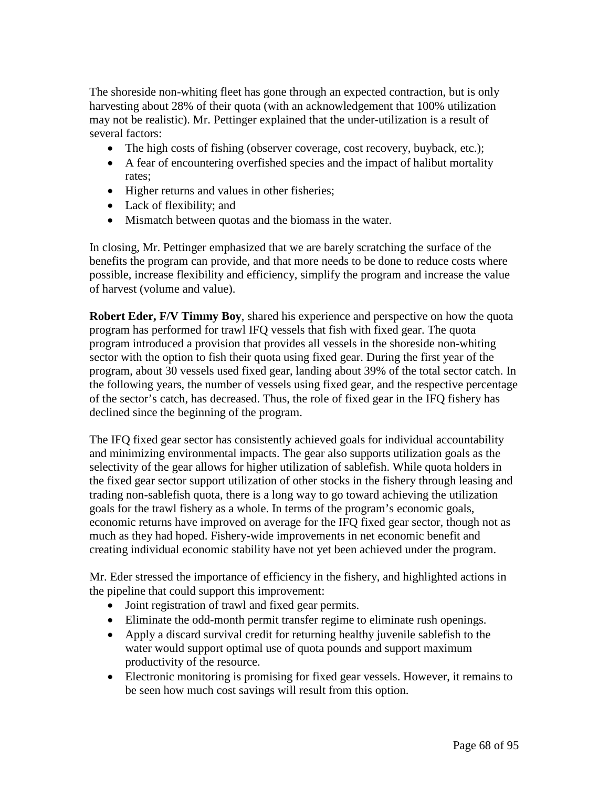The shoreside non-whiting fleet has gone through an expected contraction, but is only harvesting about 28% of their quota (with an acknowledgement that 100% utilization may not be realistic). Mr. Pettinger explained that the under-utilization is a result of several factors:

- The high costs of fishing (observer coverage, cost recovery, buyback, etc.);
- A fear of encountering overfished species and the impact of halibut mortality rates;
- Higher returns and values in other fisheries;
- Lack of flexibility; and
- Mismatch between quotas and the biomass in the water.

In closing, Mr. Pettinger emphasized that we are barely scratching the surface of the benefits the program can provide, and that more needs to be done to reduce costs where possible, increase flexibility and efficiency, simplify the program and increase the value of harvest (volume and value).

**Robert Eder, F/V Timmy Boy**, shared his experience and perspective on how the quota program has performed for trawl IFQ vessels that fish with fixed gear. The quota program introduced a provision that provides all vessels in the shoreside non-whiting sector with the option to fish their quota using fixed gear. During the first year of the program, about 30 vessels used fixed gear, landing about 39% of the total sector catch. In the following years, the number of vessels using fixed gear, and the respective percentage of the sector's catch, has decreased. Thus, the role of fixed gear in the IFQ fishery has declined since the beginning of the program.

The IFQ fixed gear sector has consistently achieved goals for individual accountability and minimizing environmental impacts. The gear also supports utilization goals as the selectivity of the gear allows for higher utilization of sablefish. While quota holders in the fixed gear sector support utilization of other stocks in the fishery through leasing and trading non-sablefish quota, there is a long way to go toward achieving the utilization goals for the trawl fishery as a whole. In terms of the program's economic goals, economic returns have improved on average for the IFQ fixed gear sector, though not as much as they had hoped. Fishery-wide improvements in net economic benefit and creating individual economic stability have not yet been achieved under the program.

Mr. Eder stressed the importance of efficiency in the fishery, and highlighted actions in the pipeline that could support this improvement:

- Joint registration of trawl and fixed gear permits.
- Eliminate the odd-month permit transfer regime to eliminate rush openings.
- Apply a discard survival credit for returning healthy juvenile sablefish to the water would support optimal use of quota pounds and support maximum productivity of the resource.
- Electronic monitoring is promising for fixed gear vessels. However, it remains to be seen how much cost savings will result from this option.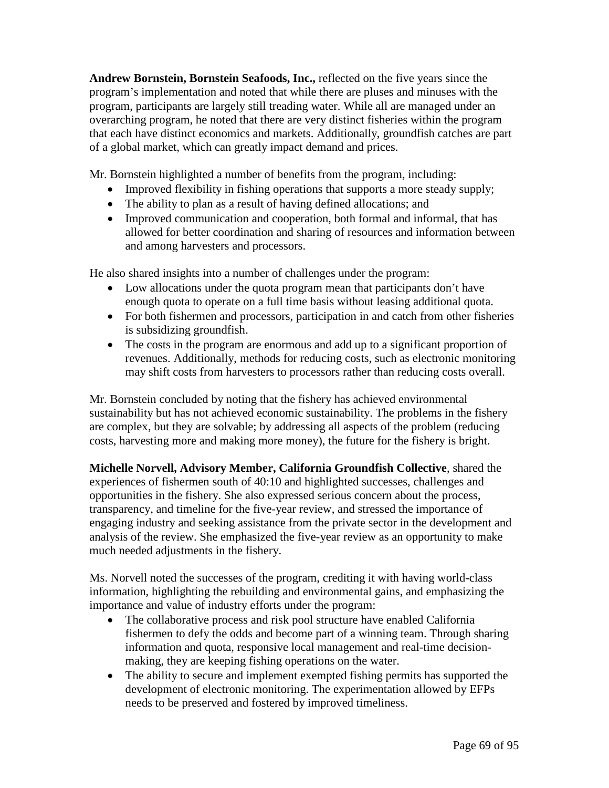**Andrew Bornstein, Bornstein Seafoods, Inc.,** reflected on the five years since the program's implementation and noted that while there are pluses and minuses with the program, participants are largely still treading water. While all are managed under an overarching program, he noted that there are very distinct fisheries within the program that each have distinct economics and markets. Additionally, groundfish catches are part of a global market, which can greatly impact demand and prices.

Mr. Bornstein highlighted a number of benefits from the program, including:

- Improved flexibility in fishing operations that supports a more steady supply;
- The ability to plan as a result of having defined allocations; and
- Improved communication and cooperation, both formal and informal, that has allowed for better coordination and sharing of resources and information between and among harvesters and processors.

He also shared insights into a number of challenges under the program:

- Low allocations under the quota program mean that participants don't have enough quota to operate on a full time basis without leasing additional quota.
- For both fishermen and processors, participation in and catch from other fisheries is subsidizing groundfish.
- The costs in the program are enormous and add up to a significant proportion of revenues. Additionally, methods for reducing costs, such as electronic monitoring may shift costs from harvesters to processors rather than reducing costs overall.

Mr. Bornstein concluded by noting that the fishery has achieved environmental sustainability but has not achieved economic sustainability. The problems in the fishery are complex, but they are solvable; by addressing all aspects of the problem (reducing costs, harvesting more and making more money), the future for the fishery is bright.

**Michelle Norvell, Advisory Member, California Groundfish Collective**, shared the experiences of fishermen south of 40:10 and highlighted successes, challenges and opportunities in the fishery. She also expressed serious concern about the process, transparency, and timeline for the five-year review, and stressed the importance of engaging industry and seeking assistance from the private sector in the development and analysis of the review. She emphasized the five-year review as an opportunity to make much needed adjustments in the fishery.

Ms. Norvell noted the successes of the program, crediting it with having world-class information, highlighting the rebuilding and environmental gains, and emphasizing the importance and value of industry efforts under the program:

- The collaborative process and risk pool structure have enabled California fishermen to defy the odds and become part of a winning team. Through sharing information and quota, responsive local management and real-time decisionmaking, they are keeping fishing operations on the water.
- The ability to secure and implement exempted fishing permits has supported the development of electronic monitoring. The experimentation allowed by EFPs needs to be preserved and fostered by improved timeliness.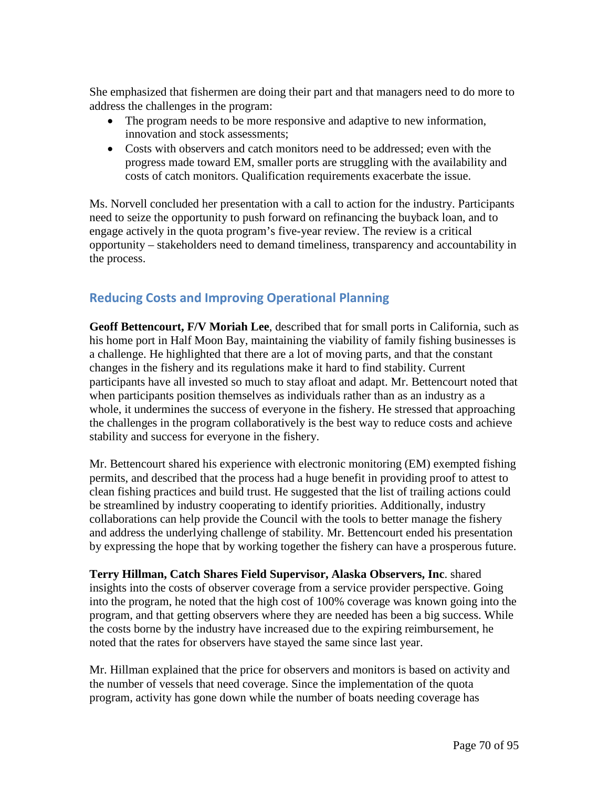She emphasized that fishermen are doing their part and that managers need to do more to address the challenges in the program:

- The program needs to be more responsive and adaptive to new information, innovation and stock assessments;
- Costs with observers and catch monitors need to be addressed; even with the progress made toward EM, smaller ports are struggling with the availability and costs of catch monitors. Qualification requirements exacerbate the issue.

Ms. Norvell concluded her presentation with a call to action for the industry. Participants need to seize the opportunity to push forward on refinancing the buyback loan, and to engage actively in the quota program's five-year review. The review is a critical opportunity – stakeholders need to demand timeliness, transparency and accountability in the process.

# **Reducing Costs and Improving Operational Planning**

**Geoff Bettencourt, F/V Moriah Lee**, described that for small ports in California, such as his home port in Half Moon Bay, maintaining the viability of family fishing businesses is a challenge. He highlighted that there are a lot of moving parts, and that the constant changes in the fishery and its regulations make it hard to find stability. Current participants have all invested so much to stay afloat and adapt. Mr. Bettencourt noted that when participants position themselves as individuals rather than as an industry as a whole, it undermines the success of everyone in the fishery. He stressed that approaching the challenges in the program collaboratively is the best way to reduce costs and achieve stability and success for everyone in the fishery.

Mr. Bettencourt shared his experience with electronic monitoring (EM) exempted fishing permits, and described that the process had a huge benefit in providing proof to attest to clean fishing practices and build trust. He suggested that the list of trailing actions could be streamlined by industry cooperating to identify priorities. Additionally, industry collaborations can help provide the Council with the tools to better manage the fishery and address the underlying challenge of stability. Mr. Bettencourt ended his presentation by expressing the hope that by working together the fishery can have a prosperous future.

**Terry Hillman, Catch Shares Field Supervisor, Alaska Observers, Inc**. shared insights into the costs of observer coverage from a service provider perspective. Going into the program, he noted that the high cost of 100% coverage was known going into the program, and that getting observers where they are needed has been a big success. While the costs borne by the industry have increased due to the expiring reimbursement, he noted that the rates for observers have stayed the same since last year.

Mr. Hillman explained that the price for observers and monitors is based on activity and the number of vessels that need coverage. Since the implementation of the quota program, activity has gone down while the number of boats needing coverage has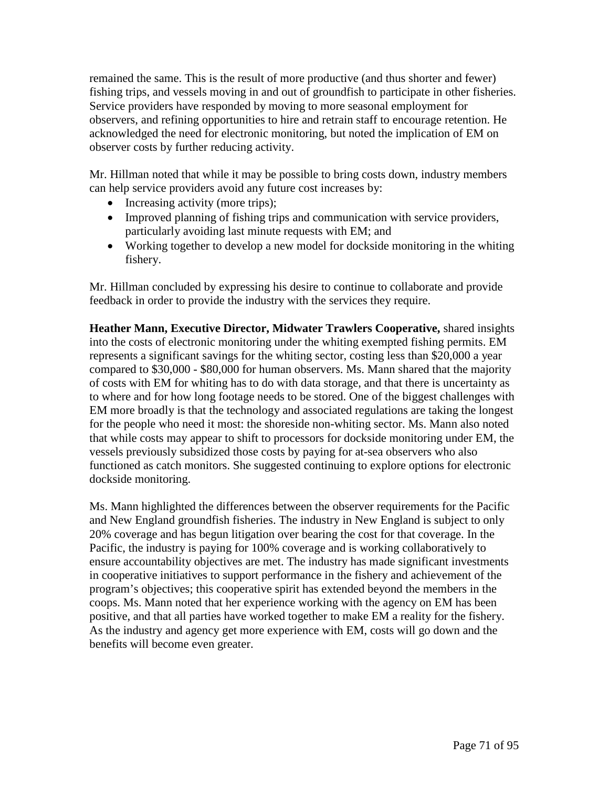remained the same. This is the result of more productive (and thus shorter and fewer) fishing trips, and vessels moving in and out of groundfish to participate in other fisheries. Service providers have responded by moving to more seasonal employment for observers, and refining opportunities to hire and retrain staff to encourage retention. He acknowledged the need for electronic monitoring, but noted the implication of EM on observer costs by further reducing activity.

Mr. Hillman noted that while it may be possible to bring costs down, industry members can help service providers avoid any future cost increases by:

- Increasing activity (more trips);
- Improved planning of fishing trips and communication with service providers, particularly avoiding last minute requests with EM; and
- Working together to develop a new model for dockside monitoring in the whiting fishery.

Mr. Hillman concluded by expressing his desire to continue to collaborate and provide feedback in order to provide the industry with the services they require.

**Heather Mann, Executive Director, Midwater Trawlers Cooperative,** shared insights into the costs of electronic monitoring under the whiting exempted fishing permits. EM represents a significant savings for the whiting sector, costing less than \$20,000 a year compared to \$30,000 - \$80,000 for human observers. Ms. Mann shared that the majority of costs with EM for whiting has to do with data storage, and that there is uncertainty as to where and for how long footage needs to be stored. One of the biggest challenges with EM more broadly is that the technology and associated regulations are taking the longest for the people who need it most: the shoreside non-whiting sector. Ms. Mann also noted that while costs may appear to shift to processors for dockside monitoring under EM, the vessels previously subsidized those costs by paying for at-sea observers who also functioned as catch monitors. She suggested continuing to explore options for electronic dockside monitoring.

Ms. Mann highlighted the differences between the observer requirements for the Pacific and New England groundfish fisheries. The industry in New England is subject to only 20% coverage and has begun litigation over bearing the cost for that coverage. In the Pacific, the industry is paying for 100% coverage and is working collaboratively to ensure accountability objectives are met. The industry has made significant investments in cooperative initiatives to support performance in the fishery and achievement of the program's objectives; this cooperative spirit has extended beyond the members in the coops. Ms. Mann noted that her experience working with the agency on EM has been positive, and that all parties have worked together to make EM a reality for the fishery. As the industry and agency get more experience with EM, costs will go down and the benefits will become even greater.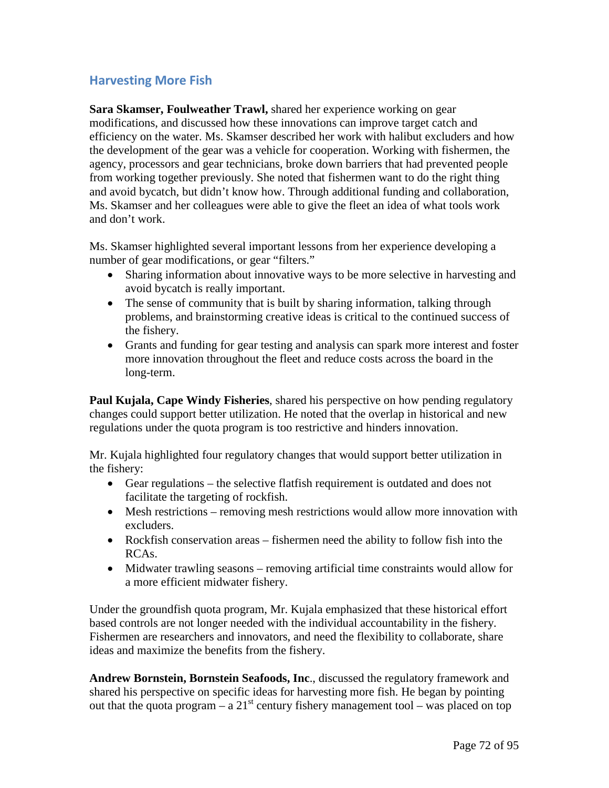## **Harvesting More Fish**

**Sara Skamser, Foulweather Trawl,** shared her experience working on gear modifications, and discussed how these innovations can improve target catch and efficiency on the water. Ms. Skamser described her work with halibut excluders and how the development of the gear was a vehicle for cooperation. Working with fishermen, the agency, processors and gear technicians, broke down barriers that had prevented people from working together previously. She noted that fishermen want to do the right thing and avoid bycatch, but didn't know how. Through additional funding and collaboration, Ms. Skamser and her colleagues were able to give the fleet an idea of what tools work and don't work.

Ms. Skamser highlighted several important lessons from her experience developing a number of gear modifications, or gear "filters."

- Sharing information about innovative ways to be more selective in harvesting and avoid bycatch is really important.
- The sense of community that is built by sharing information, talking through problems, and brainstorming creative ideas is critical to the continued success of the fishery.
- Grants and funding for gear testing and analysis can spark more interest and foster more innovation throughout the fleet and reduce costs across the board in the long-term.

**Paul Kujala, Cape Windy Fisheries**, shared his perspective on how pending regulatory changes could support better utilization. He noted that the overlap in historical and new regulations under the quota program is too restrictive and hinders innovation.

Mr. Kujala highlighted four regulatory changes that would support better utilization in the fishery:

- Gear regulations the selective flatfish requirement is outdated and does not facilitate the targeting of rockfish.
- Mesh restrictions removing mesh restrictions would allow more innovation with excluders.
- Rockfish conservation areas fishermen need the ability to follow fish into the RCAs.
- Midwater trawling seasons removing artificial time constraints would allow for a more efficient midwater fishery.

Under the groundfish quota program, Mr. Kujala emphasized that these historical effort based controls are not longer needed with the individual accountability in the fishery. Fishermen are researchers and innovators, and need the flexibility to collaborate, share ideas and maximize the benefits from the fishery.

**Andrew Bornstein, Bornstein Seafoods, Inc**., discussed the regulatory framework and shared his perspective on specific ideas for harvesting more fish. He began by pointing out that the quota program – a  $21^{st}$  century fishery management tool – was placed on top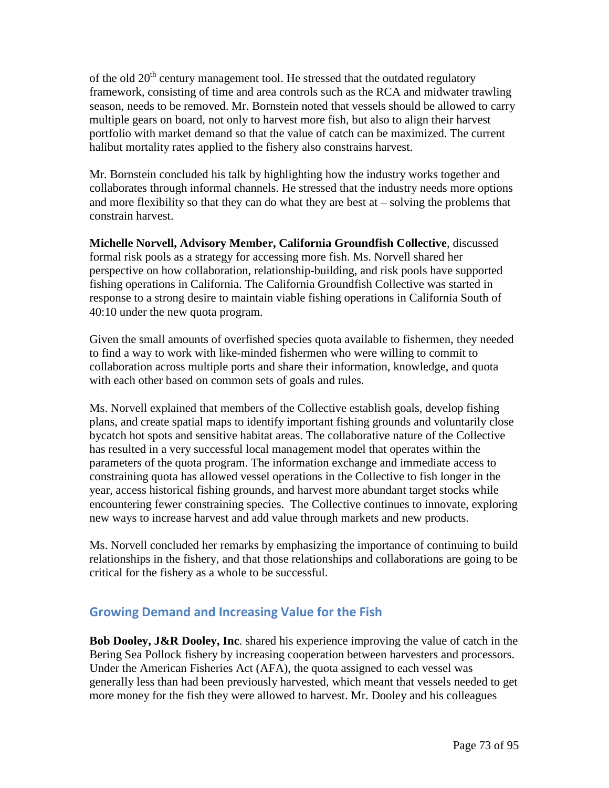of the old  $20<sup>th</sup>$  century management tool. He stressed that the outdated regulatory framework, consisting of time and area controls such as the RCA and midwater trawling season, needs to be removed. Mr. Bornstein noted that vessels should be allowed to carry multiple gears on board, not only to harvest more fish, but also to align their harvest portfolio with market demand so that the value of catch can be maximized. The current halibut mortality rates applied to the fishery also constrains harvest.

Mr. Bornstein concluded his talk by highlighting how the industry works together and collaborates through informal channels. He stressed that the industry needs more options and more flexibility so that they can do what they are best at – solving the problems that constrain harvest.

**Michelle Norvell, Advisory Member, California Groundfish Collective**, discussed formal risk pools as a strategy for accessing more fish. Ms. Norvell shared her perspective on how collaboration, relationship-building, and risk pools have supported fishing operations in California. The California Groundfish Collective was started in response to a strong desire to maintain viable fishing operations in California South of 40:10 under the new quota program.

Given the small amounts of overfished species quota available to fishermen, they needed to find a way to work with like-minded fishermen who were willing to commit to collaboration across multiple ports and share their information, knowledge, and quota with each other based on common sets of goals and rules.

Ms. Norvell explained that members of the Collective establish goals, develop fishing plans, and create spatial maps to identify important fishing grounds and voluntarily close bycatch hot spots and sensitive habitat areas. The collaborative nature of the Collective has resulted in a very successful local management model that operates within the parameters of the quota program. The information exchange and immediate access to constraining quota has allowed vessel operations in the Collective to fish longer in the year, access historical fishing grounds, and harvest more abundant target stocks while encountering fewer constraining species. The Collective continues to innovate, exploring new ways to increase harvest and add value through markets and new products.

Ms. Norvell concluded her remarks by emphasizing the importance of continuing to build relationships in the fishery, and that those relationships and collaborations are going to be critical for the fishery as a whole to be successful.

# **Growing Demand and Increasing Value for the Fish**

**Bob Dooley, J&R Dooley, Inc**. shared his experience improving the value of catch in the Bering Sea Pollock fishery by increasing cooperation between harvesters and processors. Under the American Fisheries Act (AFA), the quota assigned to each vessel was generally less than had been previously harvested, which meant that vessels needed to get more money for the fish they were allowed to harvest. Mr. Dooley and his colleagues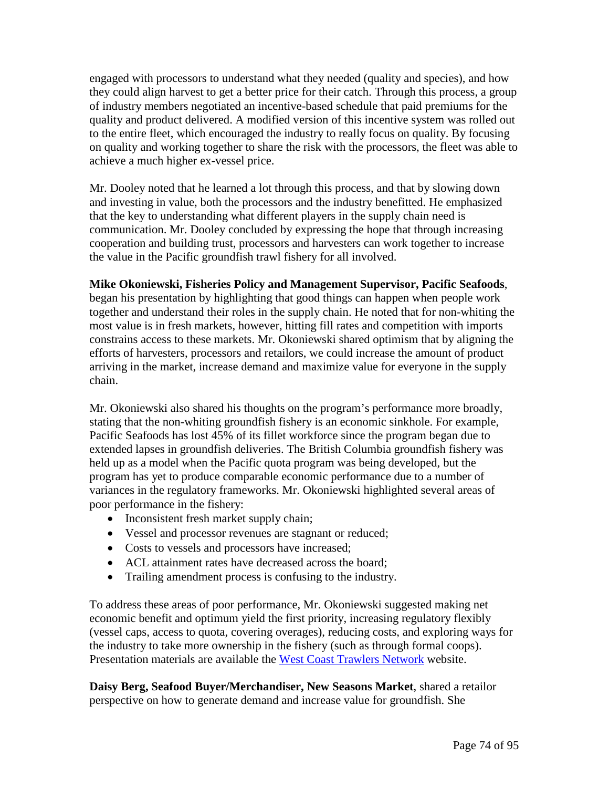engaged with processors to understand what they needed (quality and species), and how they could align harvest to get a better price for their catch. Through this process, a group of industry members negotiated an incentive-based schedule that paid premiums for the quality and product delivered. A modified version of this incentive system was rolled out to the entire fleet, which encouraged the industry to really focus on quality. By focusing on quality and working together to share the risk with the processors, the fleet was able to achieve a much higher ex-vessel price.

Mr. Dooley noted that he learned a lot through this process, and that by slowing down and investing in value, both the processors and the industry benefitted. He emphasized that the key to understanding what different players in the supply chain need is communication. Mr. Dooley concluded by expressing the hope that through increasing cooperation and building trust, processors and harvesters can work together to increase the value in the Pacific groundfish trawl fishery for all involved.

## **Mike Okoniewski, Fisheries Policy and Management Supervisor, Pacific Seafoods**,

began his presentation by highlighting that good things can happen when people work together and understand their roles in the supply chain. He noted that for non-whiting the most value is in fresh markets, however, hitting fill rates and competition with imports constrains access to these markets. Mr. Okoniewski shared optimism that by aligning the efforts of harvesters, processors and retailors, we could increase the amount of product arriving in the market, increase demand and maximize value for everyone in the supply chain.

Mr. Okoniewski also shared his thoughts on the program's performance more broadly, stating that the non-whiting groundfish fishery is an economic sinkhole. For example, Pacific Seafoods has lost 45% of its fillet workforce since the program began due to extended lapses in groundfish deliveries. The British Columbia groundfish fishery was held up as a model when the Pacific quota program was being developed, but the program has yet to produce comparable economic performance due to a number of variances in the regulatory frameworks. Mr. Okoniewski highlighted several areas of poor performance in the fishery:

- Inconsistent fresh market supply chain;
- Vessel and processor revenues are stagnant or reduced;
- Costs to vessels and processors have increased;
- ACL attainment rates have decreased across the board;
- Trailing amendment process is confusing to the industry.

To address these areas of poor performance, Mr. Okoniewski suggested making net economic benefit and optimum yield the first priority, increasing regulatory flexibly (vessel caps, access to quota, covering overages), reducing costs, and exploring ways for the industry to take more ownership in the fishery (such as through formal coops). Presentation materials are available the [West Coast Trawlers Network](http://www.westcoasttrawlers.net/) website.

**Daisy Berg, Seafood Buyer/Merchandiser, New Seasons Market**, shared a retailor perspective on how to generate demand and increase value for groundfish. She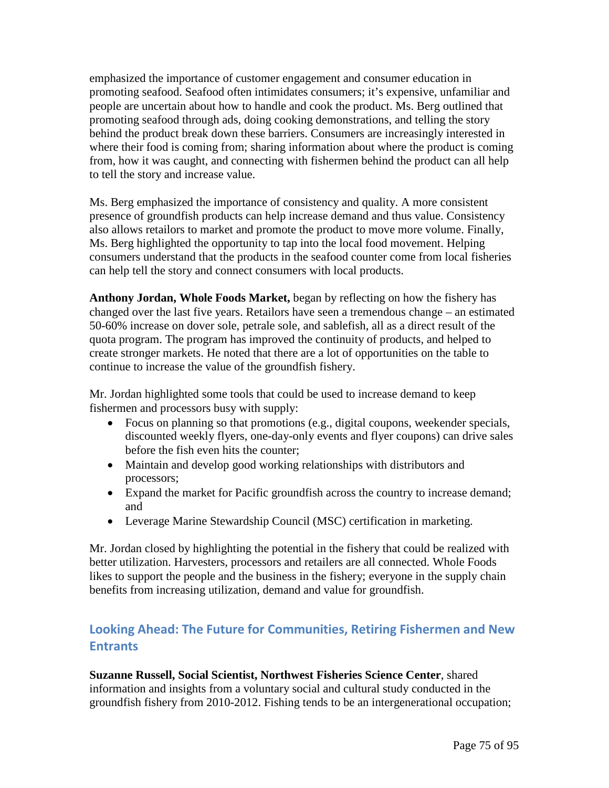emphasized the importance of customer engagement and consumer education in promoting seafood. Seafood often intimidates consumers; it's expensive, unfamiliar and people are uncertain about how to handle and cook the product. Ms. Berg outlined that promoting seafood through ads, doing cooking demonstrations, and telling the story behind the product break down these barriers. Consumers are increasingly interested in where their food is coming from; sharing information about where the product is coming from, how it was caught, and connecting with fishermen behind the product can all help to tell the story and increase value.

Ms. Berg emphasized the importance of consistency and quality. A more consistent presence of groundfish products can help increase demand and thus value. Consistency also allows retailors to market and promote the product to move more volume. Finally, Ms. Berg highlighted the opportunity to tap into the local food movement. Helping consumers understand that the products in the seafood counter come from local fisheries can help tell the story and connect consumers with local products.

**Anthony Jordan, Whole Foods Market,** began by reflecting on how the fishery has changed over the last five years. Retailors have seen a tremendous change – an estimated 50-60% increase on dover sole, petrale sole, and sablefish, all as a direct result of the quota program. The program has improved the continuity of products, and helped to create stronger markets. He noted that there are a lot of opportunities on the table to continue to increase the value of the groundfish fishery.

Mr. Jordan highlighted some tools that could be used to increase demand to keep fishermen and processors busy with supply:

- Focus on planning so that promotions (e.g., digital coupons, weekender specials, discounted weekly flyers, one-day-only events and flyer coupons) can drive sales before the fish even hits the counter;
- Maintain and develop good working relationships with distributors and processors;
- Expand the market for Pacific groundfish across the country to increase demand; and
- Leverage Marine Stewardship Council (MSC) certification in marketing.

Mr. Jordan closed by highlighting the potential in the fishery that could be realized with better utilization. Harvesters, processors and retailers are all connected. Whole Foods likes to support the people and the business in the fishery; everyone in the supply chain benefits from increasing utilization, demand and value for groundfish.

# **Looking Ahead: The Future for Communities, Retiring Fishermen and New Entrants**

**Suzanne Russell, Social Scientist, Northwest Fisheries Science Center**, shared information and insights from a voluntary social and cultural study conducted in the groundfish fishery from 2010-2012. Fishing tends to be an intergenerational occupation;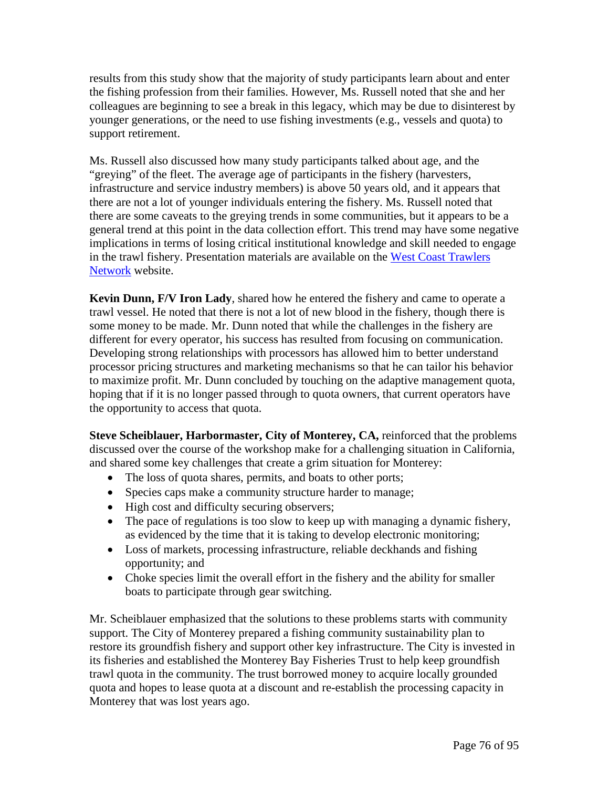results from this study show that the majority of study participants learn about and enter the fishing profession from their families. However, Ms. Russell noted that she and her colleagues are beginning to see a break in this legacy, which may be due to disinterest by younger generations, or the need to use fishing investments (e.g., vessels and quota) to support retirement.

Ms. Russell also discussed how many study participants talked about age, and the "greying" of the fleet. The average age of participants in the fishery (harvesters, infrastructure and service industry members) is above 50 years old, and it appears that there are not a lot of younger individuals entering the fishery. Ms. Russell noted that there are some caveats to the greying trends in some communities, but it appears to be a general trend at this point in the data collection effort. This trend may have some negative implications in terms of losing critical institutional knowledge and skill needed to engage in the trawl fishery. Presentation materials are available on the [West Coast Trawlers](http://www.westcoasttrawlers.net/)  [Network](http://www.westcoasttrawlers.net/) website.

**Kevin Dunn, F/V Iron Lady**, shared how he entered the fishery and came to operate a trawl vessel. He noted that there is not a lot of new blood in the fishery, though there is some money to be made. Mr. Dunn noted that while the challenges in the fishery are different for every operator, his success has resulted from focusing on communication. Developing strong relationships with processors has allowed him to better understand processor pricing structures and marketing mechanisms so that he can tailor his behavior to maximize profit. Mr. Dunn concluded by touching on the adaptive management quota, hoping that if it is no longer passed through to quota owners, that current operators have the opportunity to access that quota.

**Steve Scheiblauer, Harbormaster, City of Monterey, CA,** reinforced that the problems discussed over the course of the workshop make for a challenging situation in California, and shared some key challenges that create a grim situation for Monterey:

- The loss of quota shares, permits, and boats to other ports;
- Species caps make a community structure harder to manage;
- High cost and difficulty securing observers;
- The pace of regulations is too slow to keep up with managing a dynamic fishery, as evidenced by the time that it is taking to develop electronic monitoring;
- Loss of markets, processing infrastructure, reliable deckhands and fishing opportunity; and
- Choke species limit the overall effort in the fishery and the ability for smaller boats to participate through gear switching.

Mr. Scheiblauer emphasized that the solutions to these problems starts with community support. The City of Monterey prepared a fishing community sustainability plan to restore its groundfish fishery and support other key infrastructure. The City is invested in its fisheries and established the Monterey Bay Fisheries Trust to help keep groundfish trawl quota in the community. The trust borrowed money to acquire locally grounded quota and hopes to lease quota at a discount and re-establish the processing capacity in Monterey that was lost years ago.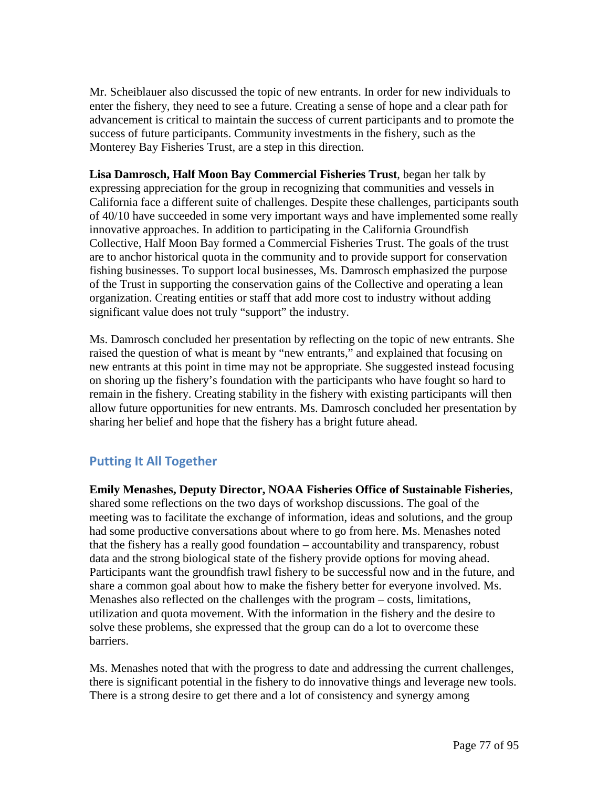Mr. Scheiblauer also discussed the topic of new entrants. In order for new individuals to enter the fishery, they need to see a future. Creating a sense of hope and a clear path for advancement is critical to maintain the success of current participants and to promote the success of future participants. Community investments in the fishery, such as the Monterey Bay Fisheries Trust, are a step in this direction.

**Lisa Damrosch, Half Moon Bay Commercial Fisheries Trust**, began her talk by expressing appreciation for the group in recognizing that communities and vessels in California face a different suite of challenges. Despite these challenges, participants south of 40/10 have succeeded in some very important ways and have implemented some really innovative approaches. In addition to participating in the California Groundfish Collective, Half Moon Bay formed a Commercial Fisheries Trust. The goals of the trust are to anchor historical quota in the community and to provide support for conservation fishing businesses. To support local businesses, Ms. Damrosch emphasized the purpose of the Trust in supporting the conservation gains of the Collective and operating a lean organization. Creating entities or staff that add more cost to industry without adding significant value does not truly "support" the industry.

Ms. Damrosch concluded her presentation by reflecting on the topic of new entrants. She raised the question of what is meant by "new entrants," and explained that focusing on new entrants at this point in time may not be appropriate. She suggested instead focusing on shoring up the fishery's foundation with the participants who have fought so hard to remain in the fishery. Creating stability in the fishery with existing participants will then allow future opportunities for new entrants. Ms. Damrosch concluded her presentation by sharing her belief and hope that the fishery has a bright future ahead.

# **Putting It All Together**

**Emily Menashes, Deputy Director, NOAA Fisheries Office of Sustainable Fisheries**, shared some reflections on the two days of workshop discussions. The goal of the meeting was to facilitate the exchange of information, ideas and solutions, and the group had some productive conversations about where to go from here. Ms. Menashes noted that the fishery has a really good foundation – accountability and transparency, robust data and the strong biological state of the fishery provide options for moving ahead. Participants want the groundfish trawl fishery to be successful now and in the future, and share a common goal about how to make the fishery better for everyone involved. Ms. Menashes also reflected on the challenges with the program – costs, limitations, utilization and quota movement. With the information in the fishery and the desire to solve these problems, she expressed that the group can do a lot to overcome these barriers.

Ms. Menashes noted that with the progress to date and addressing the current challenges, there is significant potential in the fishery to do innovative things and leverage new tools. There is a strong desire to get there and a lot of consistency and synergy among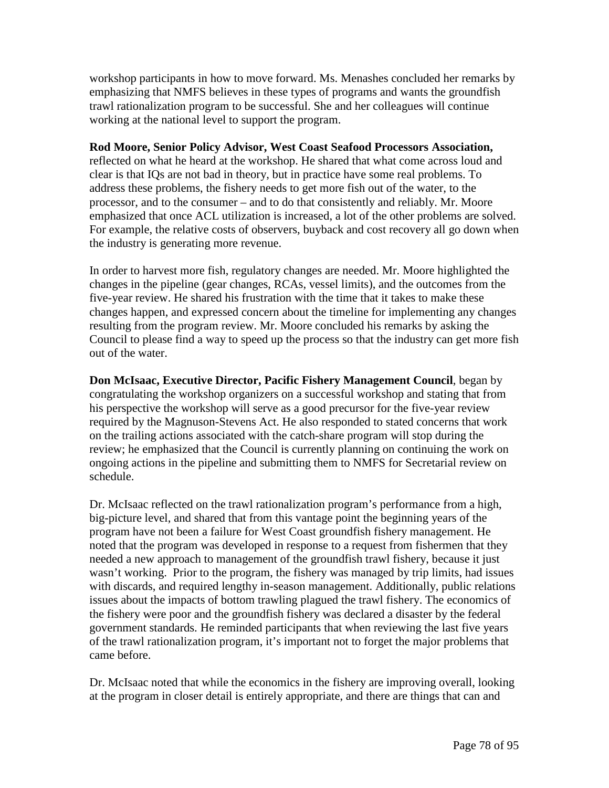workshop participants in how to move forward. Ms. Menashes concluded her remarks by emphasizing that NMFS believes in these types of programs and wants the groundfish trawl rationalization program to be successful. She and her colleagues will continue working at the national level to support the program.

### **Rod Moore, Senior Policy Advisor, West Coast Seafood Processors Association,**

reflected on what he heard at the workshop. He shared that what come across loud and clear is that IQs are not bad in theory, but in practice have some real problems. To address these problems, the fishery needs to get more fish out of the water, to the processor, and to the consumer – and to do that consistently and reliably. Mr. Moore emphasized that once ACL utilization is increased, a lot of the other problems are solved. For example, the relative costs of observers, buyback and cost recovery all go down when the industry is generating more revenue.

In order to harvest more fish, regulatory changes are needed. Mr. Moore highlighted the changes in the pipeline (gear changes, RCAs, vessel limits), and the outcomes from the five-year review. He shared his frustration with the time that it takes to make these changes happen, and expressed concern about the timeline for implementing any changes resulting from the program review. Mr. Moore concluded his remarks by asking the Council to please find a way to speed up the process so that the industry can get more fish out of the water.

**Don McIsaac, Executive Director, Pacific Fishery Management Council**, began by congratulating the workshop organizers on a successful workshop and stating that from his perspective the workshop will serve as a good precursor for the five-year review required by the Magnuson-Stevens Act. He also responded to stated concerns that work on the trailing actions associated with the catch-share program will stop during the review; he emphasized that the Council is currently planning on continuing the work on ongoing actions in the pipeline and submitting them to NMFS for Secretarial review on schedule.

Dr. McIsaac reflected on the trawl rationalization program's performance from a high, big-picture level, and shared that from this vantage point the beginning years of the program have not been a failure for West Coast groundfish fishery management. He noted that the program was developed in response to a request from fishermen that they needed a new approach to management of the groundfish trawl fishery, because it just wasn't working. Prior to the program, the fishery was managed by trip limits, had issues with discards, and required lengthy in-season management. Additionally, public relations issues about the impacts of bottom trawling plagued the trawl fishery. The economics of the fishery were poor and the groundfish fishery was declared a disaster by the federal government standards. He reminded participants that when reviewing the last five years of the trawl rationalization program, it's important not to forget the major problems that came before.

Dr. McIsaac noted that while the economics in the fishery are improving overall, looking at the program in closer detail is entirely appropriate, and there are things that can and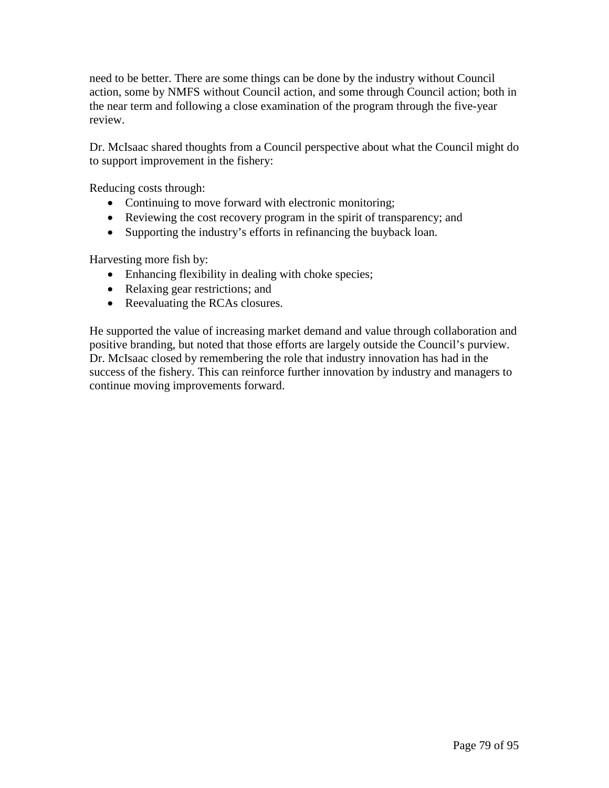need to be better. There are some things can be done by the industry without Council action, some by NMFS without Council action, and some through Council action; both in the near term and following a close examination of the program through the five-year review.

Dr. McIsaac shared thoughts from a Council perspective about what the Council might do to support improvement in the fishery:

Reducing costs through:

- Continuing to move forward with electronic monitoring;
- Reviewing the cost recovery program in the spirit of transparency; and
- Supporting the industry's efforts in refinancing the buyback loan.

Harvesting more fish by:

- Enhancing flexibility in dealing with choke species;
- Relaxing gear restrictions; and
- Reevaluating the RCAs closures.

He supported the value of increasing market demand and value through collaboration and positive branding, but noted that those efforts are largely outside the Council's purview. Dr. McIsaac closed by remembering the role that industry innovation has had in the success of the fishery. This can reinforce further innovation by industry and managers to continue moving improvements forward.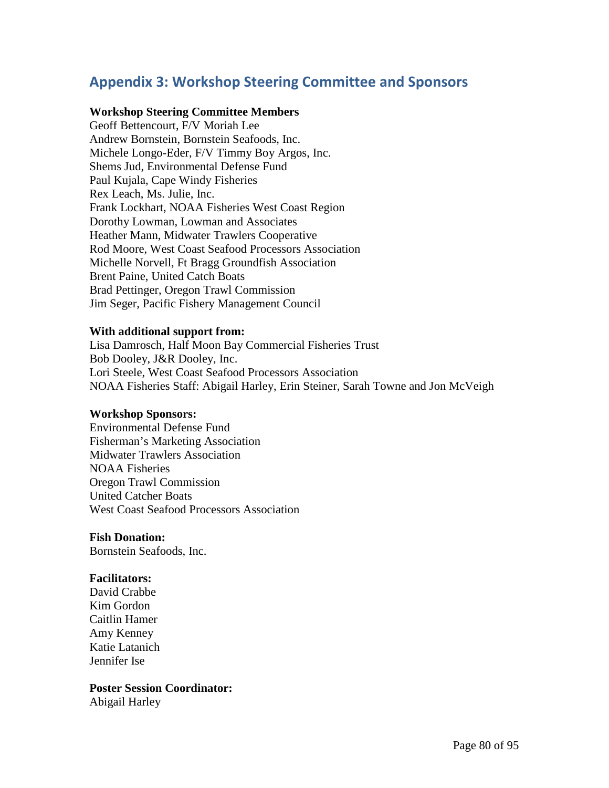# **Appendix 3: Workshop Steering Committee and Sponsors**

## **Workshop Steering Committee Members**

Geoff Bettencourt, F/V Moriah Lee Andrew Bornstein, Bornstein Seafoods, Inc. Michele Longo-Eder, F/V Timmy Boy Argos, Inc. Shems Jud, Environmental Defense Fund Paul Kujala, Cape Windy Fisheries Rex Leach, Ms. Julie, Inc. Frank Lockhart, NOAA Fisheries West Coast Region Dorothy Lowman, Lowman and Associates Heather Mann, Midwater Trawlers Cooperative Rod Moore, West Coast Seafood Processors Association Michelle Norvell, Ft Bragg Groundfish Association Brent Paine, United Catch Boats Brad Pettinger, Oregon Trawl Commission Jim Seger, Pacific Fishery Management Council

### **With additional support from:**

Lisa Damrosch, Half Moon Bay Commercial Fisheries Trust Bob Dooley, J&R Dooley, Inc. Lori Steele, West Coast Seafood Processors Association NOAA Fisheries Staff: Abigail Harley, Erin Steiner, Sarah Towne and Jon McVeigh

### **Workshop Sponsors:**

Environmental Defense Fund Fisherman's Marketing Association Midwater Trawlers Association NOAA Fisheries Oregon Trawl Commission United Catcher Boats West Coast Seafood Processors Association

### **Fish Donation:**

Bornstein Seafoods, Inc.

### **Facilitators:**

David Crabbe Kim Gordon Caitlin Hamer Amy Kenney Katie Latanich Jennifer Ise

## **Poster Session Coordinator:**

Abigail Harley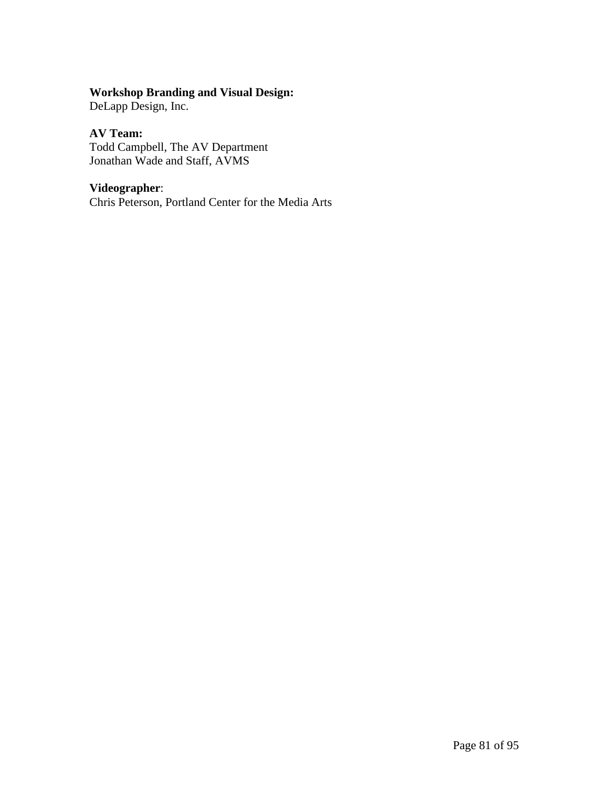# **Workshop Branding and Visual Design:**

DeLapp Design, Inc.

## **AV Team:**

Todd Campbell, The AV Department Jonathan Wade and Staff, AVMS

# **Videographer**:

Chris Peterson, Portland Center for the Media Arts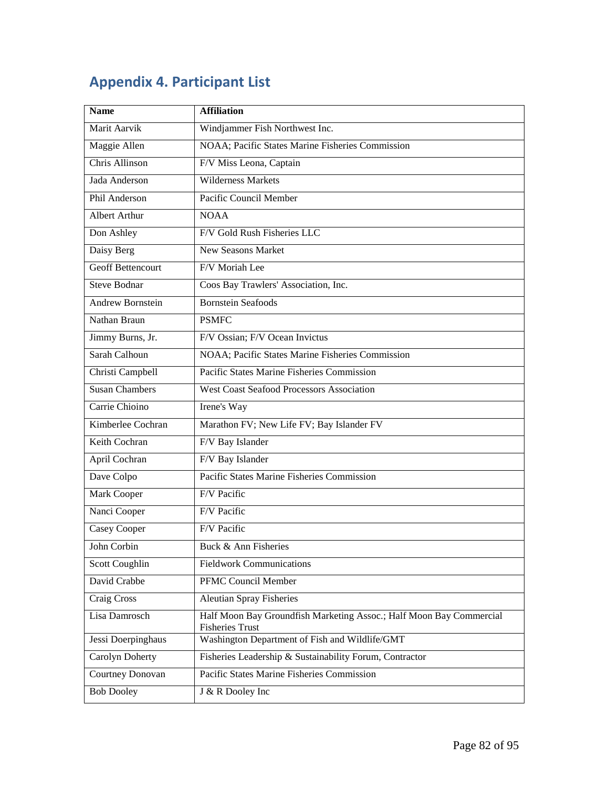# **Appendix 4. Participant List**

| <b>Name</b>              | <b>Affiliation</b>                                                                            |
|--------------------------|-----------------------------------------------------------------------------------------------|
| Marit Aarvik             | Windjammer Fish Northwest Inc.                                                                |
| Maggie Allen             | NOAA; Pacific States Marine Fisheries Commission                                              |
| <b>Chris Allinson</b>    | F/V Miss Leona, Captain                                                                       |
| Jada Anderson            | <b>Wilderness Markets</b>                                                                     |
| Phil Anderson            | Pacific Council Member                                                                        |
| <b>Albert Arthur</b>     | <b>NOAA</b>                                                                                   |
| Don Ashley               | F/V Gold Rush Fisheries LLC                                                                   |
| Daisy Berg               | New Seasons Market                                                                            |
| <b>Geoff Bettencourt</b> | F/V Moriah Lee                                                                                |
| <b>Steve Bodnar</b>      | Coos Bay Trawlers' Association, Inc.                                                          |
| <b>Andrew Bornstein</b>  | <b>Bornstein Seafoods</b>                                                                     |
| Nathan Braun             | <b>PSMFC</b>                                                                                  |
| Jimmy Burns, Jr.         | F/V Ossian; F/V Ocean Invictus                                                                |
| Sarah Calhoun            | NOAA; Pacific States Marine Fisheries Commission                                              |
| Christi Campbell         | Pacific States Marine Fisheries Commission                                                    |
| <b>Susan Chambers</b>    | <b>West Coast Seafood Processors Association</b>                                              |
| Carrie Chioino           | Irene's Way                                                                                   |
| Kimberlee Cochran        | Marathon FV; New Life FV; Bay Islander FV                                                     |
| Keith Cochran            | F/V Bay Islander                                                                              |
| April Cochran            | F/V Bay Islander                                                                              |
| Dave Colpo               | Pacific States Marine Fisheries Commission                                                    |
| Mark Cooper              | F/V Pacific                                                                                   |
| Nanci Cooper             | F/V Pacific                                                                                   |
| Casey Cooper             | F/V Pacific                                                                                   |
| John Corbin              | Buck & Ann Fisheries                                                                          |
| Scott Coughlin           | <b>Fieldwork Communications</b>                                                               |
| David Crabbe             | PFMC Council Member                                                                           |
| Craig Cross              | <b>Aleutian Spray Fisheries</b>                                                               |
| Lisa Damrosch            | Half Moon Bay Groundfish Marketing Assoc.; Half Moon Bay Commercial<br><b>Fisheries Trust</b> |
| Jessi Doerpinghaus       | Washington Department of Fish and Wildlife/GMT                                                |
| Carolyn Doherty          | Fisheries Leadership & Sustainability Forum, Contractor                                       |
| Courtney Donovan         | <b>Pacific States Marine Fisheries Commission</b>                                             |
| <b>Bob Dooley</b>        | J & R Dooley Inc                                                                              |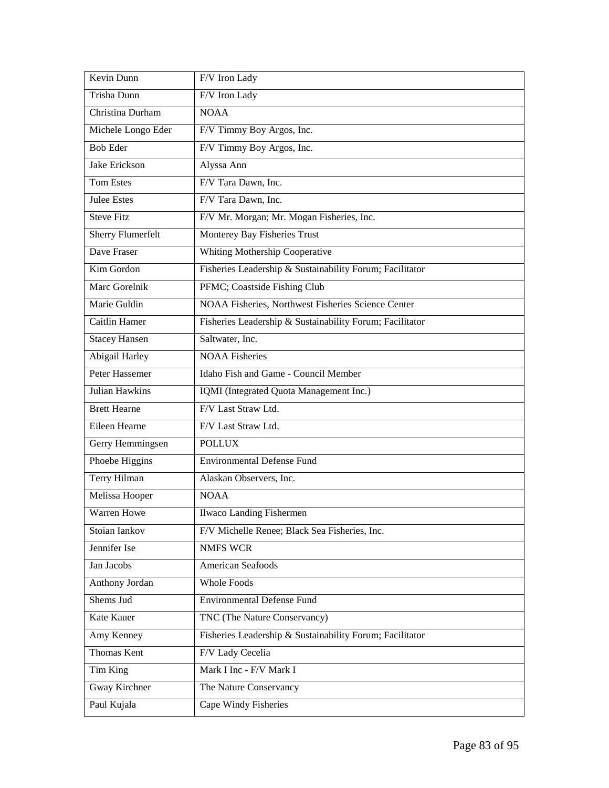| Kevin Dunn               | F/V Iron Lady                                            |
|--------------------------|----------------------------------------------------------|
| Trisha Dunn              | F/V Iron Lady                                            |
| Christina Durham         | <b>NOAA</b>                                              |
| Michele Longo Eder       | F/V Timmy Boy Argos, Inc.                                |
| <b>Bob Eder</b>          | F/V Timmy Boy Argos, Inc.                                |
| Jake Erickson            | Alyssa Ann                                               |
| <b>Tom Estes</b>         | F/V Tara Dawn, Inc.                                      |
| <b>Julee Estes</b>       | F/V Tara Dawn, Inc.                                      |
| <b>Steve Fitz</b>        | F/V Mr. Morgan; Mr. Mogan Fisheries, Inc.                |
| <b>Sherry Flumerfelt</b> | Monterey Bay Fisheries Trust                             |
| Dave Fraser              | <b>Whiting Mothership Cooperative</b>                    |
| Kim Gordon               | Fisheries Leadership & Sustainability Forum; Facilitator |
| Marc Gorelnik            | PFMC; Coastside Fishing Club                             |
| Marie Guldin             | NOAA Fisheries, Northwest Fisheries Science Center       |
| Caitlin Hamer            | Fisheries Leadership & Sustainability Forum; Facilitator |
| <b>Stacey Hansen</b>     | Saltwater, Inc.                                          |
| Abigail Harley           | <b>NOAA Fisheries</b>                                    |
| Peter Hassemer           | Idaho Fish and Game - Council Member                     |
| <b>Julian Hawkins</b>    | IQMI (Integrated Quota Management Inc.)                  |
| <b>Brett Hearne</b>      | F/V Last Straw Ltd.                                      |
| Eileen Hearne            | F/V Last Straw Ltd.                                      |
| Gerry Hemmingsen         | <b>POLLUX</b>                                            |
| Phoebe Higgins           | <b>Environmental Defense Fund</b>                        |
| Terry Hilman             | Alaskan Observers, Inc.                                  |
| Melissa Hooper           | <b>NOAA</b>                                              |
| Warren Howe              | <b>Ilwaco Landing Fishermen</b>                          |
| Stoian Iankov            | F/V Michelle Renee; Black Sea Fisheries, Inc.            |
| Jennifer Ise             | <b>NMFS WCR</b>                                          |
| Jan Jacobs               | American Seafoods                                        |
| Anthony Jordan           | Whole Foods                                              |
| Shems Jud                | <b>Environmental Defense Fund</b>                        |
| Kate Kauer               | TNC (The Nature Conservancy)                             |
| Amy Kenney               | Fisheries Leadership & Sustainability Forum; Facilitator |
| <b>Thomas Kent</b>       | F/V Lady Cecelia                                         |
| Tim King                 | Mark I Inc - F/V Mark I                                  |
| Gway Kirchner            | The Nature Conservancy                                   |
| Paul Kujala              | Cape Windy Fisheries                                     |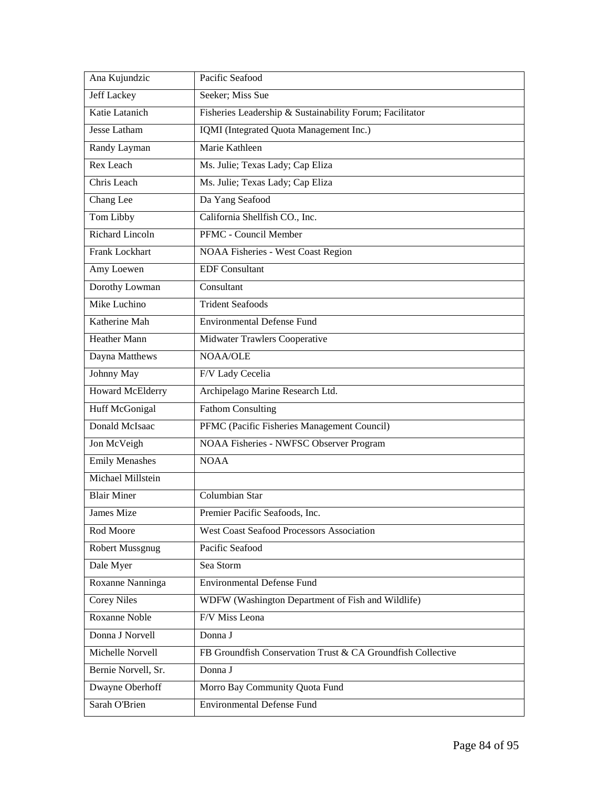| Ana Kujundzic           | Pacific Seafood                                             |
|-------------------------|-------------------------------------------------------------|
| <b>Jeff Lackey</b>      | Seeker; Miss Sue                                            |
| Katie Latanich          | Fisheries Leadership & Sustainability Forum; Facilitator    |
| <b>Jesse Latham</b>     | IQMI (Integrated Quota Management Inc.)                     |
| Randy Layman            | Marie Kathleen                                              |
| Rex Leach               | Ms. Julie; Texas Lady; Cap Eliza                            |
| Chris Leach             | Ms. Julie; Texas Lady; Cap Eliza                            |
| Chang Lee               | Da Yang Seafood                                             |
| Tom Libby               | California Shellfish CO., Inc.                              |
| <b>Richard Lincoln</b>  | PFMC - Council Member                                       |
| Frank Lockhart          | NOAA Fisheries - West Coast Region                          |
| Amy Loewen              | <b>EDF</b> Consultant                                       |
| Dorothy Lowman          | Consultant                                                  |
| Mike Luchino            | <b>Trident Seafoods</b>                                     |
| Katherine Mah           | <b>Environmental Defense Fund</b>                           |
| <b>Heather Mann</b>     | Midwater Trawlers Cooperative                               |
| Dayna Matthews          | NOAA/OLE                                                    |
| Johnny May              | F/V Lady Cecelia                                            |
| <b>Howard McElderry</b> | Archipelago Marine Research Ltd.                            |
| <b>Huff McGonigal</b>   | <b>Fathom Consulting</b>                                    |
| <b>Donald McIsaac</b>   | PFMC (Pacific Fisheries Management Council)                 |
| Jon McVeigh             | NOAA Fisheries - NWFSC Observer Program                     |
| <b>Emily Menashes</b>   | <b>NOAA</b>                                                 |
| Michael Millstein       |                                                             |
| <b>Blair Miner</b>      | Columbian Star                                              |
| <b>James Mize</b>       | Premier Pacific Seafoods, Inc.                              |
| Rod Moore               | <b>West Coast Seafood Processors Association</b>            |
| Robert Mussgnug         | Pacific Seafood                                             |
| Dale Myer               | Sea Storm                                                   |
| Roxanne Nanninga        | <b>Environmental Defense Fund</b>                           |
| <b>Corey Niles</b>      | WDFW (Washington Department of Fish and Wildlife)           |
| Roxanne Noble           | F/V Miss Leona                                              |
| Donna J Norvell         | Donna J                                                     |
| Michelle Norvell        | FB Groundfish Conservation Trust & CA Groundfish Collective |
| Bernie Norvell, Sr.     | Donna J                                                     |
| Dwayne Oberhoff         | Morro Bay Community Quota Fund                              |
| Sarah O'Brien           | <b>Environmental Defense Fund</b>                           |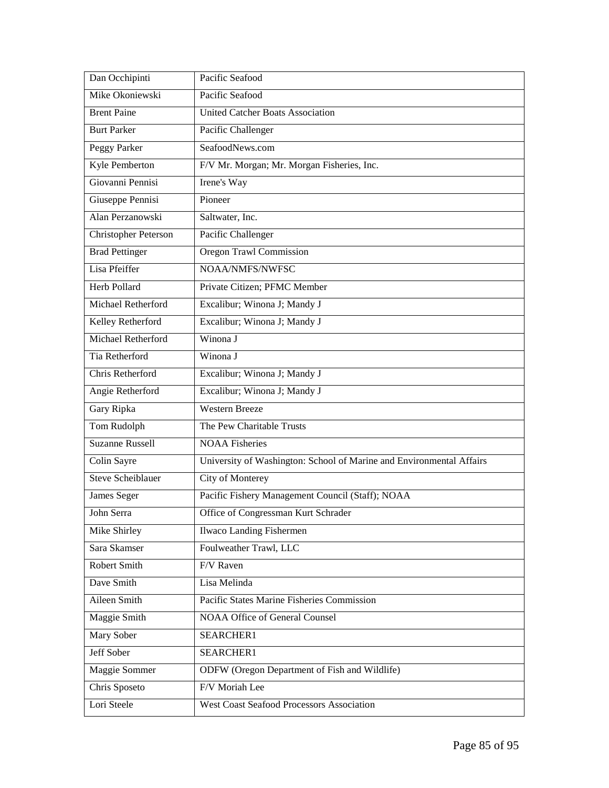| Dan Occhipinti           | Pacific Seafood                                                      |
|--------------------------|----------------------------------------------------------------------|
| Mike Okoniewski          | Pacific Seafood                                                      |
| <b>Brent Paine</b>       | United Catcher Boats Association                                     |
| <b>Burt Parker</b>       | Pacific Challenger                                                   |
| Peggy Parker             | SeafoodNews.com                                                      |
| <b>Kyle Pemberton</b>    | F/V Mr. Morgan; Mr. Morgan Fisheries, Inc.                           |
| Giovanni Pennisi         | Irene's Way                                                          |
| Giuseppe Pennisi         | Pioneer                                                              |
| Alan Perzanowski         | Saltwater, Inc.                                                      |
| Christopher Peterson     | Pacific Challenger                                                   |
| <b>Brad Pettinger</b>    | Oregon Trawl Commission                                              |
| Lisa Pfeiffer            | NOAA/NMFS/NWFSC                                                      |
| <b>Herb Pollard</b>      | Private Citizen; PFMC Member                                         |
| Michael Retherford       | Excalibur; Winona J; Mandy J                                         |
| Kelley Retherford        | Excalibur; Winona J; Mandy J                                         |
| Michael Retherford       | Winona J                                                             |
| Tia Retherford           | Winona J                                                             |
| Chris Retherford         | Excalibur; Winona J; Mandy J                                         |
| Angie Retherford         | Excalibur; Winona J; Mandy J                                         |
| Gary Ripka               | <b>Western Breeze</b>                                                |
| Tom Rudolph              | The Pew Charitable Trusts                                            |
| <b>Suzanne Russell</b>   | <b>NOAA Fisheries</b>                                                |
| Colin Sayre              | University of Washington: School of Marine and Environmental Affairs |
| <b>Steve Scheiblauer</b> | City of Monterey                                                     |
| James Seger              | Pacific Fishery Management Council (Staff); NOAA                     |
| John Serra               | Office of Congressman Kurt Schrader                                  |
| Mike Shirley             | Ilwaco Landing Fishermen                                             |
| Sara Skamser             | Foulweather Trawl, LLC                                               |
| Robert Smith             | F/V Raven                                                            |
| Dave Smith               | Lisa Melinda                                                         |
| Aileen Smith             | Pacific States Marine Fisheries Commission                           |
| Maggie Smith             | <b>NOAA Office of General Counsel</b>                                |
| Mary Sober               | SEARCHER1                                                            |
| Jeff Sober               | SEARCHER1                                                            |
| Maggie Sommer            | ODFW (Oregon Department of Fish and Wildlife)                        |
| Chris Sposeto            | F/V Moriah Lee                                                       |
| Lori Steele              | <b>West Coast Seafood Processors Association</b>                     |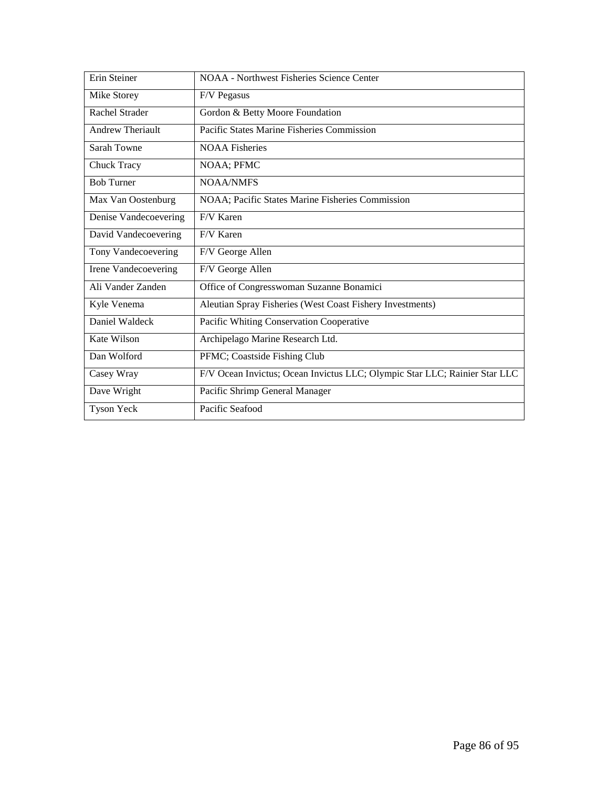| Erin Steiner            | <b>NOAA</b> - Northwest Fisheries Science Center                           |
|-------------------------|----------------------------------------------------------------------------|
| Mike Storey             | F/V Pegasus                                                                |
| <b>Rachel Strader</b>   | Gordon & Betty Moore Foundation                                            |
| <b>Andrew Theriault</b> | Pacific States Marine Fisheries Commission                                 |
| Sarah Towne             | <b>NOAA</b> Fisheries                                                      |
| Chuck Tracy             | NOAA; PFMC                                                                 |
| <b>Bob Turner</b>       | <b>NOAA/NMFS</b>                                                           |
| Max Van Oostenburg      | NOAA; Pacific States Marine Fisheries Commission                           |
| Denise Vandecoevering   | F/V Karen                                                                  |
| David Vandecoevering    | F/V Karen                                                                  |
| Tony Vandecoevering     | F/V George Allen                                                           |
| Irene Vandecoevering    | F/V George Allen                                                           |
| Ali Vander Zanden       | Office of Congresswoman Suzanne Bonamici                                   |
| Kyle Venema             | Aleutian Spray Fisheries (West Coast Fishery Investments)                  |
| Daniel Waldeck          | Pacific Whiting Conservation Cooperative                                   |
| Kate Wilson             | Archipelago Marine Research Ltd.                                           |
| Dan Wolford             | PFMC; Coastside Fishing Club                                               |
| Casey Wray              | F/V Ocean Invictus; Ocean Invictus LLC; Olympic Star LLC; Rainier Star LLC |
| Dave Wright             | Pacific Shrimp General Manager                                             |
| <b>Tyson Yeck</b>       | Pacific Seafood                                                            |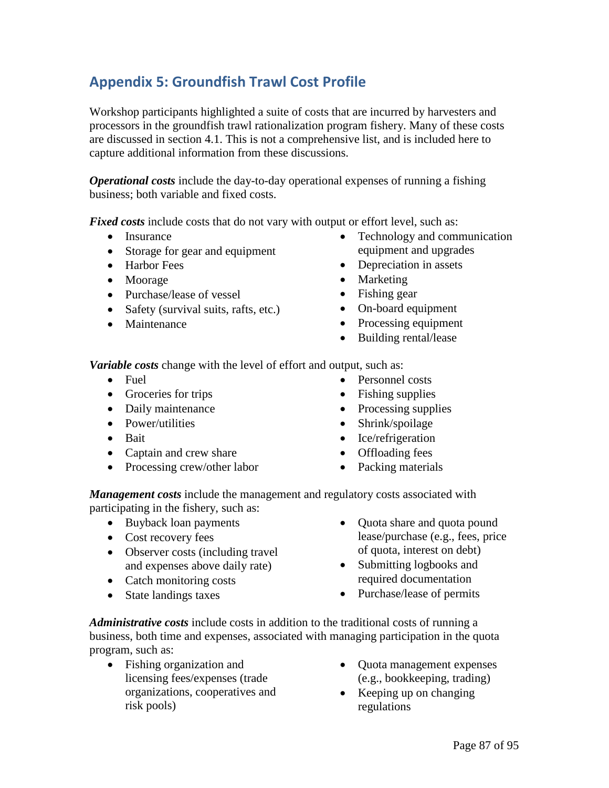# **Appendix 5: Groundfish Trawl Cost Profile**

Workshop participants highlighted a suite of costs that are incurred by harvesters and processors in the groundfish trawl rationalization program fishery. Many of these costs are discussed in section 4.1. This is not a comprehensive list, and is included here to capture additional information from these discussions.

*Operational costs* include the day-to-day operational expenses of running a fishing business; both variable and fixed costs.

*Fixed costs* include costs that do not vary with output or effort level, such as:

- Insurance
- Storage for gear and equipment
- Harbor Fees
- Moorage
- Purchase/lease of vessel
- Safety (survival suits, rafts, etc.)
- Maintenance
- Technology and communication equipment and upgrades
- Depreciation in assets
- Marketing
- Fishing gear
- On-board equipment
- Processing equipment
- Building rental/lease

*Variable costs* change with the level of effort and output, such as:

- Fuel
- Groceries for trips
- Daily maintenance
- Power/utilities
- Bait
- Captain and crew share
- Processing crew/other labor
- Personnel costs
- Fishing supplies
- Processing supplies
- Shrink/spoilage
- Ice/refrigeration
- Offloading fees
- Packing materials

*Management costs* include the management and regulatory costs associated with participating in the fishery, such as:

- Buyback loan payments
- Cost recovery fees
- Observer costs (including travel and expenses above daily rate)
- Catch monitoring costs
- State landings taxes
- Quota share and quota pound lease/purchase (e.g., fees, price of quota, interest on debt)
- Submitting logbooks and required documentation
- Purchase/lease of permits

*Administrative costs* include costs in addition to the traditional costs of running a business, both time and expenses, associated with managing participation in the quota program, such as:

- Fishing organization and licensing fees/expenses (trade organizations, cooperatives and risk pools)
- Quota management expenses (e.g., bookkeeping, trading)
- Keeping up on changing regulations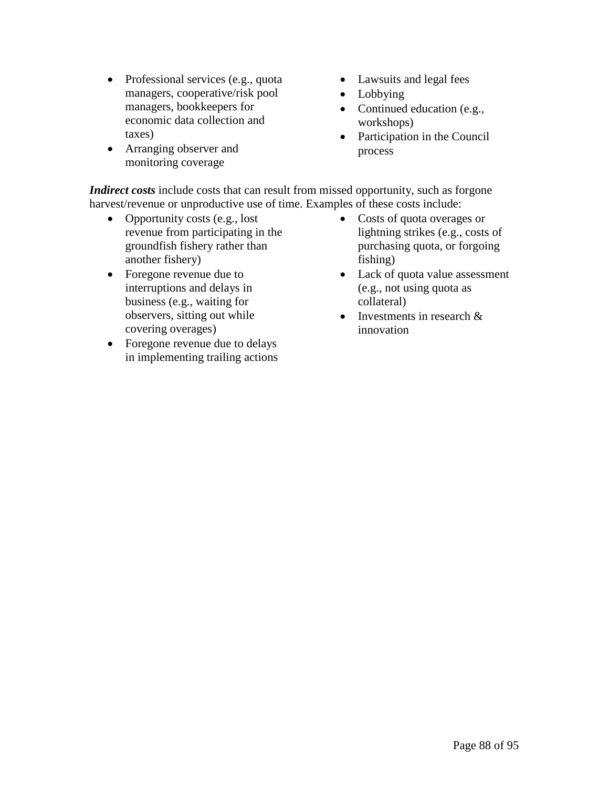- Professional services (e.g., quota managers, cooperative/risk pool managers, bookkeepers for economic data collection and taxes)
- Arranging observer and monitoring coverage
- Lawsuits and legal fees
- Lobbying
- Continued education (e.g., workshops)
- Participation in the Council process

*Indirect costs* include costs that can result from missed opportunity, such as forgone harvest/revenue or unproductive use of time. Examples of these costs include:

- Opportunity costs (e.g., lost revenue from participating in the groundfish fishery rather than another fishery)
- Foregone revenue due to interruptions and delays in business (e.g., waiting for observers, sitting out while covering overages)
- Foregone revenue due to delays in implementing trailing actions
- Costs of quota overages or lightning strikes (e.g., costs of purchasing quota, or forgoing fishing)
- Lack of quota value assessment (e.g., not using quota as collateral)
- Investments in research & innovation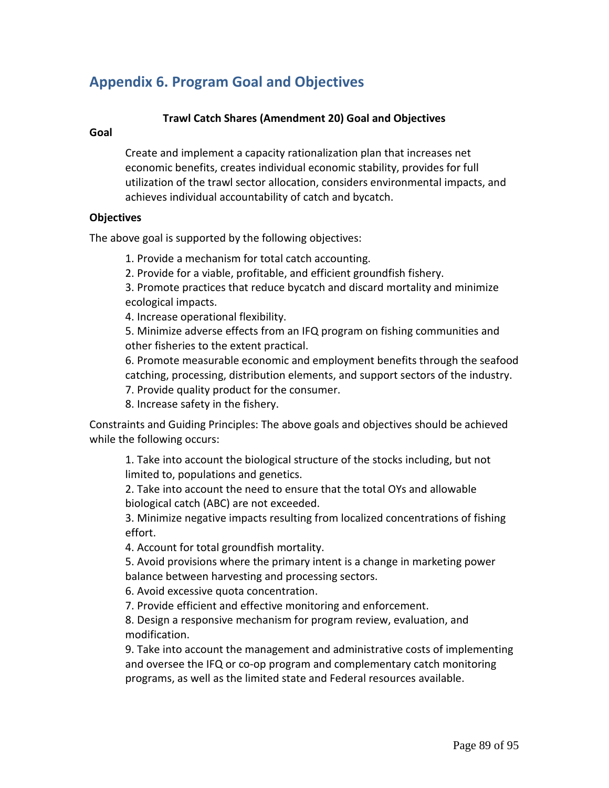# **Appendix 6. Program Goal and Objectives**

## **Trawl Catch Shares (Amendment 20) Goal and Objectives**

### **Goal**

Create and implement a capacity rationalization plan that increases net economic benefits, creates individual economic stability, provides for full utilization of the trawl sector allocation, considers environmental impacts, and achieves individual accountability of catch and bycatch.

### **Objectives**

The above goal is supported by the following objectives:

1. Provide a mechanism for total catch accounting.

2. Provide for a viable, profitable, and efficient groundfish fishery.

3. Promote practices that reduce bycatch and discard mortality and minimize ecological impacts.

4. Increase operational flexibility.

5. Minimize adverse effects from an IFQ program on fishing communities and other fisheries to the extent practical.

6. Promote measurable economic and employment benefits through the seafood catching, processing, distribution elements, and support sectors of the industry. 7. Provide quality product for the consumer.

8. Increase safety in the fishery.

Constraints and Guiding Principles: The above goals and objectives should be achieved while the following occurs:

1. Take into account the biological structure of the stocks including, but not limited to, populations and genetics.

2. Take into account the need to ensure that the total OYs and allowable biological catch (ABC) are not exceeded.

3. Minimize negative impacts resulting from localized concentrations of fishing effort.

4. Account for total groundfish mortality.

5. Avoid provisions where the primary intent is a change in marketing power balance between harvesting and processing sectors.

6. Avoid excessive quota concentration.

7. Provide efficient and effective monitoring and enforcement.

8. Design a responsive mechanism for program review, evaluation, and modification.

9. Take into account the management and administrative costs of implementing and oversee the IFQ or co-op program and complementary catch monitoring programs, as well as the limited state and Federal resources available.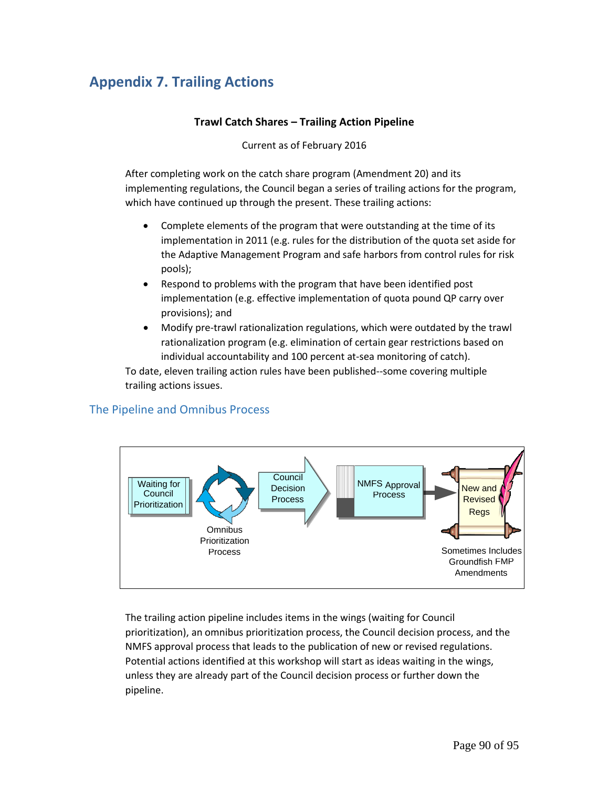# **Appendix 7. Trailing Actions**

## **Trawl Catch Shares – Trailing Action Pipeline**

Current as of February 2016

After completing work on the catch share program (Amendment 20) and its implementing regulations, the Council began a series of trailing actions for the program, which have continued up through the present. These trailing actions:

- Complete elements of the program that were outstanding at the time of its implementation in 2011 (e.g. rules for the distribution of the quota set aside for the Adaptive Management Program and safe harbors from control rules for risk pools);
- Respond to problems with the program that have been identified post implementation (e.g. effective implementation of quota pound QP carry over provisions); and
- Modify pre-trawl rationalization regulations, which were outdated by the trawl rationalization program (e.g. elimination of certain gear restrictions based on individual accountability and 100 percent at-sea monitoring of catch).

To date, eleven trailing action rules have been published--some covering multiple trailing actions issues.

## The Pipeline and Omnibus Process



The trailing action pipeline includes items in the wings (waiting for Council prioritization), an omnibus prioritization process, the Council decision process, and the NMFS approval process that leads to the publication of new or revised regulations. Potential actions identified at this workshop will start as ideas waiting in the wings, unless they are already part of the Council decision process or further down the pipeline.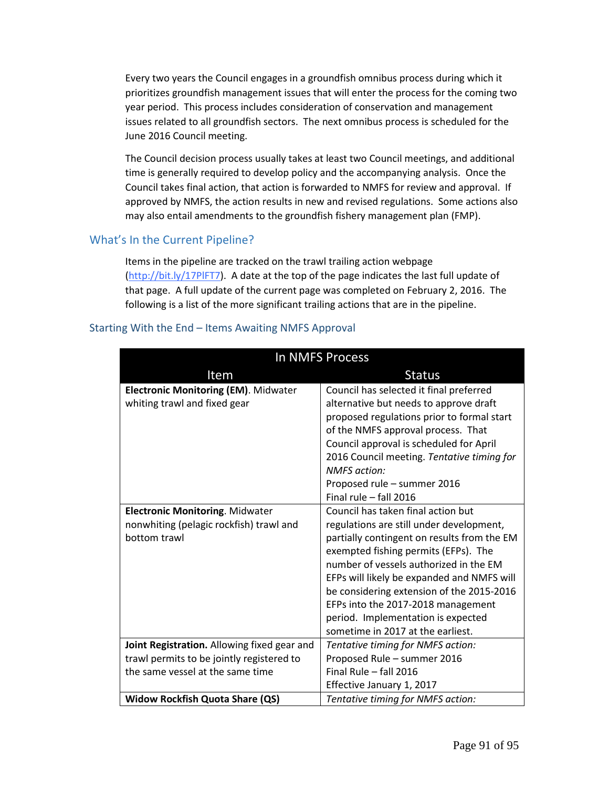Every two years the Council engages in a groundfish omnibus process during which it prioritizes groundfish management issues that will enter the process for the coming two year period. This process includes consideration of conservation and management issues related to all groundfish sectors. The next omnibus process is scheduled for the June 2016 Council meeting.

The Council decision process usually takes at least two Council meetings, and additional time is generally required to develop policy and the accompanying analysis. Once the Council takes final action, that action is forwarded to NMFS for review and approval. If approved by NMFS, the action results in new and revised regulations. Some actions also may also entail amendments to the groundfish fishery management plan (FMP).

## What's In the Current Pipeline?

Items in the pipeline are tracked on the trawl trailing action webpage [\(http://bit.ly/17PlFT7\)](http://bit.ly/17PlFT7). A date at the top of the page indicates the last full update of that page. A full update of the current page was completed on February 2, 2016. The following is a list of the more significant trailing actions that are in the pipeline.

| In NMFS Process                                                                                   |                                                                                                                                                                                                                                                                                                                                                                                                                             |  |
|---------------------------------------------------------------------------------------------------|-----------------------------------------------------------------------------------------------------------------------------------------------------------------------------------------------------------------------------------------------------------------------------------------------------------------------------------------------------------------------------------------------------------------------------|--|
| Item                                                                                              | <b>Status</b>                                                                                                                                                                                                                                                                                                                                                                                                               |  |
| <b>Electronic Monitoring (EM). Midwater</b><br>whiting trawl and fixed gear                       | Council has selected it final preferred<br>alternative but needs to approve draft<br>proposed regulations prior to formal start<br>of the NMFS approval process. That<br>Council approval is scheduled for April<br>2016 Council meeting. Tentative timing for<br><b>NMFS</b> action:<br>Proposed rule - summer 2016                                                                                                        |  |
|                                                                                                   | Final rule - fall 2016                                                                                                                                                                                                                                                                                                                                                                                                      |  |
| <b>Electronic Monitoring. Midwater</b><br>nonwhiting (pelagic rockfish) trawl and<br>bottom trawl | Council has taken final action but<br>regulations are still under development,<br>partially contingent on results from the EM<br>exempted fishing permits (EFPs). The<br>number of vessels authorized in the EM<br>EFPs will likely be expanded and NMFS will<br>be considering extension of the 2015-2016<br>EFPs into the 2017-2018 management<br>period. Implementation is expected<br>sometime in 2017 at the earliest. |  |
| Joint Registration. Allowing fixed gear and                                                       | Tentative timing for NMFS action:                                                                                                                                                                                                                                                                                                                                                                                           |  |
| trawl permits to be jointly registered to                                                         | Proposed Rule - summer 2016                                                                                                                                                                                                                                                                                                                                                                                                 |  |
| the same vessel at the same time                                                                  | Final Rule - fall 2016                                                                                                                                                                                                                                                                                                                                                                                                      |  |
|                                                                                                   | Effective January 1, 2017                                                                                                                                                                                                                                                                                                                                                                                                   |  |
| <b>Widow Rockfish Quota Share (QS)</b>                                                            | Tentative timing for NMFS action:                                                                                                                                                                                                                                                                                                                                                                                           |  |

### Starting With the End – Items Awaiting NMFS Approval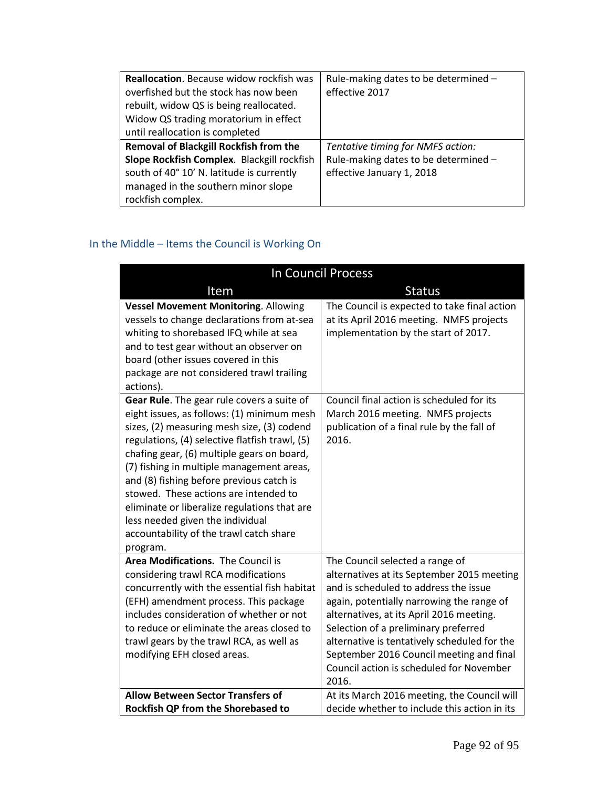| <b>Reallocation.</b> Because widow rockfish was<br>overfished but the stock has now been<br>rebuilt, widow QS is being reallocated.<br>Widow QS trading moratorium in effect<br>until reallocation is completed | Rule-making dates to be determined -<br>effective 2017                                                 |
|-----------------------------------------------------------------------------------------------------------------------------------------------------------------------------------------------------------------|--------------------------------------------------------------------------------------------------------|
| <b>Removal of Blackgill Rockfish from the</b><br>Slope Rockfish Complex. Blackgill rockfish<br>south of 40° 10' N. latitude is currently<br>managed in the southern minor slope<br>rockfish complex.            | Tentative timing for NMFS action:<br>Rule-making dates to be determined -<br>effective January 1, 2018 |

# In the Middle – Items the Council is Working On

| In Council Process                                                                                                                                                                                                                                                                                                                                                                                                                                                                                                  |                                                                                                                                                                                                                                                                                                                                                                                                          |  |
|---------------------------------------------------------------------------------------------------------------------------------------------------------------------------------------------------------------------------------------------------------------------------------------------------------------------------------------------------------------------------------------------------------------------------------------------------------------------------------------------------------------------|----------------------------------------------------------------------------------------------------------------------------------------------------------------------------------------------------------------------------------------------------------------------------------------------------------------------------------------------------------------------------------------------------------|--|
| Item                                                                                                                                                                                                                                                                                                                                                                                                                                                                                                                | <b>Status</b>                                                                                                                                                                                                                                                                                                                                                                                            |  |
| <b>Vessel Movement Monitoring. Allowing</b><br>vessels to change declarations from at-sea<br>whiting to shorebased IFQ while at sea<br>and to test gear without an observer on<br>board (other issues covered in this<br>package are not considered trawl trailing<br>actions).                                                                                                                                                                                                                                     | The Council is expected to take final action<br>at its April 2016 meeting. NMFS projects<br>implementation by the start of 2017.                                                                                                                                                                                                                                                                         |  |
| Gear Rule. The gear rule covers a suite of<br>eight issues, as follows: (1) minimum mesh<br>sizes, (2) measuring mesh size, (3) codend<br>regulations, (4) selective flatfish trawl, (5)<br>chafing gear, (6) multiple gears on board,<br>(7) fishing in multiple management areas,<br>and (8) fishing before previous catch is<br>stowed. These actions are intended to<br>eliminate or liberalize regulations that are<br>less needed given the individual<br>accountability of the trawl catch share<br>program. | Council final action is scheduled for its<br>March 2016 meeting. NMFS projects<br>publication of a final rule by the fall of<br>2016.                                                                                                                                                                                                                                                                    |  |
| Area Modifications. The Council is<br>considering trawl RCA modifications<br>concurrently with the essential fish habitat<br>(EFH) amendment process. This package<br>includes consideration of whether or not<br>to reduce or eliminate the areas closed to<br>trawl gears by the trawl RCA, as well as<br>modifying EFH closed areas.                                                                                                                                                                             | The Council selected a range of<br>alternatives at its September 2015 meeting<br>and is scheduled to address the issue<br>again, potentially narrowing the range of<br>alternatives, at its April 2016 meeting.<br>Selection of a preliminary preferred<br>alternative is tentatively scheduled for the<br>September 2016 Council meeting and final<br>Council action is scheduled for November<br>2016. |  |
| <b>Allow Between Sector Transfers of</b>                                                                                                                                                                                                                                                                                                                                                                                                                                                                            | At its March 2016 meeting, the Council will                                                                                                                                                                                                                                                                                                                                                              |  |
| Rockfish QP from the Shorebased to                                                                                                                                                                                                                                                                                                                                                                                                                                                                                  | decide whether to include this action in its                                                                                                                                                                                                                                                                                                                                                             |  |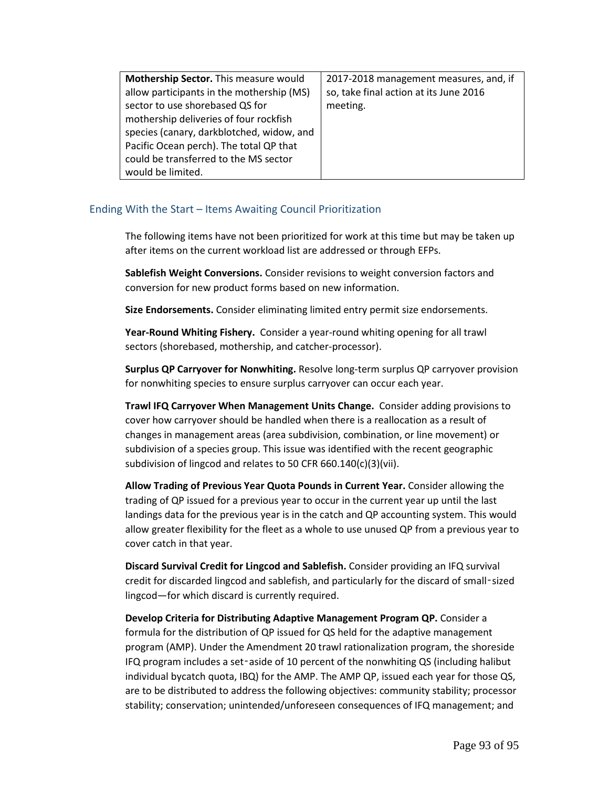| Mothership Sector. This measure would     | 2017-2018 management measures, and, if |
|-------------------------------------------|----------------------------------------|
| allow participants in the mothership (MS) | so, take final action at its June 2016 |
| sector to use shorebased QS for           | meeting.                               |
| mothership deliveries of four rockfish    |                                        |
| species (canary, darkblotched, widow, and |                                        |
| Pacific Ocean perch). The total QP that   |                                        |
| could be transferred to the MS sector     |                                        |
| would be limited.                         |                                        |

### Ending With the Start – Items Awaiting Council Prioritization

The following items have not been prioritized for work at this time but may be taken up after items on the current workload list are addressed or through EFPs.

**Sablefish Weight Conversions.** Consider revisions to weight conversion factors and conversion for new product forms based on new information.

**Size Endorsements.** Consider eliminating limited entry permit size endorsements.

**Year-Round Whiting Fishery.** Consider a year-round whiting opening for all trawl sectors (shorebased, mothership, and catcher-processor).

**Surplus QP Carryover for Nonwhiting.** Resolve long-term surplus QP carryover provision for nonwhiting species to ensure surplus carryover can occur each year.

**Trawl IFQ Carryover When Management Units Change.** Consider adding provisions to cover how carryover should be handled when there is a reallocation as a result of changes in management areas (area subdivision, combination, or line movement) or subdivision of a species group. This issue was identified with the recent geographic subdivision of lingcod and relates to 50 CFR 660.140(c)(3)(vii).

**Allow Trading of Previous Year Quota Pounds in Current Year.** Consider allowing the trading of QP issued for a previous year to occur in the current year up until the last landings data for the previous year is in the catch and QP accounting system. This would allow greater flexibility for the fleet as a whole to use unused QP from a previous year to cover catch in that year.

**Discard Survival Credit for Lingcod and Sablefish.** Consider providing an IFQ survival credit for discarded lingcod and sablefish, and particularly for the discard of small‑sized lingcod—for which discard is currently required.

**Develop Criteria for Distributing Adaptive Management Program QP.** Consider a formula for the distribution of QP issued for QS held for the adaptive management program (AMP). Under the Amendment 20 trawl rationalization program, the shoreside IFQ program includes a set‑aside of 10 percent of the nonwhiting QS (including halibut individual bycatch quota, IBQ) for the AMP. The AMP QP, issued each year for those QS, are to be distributed to address the following objectives: community stability; processor stability; conservation; unintended/unforeseen consequences of IFQ management; and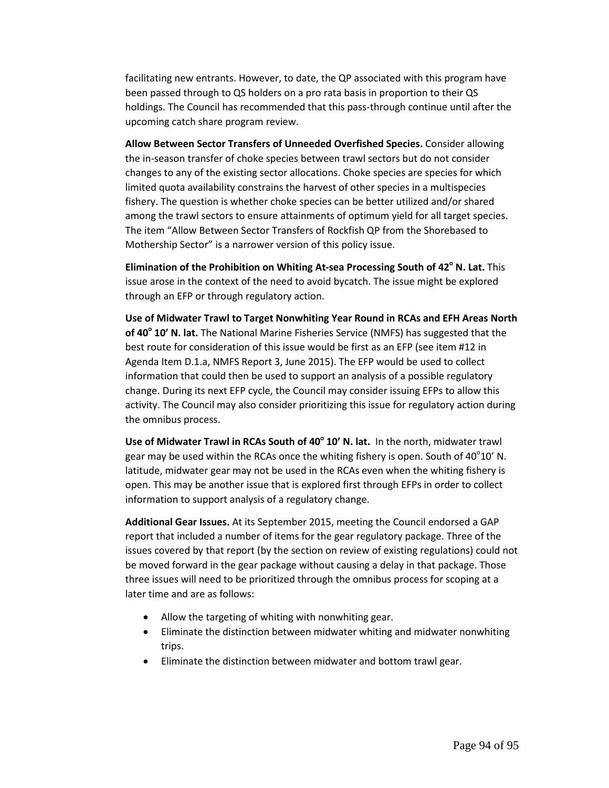facilitating new entrants. However, to date, the QP associated with this program have been passed through to QS holders on a pro rata basis in proportion to their QS holdings. The Council has recommended that this pass-through continue until after the upcoming catch share program review.

**Allow Between Sector Transfers of Unneeded Overfished Species.** Consider allowing the in-season transfer of choke species between trawl sectors but do not consider changes to any of the existing sector allocations. Choke species are species for which limited quota availability constrains the harvest of other species in a multispecies fishery. The question is whether choke species can be better utilized and/or shared among the trawl sectors to ensure attainments of optimum yield for all target species. The item "Allow Between Sector Transfers of Rockfish QP from the Shorebased to Mothership Sector" is a narrower version of this policy issue.

**Elimination of the Prohibition on Whiting At-sea Processing South of 42° N. Lat.** This issue arose in the context of the need to avoid bycatch. The issue might be explored through an EFP or through regulatory action.

**Use of Midwater Trawl to Target Nonwhiting Year Round in RCAs and EFH Areas North of 40<sup>°</sup> 10' N. lat.** The National Marine Fisheries Service (NMFS) has suggested that the best route for consideration of this issue would be first as an EFP (see item #12 in [Agenda Item D.1.a, NMFS Report 3, June 2015\)](http://www.pcouncil.org/wp-content/uploads/2015/05/D1a_NMFS_Rpt3_Packaging_JUN2015BB.pdf). The EFP would be used to collect information that could then be used to support an analysis of a possible regulatory change. During its next EFP cycle, the Council may consider issuing EFPs to allow this activity. The Council may also consider prioritizing this issue for regulatory action during the [omnibus process.](http://www.pcouncil.org/resources/archives/briefing-books/september-2014-briefing-book/#groundfishSep2014)

**Use of Midwater Trawl in RCAs South of 40° 10' N. lat.** In the north, midwater trawl gear may be used within the RCAs once the whiting fishery is open. South of  $40^{\circ}10'$  N. latitude, midwater gear may not be used in the RCAs even when the whiting fishery is open. This may be another issue that is explored first through EFPs in order to collect information to support analysis of a regulatory change.

**Additional Gear Issues.** At its September 2015, meeting the Council endorsed a [GAP](http://www.pcouncil.org/wp-content/uploads/2015/09/H2a_SUP_GAP_Rpt_SEPT2015BB.pdf)  [report](http://www.pcouncil.org/wp-content/uploads/2015/09/H2a_SUP_GAP_Rpt_SEPT2015BB.pdf) that included a number of items for the gear regulatory package. Three of the issues covered by that report (by the section on review of existing regulations) could not be moved forward in the gear package without causing a delay in that package. Those three issues will need to be prioritized through the omnibus process for scoping at a later time and are as follows:

- Allow the targeting of whiting with nonwhiting gear.
- Eliminate the distinction between midwater whiting and midwater nonwhiting trips.
- Eliminate the distinction between midwater and bottom trawl gear.